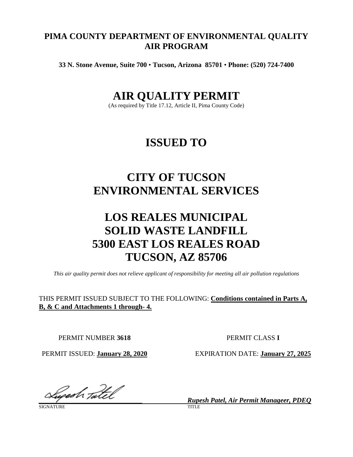# **PIMA COUNTY DEPARTMENT OF ENVIRONMENTAL QUALITY AIR PROGRAM**

**33 N. Stone Avenue, Suite 700** • **Tucson, Arizona 85701** • **Phone: (520) 724-7400**

# **AIR QUALITY PERMIT**

(As required by Title 17.12, Article II, Pima County Code)

# **ISSUED TO**

# **CITY OF TUCSON ENVIRONMENTAL SERVICES**

# **LOS REALES MUNICIPAL SOLID WASTE LANDFILL 5300 EAST LOS REALES ROAD TUCSON, AZ 85706**

*This air quality permit does not relieve applicant of responsibility for meeting all air pollution regulations*

THIS PERMIT ISSUED SUBJECT TO THE FOLLOWING: **Conditions contained in Parts A, B, & C and Attachments 1 through- 4.**

PERMIT NUMBER **3618** PERMIT CLASS **I**

*\_\_\_\_\_\_\_\_\_\_\_\_\_\_\_\_\_\_\_\_\_\_\_\_\_\_\_\_\_\_ Rupesh Patel, Air Permit Manageer, PDEQ*

SIGNATURE TITLE

PERMIT ISSUED: **January 28, 2020** EXPIRATION DATE: **January 27, 2025**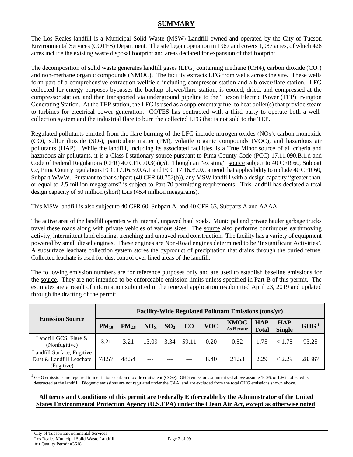# **SUMMARY**

The Los Reales landfill is a Municipal Solid Waste (MSW) Landfill owned and operated by the City of Tucson Environmental Services (COTES) Department. The site began operation in 1967 and covers 1,087 acres, of which 428 acres include the existing waste disposal footprint and areas declared for expansion of that footprint.

The decomposition of solid waste generates landfill gases (LFG) containing methane (CH4), carbon dioxide  $(CO_2)$ and non-methane organic compounds (NMOC). The facility extracts LFG from wells across the site. These wells form part of a comprehensive extraction wellfield including compressor station and a blower/flare station. LFG collected for energy purposes bypasses the backup blower/flare station, is cooled, dried, and compressed at the compressor station, and then transported via underground pipeline to the Tucson Electric Power (TEP) Irvington Generating Station. At the TEP station, the LFG is used as a supplementary fuel to heat boiler(s) that provide steam to turbines for electrical power generation. COTES has contracted with a third party to operate both a wellcollection system and the industrial flare to burn the collected LFG that is not sold to the TEP.

Regulated pollutants emitted from the flare burning of the LFG include nitrogen oxides  $(NO<sub>X</sub>)$ , carbon monoxide (CO), sulfur dioxide  $(SO<sub>2</sub>)$ , particulate matter (PM), volatile organic compounds (VOC), and hazardous air pollutants (HAP). While the landfill, including its associated facilities, is a True Minor source of all criteria and hazardous air pollutants, it is a Class I stationary [source](#page-20-0) pursuant to Pima County Code (PCC) 17.11.090.B.1.d and Code of Federal Regulations (CFR) 40 CFR 70.3(a)(5). Though an "existing" [source](#page-20-0) subject to 40 CFR 60, Subpart Cc, Pima County regulations PCC 17.16.390.A.1 and PCC 17.16.390.C amend that applicability to include 40 CFR 60, Subpart WWW. Pursuant to that subpart (40 CFR 60.752(b)), any MSW landfill with a design capacity "greater than, or equal to 2.5 million megagrams" is subject to Part 70 permitting requirements. This landfill has declared a total design capacity of 50 million (short) tons (45.4 million megagrams).

This MSW landfill is also subject to 40 CFR 60, Subpart A, and 40 CFR 63, Subparts A and AAAA.

The active area of the landfill operates with internal, unpaved haul roads. Municipal and private hauler garbage trucks travel these roads along with private vehicles of various sizes. The [source](#page-20-0) also performs continuous earthmoving activity, intermittent land clearing, trenching and unpaved road construction. The facility has a variety of equipment powered by small diesel engines. These engines are Non-Road engines determined to be 'Insignificant Activities'. A subsurface leachate collection system stores the byproduct of precipitation that drains through the buried refuse. Collected leachate is used for dust control over lined areas of the landfill.

The following emission numbers are for reference purposes only and are used to establish baseline emissions for the [source.](#page-20-0) They are not intended to be enforceable emission limits unless specified in Part B of this permit. The estimates are a result of information submitted in the renewal application resubmitted April 23, 2019 and updated through the drafting of the permit.

| <b>Emission Source</b>                                               | <b>Facility-Wide Regulated Pollutant Emissions (tons/yr)</b> |            |                 |                 |       |            |                          |                            |                             |                  |
|----------------------------------------------------------------------|--------------------------------------------------------------|------------|-----------------|-----------------|-------|------------|--------------------------|----------------------------|-----------------------------|------------------|
|                                                                      | $PM_{10}$                                                    | $PM_{2.5}$ | NO <sub>x</sub> | SO <sub>2</sub> | CO    | <b>VOC</b> | <b>NMOC</b><br>As Hexane | <b>HAP</b><br><b>Total</b> | <b>HAP</b><br><b>Single</b> | GHG <sup>1</sup> |
| Landfill GCS, Flare &<br>(Nonfugitive)                               | 3.21                                                         | 3.21       | 13.09           | 3.34            | 59.11 | 0.20       | 0.52                     | 1.75                       | < 1.75                      | 93.25            |
| Landfill Surface, Fugitive<br>Dust & Landfill Leachate<br>(Fugitive) | 78.57                                                        | 48.54      | ---             |                 | $---$ | 8.40       | 21.53                    | 2.29                       | < 2.29                      | 28,367           |

 $^{1}$  GHG emissions are reported in metric tons carbon dioxide equivalent (CO<sub>2</sub>e). GHG emissions summarized above assume 100% of LFG collected is destructed at the landfill. Biogenic emissions are not regulated under the CAA, and are excluded from the total GHG emissions shown above.

## **All terms and Conditions of this permit are Federally Enforceable by the Administrator of the United States Environmental Protection Agency (U.S.EPA) under the Clean Air Act, except as otherwise noted**.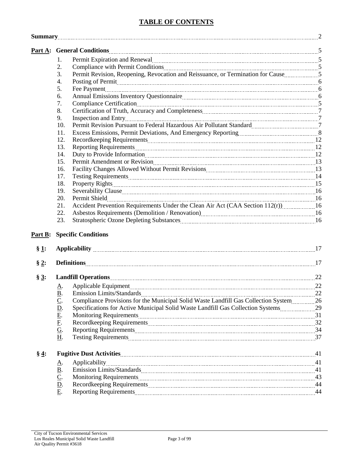# **TABLE OF CONTENTS**

|         | <b>Summary</b> 2                                                                                                                                                                                                                                                                       |  |  |  |  |
|---------|----------------------------------------------------------------------------------------------------------------------------------------------------------------------------------------------------------------------------------------------------------------------------------------|--|--|--|--|
|         | Part A: General Conditions 5                                                                                                                                                                                                                                                           |  |  |  |  |
|         | Permit Expiration and Renewal material contracts and response of Renewal Material Contracts and Renewal Material Contracts and Renewal Material Contracts and Renewal Material Contracts and American Contracts and Renewal Ma<br>1.                                                   |  |  |  |  |
|         | 2.<br>Compliance with Permit Conditions 2000 and 2000 and 2000 and 2000 and 2000 and 2000 and 2000 and 2000 and 2000 and 2000 and 2000 and 2000 and 2000 and 2000 and 2000 and 2000 and 2000 and 2000 and 2000 and 2000 and 2000 and                                                   |  |  |  |  |
|         | 3.<br>Permit Revision, Reopening, Revocation and Reissuance, or Termination for Cause                                                                                                                                                                                                  |  |  |  |  |
|         | 4.<br>Posting of Permit <u>contained and the contract of the set of the set of the set of the set of the set of the set of the set of the set of the set of the set of the set of the set of the set of the set of the set of the set </u>                                             |  |  |  |  |
|         | 5.                                                                                                                                                                                                                                                                                     |  |  |  |  |
|         | 6.                                                                                                                                                                                                                                                                                     |  |  |  |  |
|         | 7.                                                                                                                                                                                                                                                                                     |  |  |  |  |
|         | 8.                                                                                                                                                                                                                                                                                     |  |  |  |  |
|         | 9.                                                                                                                                                                                                                                                                                     |  |  |  |  |
|         | Permit Revision Pursuant to Federal Hazardous Air Pollutant Standard<br>10.                                                                                                                                                                                                            |  |  |  |  |
|         | 11.                                                                                                                                                                                                                                                                                    |  |  |  |  |
|         | 12.                                                                                                                                                                                                                                                                                    |  |  |  |  |
|         | 13.                                                                                                                                                                                                                                                                                    |  |  |  |  |
|         | 14.                                                                                                                                                                                                                                                                                    |  |  |  |  |
|         | Permit Amendment or Revision 23<br>15.                                                                                                                                                                                                                                                 |  |  |  |  |
|         | 16.                                                                                                                                                                                                                                                                                    |  |  |  |  |
|         | 17.                                                                                                                                                                                                                                                                                    |  |  |  |  |
|         | 18.                                                                                                                                                                                                                                                                                    |  |  |  |  |
|         | 19.                                                                                                                                                                                                                                                                                    |  |  |  |  |
|         | 20.                                                                                                                                                                                                                                                                                    |  |  |  |  |
|         | 21.<br>Accident Prevention Requirements Under the Clean Air Act (CAA Section 112(r)) 16                                                                                                                                                                                                |  |  |  |  |
|         | 22.<br>Asbestos Requirements (Demolition / Renovation) [2013] [2013] [2013] [2014] [2014] [2014] [2014] [2014] [2014] [2014] [2014] [2014] [2014] [2014] [2014] [2014] [2014] [2014] [2014] [2014] [2014] [2014] [2014] [2014] [2014]                                                  |  |  |  |  |
|         | 23.                                                                                                                                                                                                                                                                                    |  |  |  |  |
| Part B: | <b>Specific Conditions</b>                                                                                                                                                                                                                                                             |  |  |  |  |
| $\S 1:$ | Applicability 2012.17                                                                                                                                                                                                                                                                  |  |  |  |  |
| $\S 2:$ | <b>Definitions</b> 17                                                                                                                                                                                                                                                                  |  |  |  |  |
| $\S 3:$ |                                                                                                                                                                                                                                                                                        |  |  |  |  |
|         | Д.                                                                                                                                                                                                                                                                                     |  |  |  |  |
|         |                                                                                                                                                                                                                                                                                        |  |  |  |  |
|         | Compliance Provisions for the Municipal Solid Waste Landfill Gas Collection System 26                                                                                                                                                                                                  |  |  |  |  |
|         | $\underline{\overline{B}}$ .<br>$\underline{\overline{C}}$ .<br>$\underline{\overline{D}}$ .<br>$\underline{\overline{E}}$ .<br>$\underline{\overline{E}}$ .<br><br>$\underline{\overline{G}}$ .<br>Specifications for Active Municipal Solid Waste Landfill Gas Collection Systems 29 |  |  |  |  |
|         |                                                                                                                                                                                                                                                                                        |  |  |  |  |
|         |                                                                                                                                                                                                                                                                                        |  |  |  |  |
|         |                                                                                                                                                                                                                                                                                        |  |  |  |  |
|         | H.                                                                                                                                                                                                                                                                                     |  |  |  |  |
| $\S 4:$ |                                                                                                                                                                                                                                                                                        |  |  |  |  |
|         | <u>A</u> .                                                                                                                                                                                                                                                                             |  |  |  |  |
|         |                                                                                                                                                                                                                                                                                        |  |  |  |  |
|         | $\frac{\underline{B}}{\underline{C}}$ .<br>Monitoring Requirements 23                                                                                                                                                                                                                  |  |  |  |  |
|         | $\underline{\mathbf{D}}$ .                                                                                                                                                                                                                                                             |  |  |  |  |
|         | E.                                                                                                                                                                                                                                                                                     |  |  |  |  |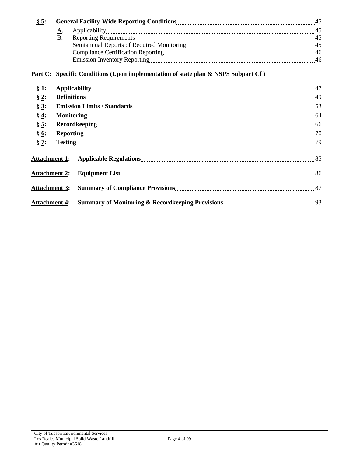| § 5:                 |            |                                                                                                                 |  |  |
|----------------------|------------|-----------------------------------------------------------------------------------------------------------------|--|--|
|                      | <u>A</u> . |                                                                                                                 |  |  |
|                      | <b>B.</b>  |                                                                                                                 |  |  |
|                      |            | Semiannual Reports of Required Monitoring [100] Manuscritt, 2008. [45] Asseminance Assembly Assembly Assembly A |  |  |
|                      |            |                                                                                                                 |  |  |
|                      |            |                                                                                                                 |  |  |
|                      |            | Part C: Specific Conditions (Upon implementation of state plan & NSPS Subpart Cf)                               |  |  |
| § 1:                 |            |                                                                                                                 |  |  |
| $\S 2:$              |            |                                                                                                                 |  |  |
| $\S 3:$              |            |                                                                                                                 |  |  |
| $\S 4:$              |            |                                                                                                                 |  |  |
| $\S 5:$              |            |                                                                                                                 |  |  |
| $\S 6:$              |            |                                                                                                                 |  |  |
| $\S$ 7:              |            |                                                                                                                 |  |  |
|                      |            |                                                                                                                 |  |  |
| <b>Attachment 2:</b> |            | <b>Equipment List</b> 86                                                                                        |  |  |
| <b>Attachment 3:</b> |            | Summary of Compliance Provisions<br>27                                                                          |  |  |
|                      |            |                                                                                                                 |  |  |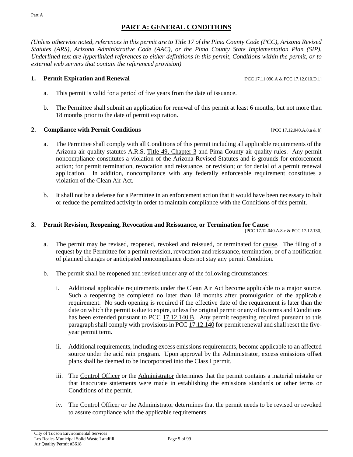# **PART A: GENERAL CONDITIONS**

<span id="page-4-0"></span>*(Unless otherwise noted, references in this permit are to Title 17 of the Pima County Code (PCC), Arizona Revised Statutes (ARS), Arizona Administrative Code (AAC), or the Pima County State Implementation Plan (SIP). Underlined text are hyperlinked references to either definitions in this permit, Conditions within the permit, or to external web servers that contain the referenced provision)*

# **1. Permit Expiration and Renewal** [PCC 17.11.090.A & PCC 17.12.010.D.1]

- a. This permit is valid for a period of five years from the date of issuance.
- b. The Permittee shall submit an application for renewal of this permit at least 6 months, but not more than 18 months prior to the date of permit expiration.

# **2. Compliance with Permit Conditions** [PCC 17.12.040.A.8.a & b]

- a. The Permittee shall comply with all Conditions of this permit including all applicable requirements of the Arizona air quality statutes [A.R.S, Title 49, Chapter 3](https://www.azleg.gov/arsDetail/?title=49) and Pima County air quality rules. Any permit noncompliance constitutes a violation of the Arizona Revised Statutes and is grounds for enforcement action; for permit termination, revocation and reissuance, or revision; or for denial of a permit renewal application. In addition, noncompliance with any federally enforceable requirement constitutes a violation of the Clean Air Act.
- b. It shall not be a defense for a Permittee in an enforcement action that it would have been necessary to halt or reduce the permitted activity in order to maintain compliance with the Conditions of this permit.

# **3. Permit Revision, Reopening, Revocation and Reissuance, or Termination for Cause**

[PCC 17.12.040.A.8.c & PCC 17.12.130]

- a. The permit may be revised, reopened, revoked and reissued, or terminated for [cause.](#page-17-1) The filing of a request by the Permittee for a permit revision, revocation and reissuance, termination; or of a notification of planned changes or anticipated noncompliance does not stay any permit Condition.
- <span id="page-4-1"></span>b. The permit shall be reopened and revised under any of the following circumstances:
	- i. Additional applicable requirements under the Clean Air Act become applicable to a major [source.](#page-20-0) Such a reopening be completed no later than 18 months after promulgation of the applicable requirement. No such opening is required if the effective date of the requirement is later than the date on which the permit is due to expire, unless the original permit or any of its terms and Conditions has been extended pursuant to PCC [17.12.140.B.](https://tinyurl.com/17-12-140-a) Any permit reopening required pursuant to this paragraph shall comply with provisions in PCC [17.12.140](https://tinyurl.com/17-12-140-a) for permit renewal and shall reset the fiveyear permit term.
	- ii. Additional requirements, including excess emissions requirements, become applicable to an affected [source](#page-20-0) under the acid rain program. Upon approval by the [Administrator,](#page-17-2) excess emissions offset plans shall be deemed to be incorporated into the Class I permit.
	- iii. The [Control Officer](#page-17-3) or the [Administrator](#page-17-2) determines that the permit contains a material mistake or that inaccurate statements were made in establishing the emissions standards or other terms or Conditions of the permit.
	- iv. The [Control Officer](#page-17-3) or the [Administrator](#page-17-2) determines that the permit needs to be revised or revoked to assure compliance with the applicable requirements.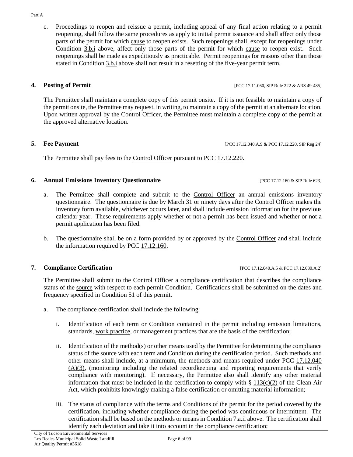c. Proceedings to reopen and reissue a permit, including appeal of any final action relating to a permit reopening, shall follow the same procedures as apply to initial permit issuance and shall affect only those parts of the permit for which [cause](#page-17-1) to reopen exists. Such reopenings shall, except for reopenings under [Condition](#page-4-1) 3.b.i above, affect only those parts of the permit for which [cause](#page-17-1) to reopen exist. Such reopenings shall be made as expeditiously as practicable. Permit reopenings for reasons other than those stated in [Condition 3.b.i](#page-4-1) above shall not result in a resetting of the five-year permit term.

**4. Posting of Permit 18. <b>Posting of Permit 18. POSTILISM EXECUTER POSTIGES PERMITRE 222 & ARS 49-485** 

The Permittee shall maintain a complete copy of this permit onsite. If it is not feasible to maintain a copy of the permit onsite, the Permittee may request, in writing, to maintain a copy of the permit at an alternate location. Upon written approval by the [Control Officer,](#page-17-3) the Permittee must maintain a complete copy of the permit at the approved alternative location.

**5. Fee Payment** [PCC 17.12.040.A.9 & PCC 17.12.220, SIP Reg 24]

The Permittee shall pay fees to the [Control Officer](#page-17-3) pursuant to [PCC 17.12.220.](https://tinyurl.com/17-12-220-A)

# **6. Annual Emissions Inventory Questionnaire** [PCC 17.12.160 & SIP Rule 623]

- a. The Permittee shall complete and submit to the [Control Officer](#page-17-3) an annual emissions inventory questionnaire. The questionnaire is due by March 31 or ninety days after the [Control Officer](#page-17-3) makes the inventory form available, whichever occurs later, and shall include emission information for the previous calendar year. These requirements apply whether or not a permit has been issued and whether or not a permit application has been filed.
- b. The questionnaire shall be on a form provided by or approved by the [Control Officer](#page-17-3) and shall include the information required by [PCC 17.12.160.](https://tinyurl.com/17-12-160-A)

# <span id="page-5-1"></span>**7. Compliance Certification 17.12.040.A.5 & PCC 17.12.040.A.5 & PCC 17.12.080.A.2]**

The Permittee shall submit to the [Control Officer](#page-17-3) a compliance certification that describes the compliance status of the [source](#page-20-0) with respect to each permit Condition. Certifications shall be submitted on the dates and frequency specified in Condition 51 of this permit.

- <span id="page-5-0"></span>a. The compliance certification shall include the following:
	- i. Identification of each term or Condition contained in the permit including emission limitations, standards, [work practice,](#page-20-1) or management practices that are the basis of the certification;
	- ii. Identification of the method(s) or other means used by the Permittee for determining the compliance status of the [source](#page-20-0) with each term and Condition during the certification period. Such methods and other means shall include, at a minimum, the methods and means required under PCC [17.12.040](https://tinyurl.com/17-12-040-A)  $(A)(3)$ , (monitoring including the related recordkeeping and reporting requirements that verify compliance with monitoring). If necessary, the Permittee also shall identify any other material information that must be included in the certification to comply with  $\S 113(c)(2)$  $\S 113(c)(2)$  of the Clean Air Act, which prohibits knowingly making a false certification or omitting material information;
	- iii. The status of compliance with the terms and Conditions of the permit for the period covered by the certification, including whether compliance during the period was continuous or intermittent. The certification shall be based on the methods or means i[n Condition](#page-5-0) 7.a.ii above. The certification shall identify each [deviation](#page-18-0) and take it into account in the compliance certification;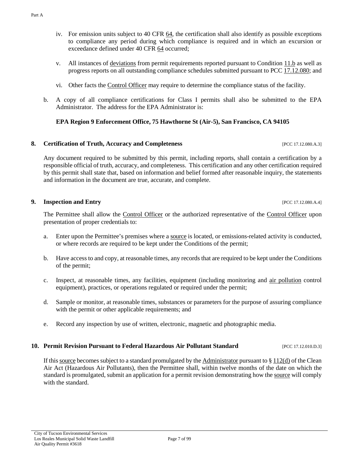- iv. For emission units subject to [40 CFR 64,](https://tinyurl.com/40-CFR-64-A) the certification shall also identify as possible exceptions to compliance any period during which compliance is required and in which an excursion or exceedance defined under [40 CFR 64](https://tinyurl.com/40-CFR-64-A) occurred;
- v. All instances of [deviations](#page-18-0) from permit requirements reported pursuant to [Condition 11.b](#page-8-0) as well as progress reports on all outstanding compliance schedules submitted pursuant to PCC [17.12.080;](https://tinyurl.com/17-12-180-A) and
- vi. Other facts the [Control Officer](#page-17-3) may require to determine the compliance status of the facility.
- b. A copy of all compliance certifications for Class I permits shall also be submitted to the EPA Administrator. The address for the EPA Administrator is:

## **EPA Region 9 Enforcement Office, 75 Hawthorne St (Air-5), San Francisco, CA 94105**

# **8. Certification of Truth, Accuracy and Completeness** [PCC 17.12.080.A.3]

Any document required to be submitted by this permit, including reports, shall contain a certification by a responsible official of truth, accuracy, and completeness. This certification and any other certification required by this permit shall state that, based on information and belief formed after reasonable inquiry, the statements and information in the document are true, accurate, and complete.

### **9.** Inspection and Entry **EXECUTE 17.12.080.A.4**]

The Permittee shall allow the [Control Officer](#page-17-3) or the authorized representative of the [Control Officer](#page-17-3) upon presentation of proper credentials to:

- a. Enter upon the Permittee's premises where [a source](#page-20-0) is located, or emissions-related activity is conducted, or where records are required to be kept under the Conditions of the permit;
- b. Have access to and copy, at reasonable times, any records that are required to be kept under the Conditions of the permit;
- c. Inspect, at reasonable times, any facilities, equipment (including monitoring and [air pollution](#page-17-4) control equipment), practices, or operations regulated or required under the permit;
- d. Sample or monitor, at reasonable times, substances or parameters for the purpose of assuring compliance with the permit or other applicable requirements; and
- e. Record any inspection by use of written, electronic, magnetic and photographic media.

### **10. Permit Revision Pursuant to Federal Hazardous Air Pollutant Standard** [PCC 17.12.010.D.3]

If thi[s source](#page-20-0) becomes subject to a standard promulgated by th[e Administrator](#page-17-2) pursuant to  $\S 112(d)$  $\S 112(d)$  of the Clean Air Act (Hazardous Air Pollutants), then the Permittee shall, within twelve months of the date on which the standard is promulgated, submit an application for a permit revision demonstrating how th[e source](#page-20-0) will comply with the standard.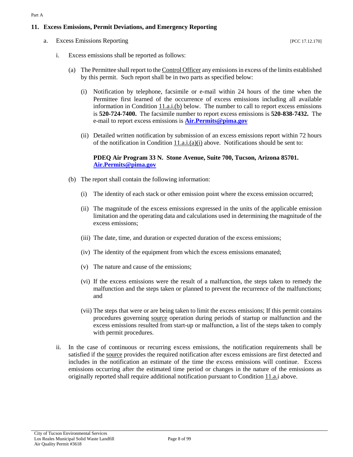## <span id="page-7-4"></span>**11. Excess Emissions, Permit Deviations, and Emergency Reporting**

<span id="page-7-3"></span><span id="page-7-2"></span>a. Excess Emissions Reporting [PCC 17.12.170]

- <span id="page-7-1"></span>i. Excess emissions shall be reported as follows:
	- (a) The Permittee shall report to th[e Control Officer](#page-17-3) any emissions in excess of the limits established by this permit. Such report shall be in two parts as specified below:
		- (i) Notification by telephone, facsimile or e-mail within 24 hours of the time when the Permittee first learned of the occurrence of excess emissions including all available information in Condition  $11.a.i.(b)$  below. The number to call to report excess emissions is **520-724-7400.** The facsimile number to report excess emissions is **520-838-7432.** The e-mail to report excess emissions is **[Air.Permits@pima.gov](mailto:Air.Permits@pima.gov)**
		- (ii) Detailed written notification by submission of an excess emissions report within 72 hours of the notification in Condition  $11.a.i.(a)(i)$  above. Notifications should be sent to:

### **PDEQ Air Program 33 N. Stone Avenue, Suite 700, Tucson, Arizona 85701. [Air.Permits@pima.gov](mailto:Air.Permits@pima.gov)**

- <span id="page-7-0"></span>(b) The report shall contain the following information:
	- (i) The identity of each stack or other emission point where the excess emission occurred;
	- (ii) The magnitude of the excess emissions expressed in the units of the applicable emission limitation and the operating data and calculations used in determining the magnitude of the excess emissions;
	- (iii) The date, time, and duration or expected duration of the excess emissions;
	- (iv) The identity of the equipment from which the excess emissions emanated;
	- (v) The nature and cause of the emissions;
	- (vi) If the excess emissions were the result of a malfunction, the steps taken to remedy the malfunction and the steps taken or planned to prevent the recurrence of the malfunctions; and
	- (vii) The steps that were or are being taken to limit the excess emissions; If this permit contains procedures governing [source](#page-20-0) operation during periods of startup or malfunction and the excess emissions resulted from start-up or malfunction, a list of the steps taken to comply with permit procedures.
- ii. In the case of continuous or recurring excess emissions, the notification requirements shall be satisfied if the [source](#page-20-0) provides the required notification after excess emissions are first detected and includes in the notification an estimate of the time the excess emissions will continue. Excess emissions occurring after the estimated time period or changes in the nature of the emissions as originally reported shall require additional notification pursuant to [Condition 11.a.i](#page-7-2) above.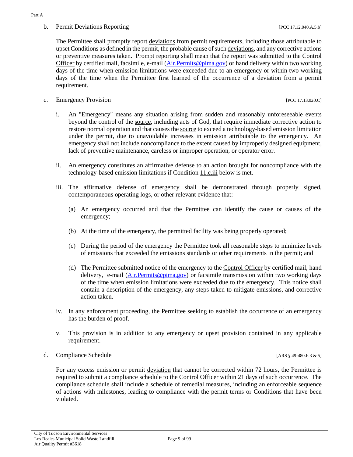# <span id="page-8-0"></span>b. Permit Deviations Reporting  $[PCC 17.12.040.A.5.b]$

The Permittee shall promptly report [deviations](#page-18-0) from permit requirements, including those attributable to upset Conditions as defined in the permit, the probable cause of such [deviations,](#page-18-0) and any corrective actions or preventive measures taken. Prompt reporting shall mean that the report was submitted to the [Control](#page-17-3)  [Officer](#page-17-3) by certified mail, facsimile, e-mail [\(Air.Permits@pima.gov\)](mailto:Air.Permits@pima.gov) or hand delivery within two working days of the time when emission limitations were exceeded due to an emergency or within two working days of the time when the Permittee first learned of the occurrence of a [deviation](#page-18-0) from a permit requirement.

c. Emergency Provision [PCC 17.13.020.C]

- i. An "Emergency" means any situation arising from sudden and reasonably unforeseeable events beyond the control of the [source,](#page-20-0) including acts of God, that require immediate corrective action to restore normal operation and that causes th[e source](#page-20-0) to exceed a technology-based emission limitation under the permit, due to unavoidable increases in emission attributable to the emergency. An emergency shall not include noncompliance to the extent caused by improperly designed equipment, lack of preventive maintenance, careless or improper operation, or operator error.
- ii. An emergency constitutes an affirmative defense to an action brought for noncompliance with the technology-based emission limitations if [Condition 11.c.iii](#page-8-1) below is met.
- <span id="page-8-1"></span>iii. The affirmative defense of emergency shall be demonstrated through properly signed, contemporaneous operating logs, or other relevant evidence that:
	- (a) An emergency occurred and that the Permittee can identify the cause or causes of the emergency;
	- (b) At the time of the emergency, the permitted facility was being properly operated;
	- (c) During the period of the emergency the Permittee took all reasonable steps to minimize levels of emissions that exceeded the emissions standards or other requirements in the permit; and
	- (d) The Permittee submitted notice of the emergency to the [Control Officer](#page-17-3) by certified mail, hand delivery, e-mail [\(Air.Permits@pima.gov\)](mailto:Air.Permits@pima.gov) or facsimile transmission within two working days of the time when emission limitations were exceeded due to the emergency. This notice shall contain a description of the emergency, any steps taken to mitigate emissions, and corrective action taken.
- iv. In any enforcement proceeding, the Permittee seeking to establish the occurrence of an emergency has the burden of proof.
- v. This provision is in addition to any emergency or upset provision contained in any applicable requirement.
- d. Compliance Schedule [ARS § 49-480.F.3 & 5]

For any excess emission or permit [deviation](#page-18-0) that cannot be corrected within 72 hours, the Permittee is required to submit a compliance schedule to the [Control Officer](#page-17-3) within 21 days of such occurrence. The compliance schedule shall include a schedule of remedial measures, including an enforceable sequence of actions with milestones, leading to compliance with the permit terms or Conditions that have been violated.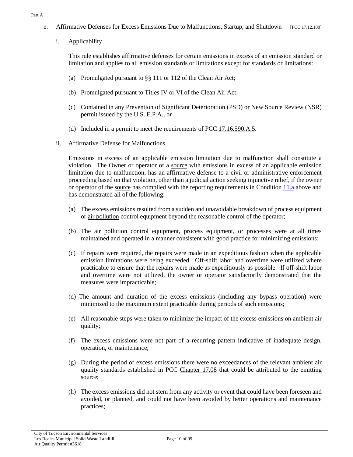- <span id="page-9-1"></span>e. Affirmative Defenses for Excess Emissions Due to Malfunctions, Startup, and Shutdown [PCC 17.12.180]
	- i. Applicability

This rule establishes affirmative defenses for certain emissions in excess of an emission standard or limitation and applies to all emission standards or limitations except for standards or limitations:

- (a) Promulgated pursuant to  $\S\S 111$  $\S\S 111$  or  $112$  of the Clean Air Act;
- (b) Promulgated pursuant to Titles [IV](https://tinyurl.com/CAA-TitleIVA-A) or [VI](https://tinyurl.com/CAA-TitleVI-A) of the Clean Air Act;
- (c) Contained in any Prevention of Significant Deterioration (PSD) or New Source Review (NSR) permit issued by the U.S. E.P.A., or
- (d) Included in a permit to meet the requirements of PCC  $17.16.590.A.5$ .
- <span id="page-9-0"></span>ii. Affirmative Defense for Malfunctions

Emissions in excess of an applicable emission limitation due to malfunction shall constitute a violation. The Owner or operator of a [source](#page-20-0) with emissions in excess of an applicable emission limitation due to malfunction, has an affirmative defense to a civil or administrative enforcement proceeding based on that violation, other than a judicial action seeking injunctive relief, if the owner or operator of the [source](#page-20-0) has complied with the reporting requirements in Condition [11.a](#page-7-3) above and has demonstrated all of the following:

- (a) The excess emissions resulted from a sudden and unavoidable breakdown of process equipment or [air pollution](#page-17-4) control equipment beyond the reasonable control of the operator;
- (b) The [air pollution](#page-17-4) control equipment, process equipment, or processes were at all times maintained and operated in a manner consistent with good practice for minimizing emissions;
- (c) If repairs were required, the repairs were made in an expeditious fashion when the applicable emission limitations were being exceeded. Off-shift labor and overtime were utilized where practicable to ensure that the repairs were made as expeditiously as possible. If off-shift labor and overtime were not utilized, the owner or operator satisfactorily demonstrated that the measures were impracticable;
- (d) The amount and duration of the excess emissions (including any bypass operation) were minimized to the maximum extent practicable during periods of such emissions;
- (e) All reasonable steps were taken to minimize the impact of the excess emissions on ambient air quality;
- (f) The excess emissions were not part of a recurring pattern indicative of inadequate design, operation, or maintenance;
- (g) During the period of excess emissions there were no exceedances of the relevant ambient air quality standards established in [PCC Chapter 17.08](https://tinyurl.com/PCC-17-08) that could be attributed to the emitting [source;](#page-20-0)
- (h) The excess emissions did not stem from any activity or event that could have been foreseen and avoided, or planned, and could not have been avoided by better operations and maintenance practices;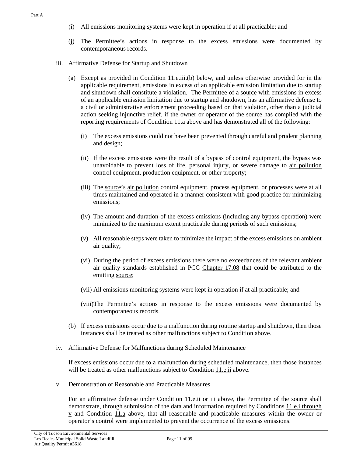- (i) All emissions monitoring systems were kept in operation if at all practicable; and
- <span id="page-10-0"></span>(j) The Permittee's actions in response to the excess emissions were documented by contemporaneous records.
- iii. Affirmative Defense for Startup and Shutdown
	- (a) Except as provided in Condition  $11.e.iii(b)$  below, and unless otherwise provided for in the applicable requirement, emissions in excess of an applicable emission limitation due to startup and shutdown shall constitute a violation. The Permittee of a [source](#page-20-0) with emissions in excess of an applicable emission limitation due to startup and shutdown, has an affirmative defense to a civil or administrative enforcement proceeding based on that violation, other than a judicial action seeking injunctive relief, if the owner or operator of the [source](#page-20-0) has complied with the reporting requirements of Condition 11.a above and has demonstrated all of the following:
		- (i) The excess emissions could not have been prevented through careful and prudent planning and design;
		- (ii) If the excess emissions were the result of a bypass of control equipment, the bypass was unavoidable to prevent loss of life, personal injury, or severe damage to [air pollution](#page-17-4) control equipment, production equipment, or other property;
		- (iii) The [source'](#page-20-0)s [air pollution](#page-17-4) control equipment, process equipment, or processes were at all times maintained and operated in a manner consistent with good practice for minimizing emissions;
		- (iv) The amount and duration of the excess emissions (including any bypass operation) were minimized to the maximum extent practicable during periods of such emissions;
		- (v) All reasonable steps were taken to minimize the impact of the excess emissions on ambient air quality;
		- (vi) During the period of excess emissions there were no exceedances of the relevant ambient air quality standards established in [PCC Chapter 17.08](https://tinyurl.com/PCC-17-08) that could be attributed to the emitting [source;](#page-20-0)
		- (vii) All emissions monitoring systems were kept in operation if at all practicable; and
		- (viii)The Permittee's actions in response to the excess emissions were documented by contemporaneous records.
	- (b) If excess emissions occur due to a malfunction during routine startup and shutdown, then those instances shall be treated as other malfunctions subject to Condition above.
- iv. Affirmative Defense for Malfunctions during Scheduled Maintenance

If excess emissions occur due to a malfunction during scheduled maintenance, then those instances will be treated as other malfunctions subject to [Condition](#page-9-0) 11.e.ii above.

v. Demonstration of Reasonable and Practicable Measures

For an affirmative defense under [Condition 11.e.ii](#page-9-0) or iii above, the Permittee of the [source](#page-20-0) shall demonstrate, through submission of the data and information required by Conditions [11.e.i through](#page-9-1)  [v](#page-9-1) and [Condition 11.a](#page-7-3) above, that all reasonable and practicable measures within the owner or operator's control were implemented to prevent the occurrence of the excess emissions.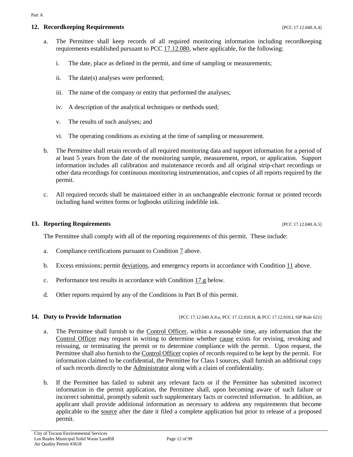## **12. Recordkeeping Requirements** [PCC 17.12.040.A.4]

- a. The Permittee shall keep records of all required monitoring information including recordkeeping requirements established pursuant to [PCC 17.12.080,](https://tinyurl.com/PCC-17-12-080) where applicable, for the following:
	- i. The date, place as defined in the permit, and time of sampling or measurements;
	- ii. The date(s) analyses were performed;
	- iii. The name of the company or entity that performed the analyses;
	- iv. A description of the analytical techniques or methods used;
	- v. The results of such analyses; and
	- vi. The operating conditions as existing at the time of sampling or measurement.
- b. The Permittee shall retain records of all required monitoring data and support information for a period of at least 5 years from the date of the monitoring sample, measurement, report, or application. Support information includes all calibration and maintenance records and all original strip-chart recordings or other data recordings for continuous monitoring instrumentation, and copies of all reports required by the permit.
- c. All required records shall be maintained either in an unchangeable electronic format or printed records including hand written forms or logbooks utilizing indelible ink.

### **13. Reporting Requirements 17.12.040.A.5**

The Permittee shall comply with all of the reporting requirements of this permit. These include:

- a. Compliance certifications pursuant to [Condition 7](#page-5-1) above.
- b. Excess emissions; permit [deviations,](#page-18-0) and emergency reports in accordance with Condition  $11$  above.
- c. Performance test results in accordance with [Condition 17.g](#page-14-0) below.
- d. Other reports required by any of the Conditions in Part B of this permit.

**14. Duty to Provide Information** [PCC 17.12.040.A.8.e, PCC 17.12.010.H, & PCC 17.12.010.I, SIP Rule 621]

- a. The Permittee shall furnish to the [Control Officer,](#page-17-3) within a reasonable time, any information that the [Control Officer](#page-17-3) may request in writing to determine whether [cause](#page-17-1) exists for revising, revoking and reissuing, or terminating the permit or to determine compliance with the permit. Upon request, the Permittee shall also furnish to th[e Control Officer](#page-17-3) copies of records required to be kept by the permit. For information claimed to be confidential, the Permittee for Class I sources, shall furnish an additional copy of such records directly to the [Administrator](#page-17-2) along with a claim of confidentiality.
- b. If the Permittee has failed to submit any relevant facts or if the Permittee has submitted incorrect information in the permit application, the Permittee shall, upon becoming aware of such failure or incorrect submittal, promptly submit such supplementary facts or corrected information. In addition, an applicant shall provide additional information as necessary to address any requirements that become applicable to the [source](#page-20-0) after the date it filed a complete application but prior to release of a proposed permit.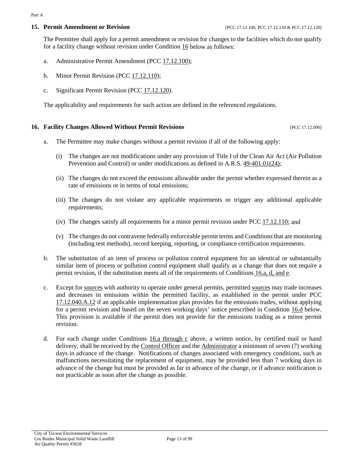### **15. Permit Amendment or Revision** [PCC 17.12.100, PCC 17.12.110 & PCC 17.12.120]

The Permittee shall apply for a permit amendment or revision for changes to the facilities which do not qualify for a facility change without revision under [Condition 16](#page-12-0) below as follows:

- a. Administrative Permit Amendment [\(PCC 17.12.100\)](https://tinyurl.com/17-12-100-A);
- <span id="page-12-3"></span>b. Minor Permit Revision [\(PCC 17.12.110\)](https://tinyurl.com/17-12-100-A);
- c. Significant Permit Revision (PCC [17.12.120\)](https://tinyurl.com/17-12-120-A).

The applicability and requirements for such action are defined in the referenced regulations.

### <span id="page-12-0"></span>**16. Facility Changes Allowed Without Permit Revisions** [PCC 17.12.090]

- <span id="page-12-1"></span>a. The Permittee may make changes without a permit revision if all of the following apply:
	- (i) The changes are not modifications under any provision of Title I of the Clean Air Act (Air Pollution Prevention and Control) or under modifications as defined in A.R.S. [49-401.01\(24\);](https://tinyurl.com/ARS-49-401-01)
	- (ii) The changes do not exceed the emissions allowable under the permit whether expressed therein as a rate of emissions or in terms of total emissions;
	- (iii) The changes do not violate any applicable requirements or trigger any additional applicable requirements;
	- (iv) The changes satisfy all requirements for a minor permit revision under [PCC 17.12.110;](https://tinyurl.com/17-11-110) and
	- (v) The changes do not contravene federally enforceable permit terms and Conditionsthat are monitoring (including test methods), record keeping, reporting, or compliance certification requirements.
- b. The substitution of an item of process or pollution control equipment for an identical or substantially similar item of process or pollution control equipment shall qualify as a change that does not require a permit revision, if the substitution meets all of the requirements of Conditions [16.a, d, and e.](#page-12-1)
- c. Except for [sources](#page-20-0) with authority to operate under general permits, permitted [sources](#page-20-0) may trade increases and decreases in emissions within the permitted facility, as established in the permit under [PCC](https://tinyurl.com/17-12-040-A) [17.12.040.A.12](https://tinyurl.com/17-12-040-A) if an applicable implementation plan provides for the emissions trades, without applying for a permit revision and based on the seven working days' notice prescribed in [Condition 16.d](#page-12-2) below. This provision is available if the permit does not provide for the emissions trading as a minor permit revision.
- <span id="page-12-2"></span>d. For each change under Conditions  $16a$  through c above, a written notice, by certified mail or hand delivery, shall be received by the [Control Officer](#page-17-3) and the [Administrator](#page-17-2) a minimum of seven (7) working days in advance of the change. Notifications of changes associated with emergency conditions, such as malfunctions necessitating the replacement of equipment, may be provided less than 7 working days in advance of the change but must be provided as far in advance of the change, or if advance notification is not practicable as soon after the change as possible.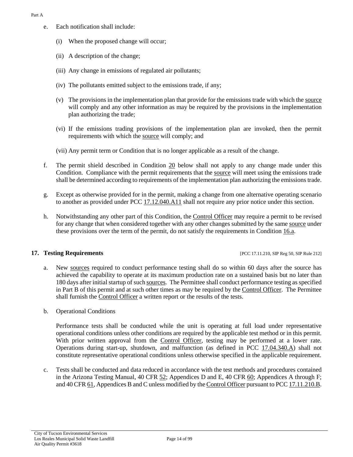- e. Each notification shall include:
	- (i) When the proposed change will occur;
	- (ii) A description of the change;
	- (iii) Any change in emissions of regulated air pollutants;
	- (iv) The pollutants emitted subject to the emissions trade, if any;
	- (v) The provisions in the implementation plan that provide for the emissions trade with which th[e source](#page-20-0) will comply and any other information as may be required by the provisions in the implementation plan authorizing the trade;
	- (vi) If the emissions trading provisions of the implementation plan are invoked, then the permit requirements with which the [source](#page-20-0) will comply; and
	- (vii) Any permit term or Condition that is no longer applicable as a result of the change.
- f. The permit shield described in [Condition 20](#page-15-0) below shall not apply to any change made under this Condition. Compliance with the permit requirements that the [source](#page-20-0) will meet using the emissions trade shall be determined according to requirements of the implementation plan authorizing the emissions trade.
- g. Except as otherwise provided for in the permit, making a change from one alternative operating scenario to another as provided under [PCC 17.12.040.A11](https://tinyurl.com/17-12-040-A) shall not require any prior notice under this section.
- h. Notwithstanding any other part of this Condition, the [Control Officer](#page-17-3) may require a permit to be revised for any change that when considered together with any other changes submitted by the same [source](#page-20-0) under these provisions over the term of the permit, do not satisfy the requirements in [Condition 16.a.](#page-12-1)

### **17. Testing Requirements** [PCC 17.11.210, SIP Reg 50, SIP Rule 212]

- a. New [sources](#page-20-0) required to conduct performance testing shall do so within 60 days after the source has achieved the capability to operate at its maximum production rate on a sustained basis but no later than 180 days after initial startup of suc[h sources.](#page-20-0) The Permittee shall conduct performance testing as specified in Part B of this permit and at such other times as may be required by the [Control](#page-17-3) Officer. The Permittee shall furnish the [Control Officer](#page-17-3) a written report or the results of the tests.
- b. Operational Conditions

Performance tests shall be conducted while the unit is operating at full load under representative operational conditions unless other conditions are required by the applicable test method or in this permit. With prior written approval from the [Control Officer,](#page-17-3) testing may be performed at a lower rate. Operations during start-up, shutdown, and malfunction (as defined in [PCC 17.04.340.A\)](https://tinyurl.com/17-04-340) shall not constitute representative operational conditions unless otherwise specified in the applicable requirement.

c. Tests shall be conducted and data reduced in accordance with the test methods and procedures contained in the Arizona Testing Manual, [40 CFR 52;](https://tinyurl.com/40-CFR-52) Appendices D and E, [40 CFR 60;](https://tinyurl.com/40-CFR-60-INCL) Appendices A through F; an[d 40 CFR 61,](https://tinyurl.com/40-cfr-61) Appendices B and C unless modified by th[e Control Officer](#page-17-3) pursuant t[o PCC 17.11.210.B.](https://tinyurl.com/17-12-210-A)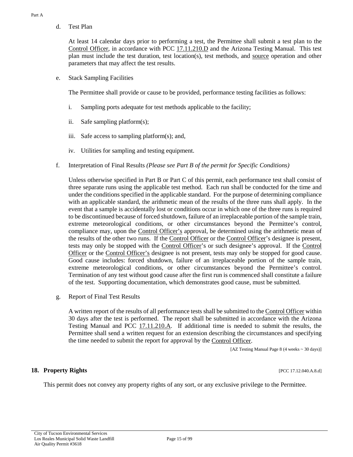d. Test Plan

At least 14 calendar days prior to performing a test, the Permittee shall submit a test plan to the [Control Officer,](#page-17-3) in accordance with [PCC 17.11.210.D](https://tinyurl.com/17-12-210-A) and the Arizona Testing Manual. This test plan must include the test duration, test location(s), test methods, and [source](#page-20-0) operation and other parameters that may affect the test results.

e. Stack Sampling Facilities

The Permittee shall provide or cause to be provided, performance testing facilities as follows:

- i. Sampling ports adequate for test methods applicable to the facility;
- ii. Safe sampling platform(s);
- iii. Safe access to sampling platform(s); and,
- iv. Utilities for sampling and testing equipment.
- f. Interpretation of Final Results *(Please see Part B of the permit for Specific Conditions)*

Unless otherwise specified in Part B or Part C of this permit, each performance test shall consist of three separate runs using the applicable test method. Each run shall be conducted for the time and under the conditions specified in the applicable standard. For the purpose of determining compliance with an applicable standard, the arithmetic mean of the results of the three runs shall apply. In the event that a sample is accidentally lost or conditions occur in which one of the three runs is required to be discontinued because of forced shutdown, failure of an irreplaceable portion of the sample train, extreme meteorological conditions, or other circumstances beyond the Permittee's control, compliance may, upon the [Control Officer's](#page-17-3) approval, be determined using the arithmetic mean of the results of the other two runs. If the [Control Officer](#page-17-3) or the [Control Officer'](#page-17-3)s designee is present, tests may only be stopped with the [Control Officer'](#page-17-3)s or such designee's approval. If the [Control](#page-17-3)  [Officer](#page-17-3) or the [Control Officer's](#page-17-3) designee is not present, tests may only be stopped for good cause. Good cause includes: forced shutdown, failure of an irreplaceable portion of the sample train, extreme meteorological conditions, or other circumstances beyond the Permittee's control. Termination of any test without good cause after the first run is commenced shall constitute a failure of the test. Supporting documentation, which demonstrates good cause, must be submitted.

<span id="page-14-0"></span>g. Report of Final Test Results

A written report of the results of all performance tests shall be submitted to th[e Control Officer](#page-17-3) within 30 days after the test is performed. The report shall be submitted in accordance with the Arizona Testing Manual and [PCC 17.11.210.A.](https://tinyurl.com/17-12-210-A) If additional time is needed to submit the results, the Permittee shall send a written request for an extension describing the circumstances and specifying the time needed to submit the report for approval by the [Control Officer.](#page-17-3)

[AZ Testing Manual Page 8 (4 weeks ~ 30 days)]

### **18. Property Rights** [PCC 17.12.040.A.8.d]

This permit does not convey any property rights of any sort, or any exclusive privilege to the Permittee.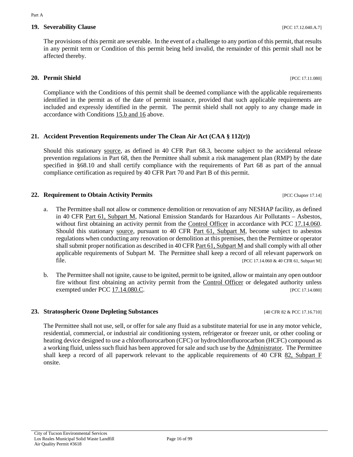# **19. Severability Clause 19. Severability Clause 19. Severability Clause 19. Severability Clause 19. Severability Clause 19. Severability Clause 19. Severability Clause 19. Severability Clause 19. Severabil**

The provisions of this permit are severable. In the event of a challenge to any portion of this permit, that results in any permit term or Condition of this permit being held invalid, the remainder of this permit shall not be affected thereby.

# <span id="page-15-0"></span>**20. Permit Shield** [PCC 17.11.080]

Compliance with the Conditions of this permit shall be deemed compliance with the applicable requirements identified in the permit as of the date of permit issuance, provided that such applicable requirements are included and expressly identified in the permit. The permit shield shall not apply to any change made in accordance with [Conditions 15.b and 16](#page-12-3) above.

## **21. Accident Prevention Requirements under The Clean Air Act (CAA § 112(r))**

Should this stationary [source,](#page-20-0) as defined in 40 CFR Part 68.3, become subject to the accidental release prevention regulations in Part 68, then the Permittee shall submit a risk management plan (RMP) by the date specified in §68.10 and shall certify compliance with the requirements of Part 68 as part of the annual compliance certification as required by 40 CFR Part 70 and Part B of this permit.

## **22. Requirement to Obtain Activity Permits 12. In the UPCC Chapter 17.14**]

- a. The Permittee shall not allow or commence demolition or renovation of any NESHAP facility, as defined in [40 CFR Part 61, Subpart M,](https://tinyurl.com/Part-61-subpart-M) National Emission Standards for Hazardous Air Pollutants – Asbestos, without first obtaining an activity permit from the [Control Officer](#page-17-3) in accordance with PCC 17.14.060. Should this stationary [source,](#page-20-0) pursuant to [40 CFR Part 61, Subpart M,](https://tinyurl.com/Part-61-subpart-M) become subject to asbestos regulations when conducting any renovation or demolition at this premises, then the Permittee or operator shall submit proper notification as described in [40 CFR Part 61, Subpart M](https://tinyurl.com/Part-61-subpart-M) and shall comply with all other applicable requirements of Subpart M. The Permittee shall keep a record of all relevant paperwork on file. [PCC 17.14.060 & 40 CFR 61, Subpart M]
- b. The Permittee shall not ignite, cause to be ignited, permit to be ignited, allow or maintain any open outdoor fire without first obtaining an activity permit from the [Control Officer](#page-17-3) or delegated authority unless exempted under [PCC 17.14.080.C.](https://tinyurl.com/PCC-17-14-080) [PCC 17.14.080]

### **23. Stratospheric Ozone Depleting Substances** [40 CFR 82 & PCC 17.16.710]

The Permittee shall not use, sell, or offer for sale any fluid as a substitute material for use in any motor vehicle, residential, commercial, or industrial air conditioning system, refrigerator or freezer unit, or other cooling or heating device designed to use a chlorofluorocarbon (CFC) or hydrochlorofluorocarbon (HCFC) compound as a working fluid, unless such fluid has been approved for sale and such use by th[e Administrator.](#page-17-2) The Permittee shall keep a record of all paperwork relevant to the applicable requirements of [40 CFR 82, Subpart F](https://tinyurl.com/40-CFR-82-F) onsite.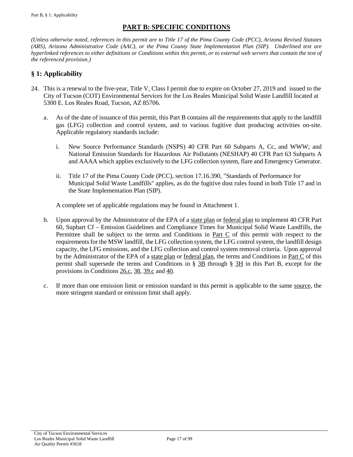# **PART B: SPECIFIC CONDITIONS**

<span id="page-16-0"></span>*(Unless otherwise noted, references in this permit are to Title 17 of the Pima County Code (PCC), Arizona Revised Statutes (ARS), Arizona Administrative Code (AAC), or the Pima County State Implementation Plan (SIP). Underlined text are hyperlinked references to either definitions or Conditions within this permit, or to external web servers that contain the text of the referenced provision.)*

# <span id="page-16-1"></span>**§ 1: Applicability**

- 24. This is a renewal to the five-year, Title V, Class I permit due to expire on October 27, 2019 and issued to the City of Tucson (COT) Environmental Services for the Los Reales Municipal Solid Waste Landfill located at 5300 E. Los Reales Road, Tucson, AZ 85706.
	- a. As of the date of issuance of this permit, this Part B contains all the requirements that apply to the landfill gas (LFG) collection and control system, and to various fugitive dust producing activities on-site. Applicable regulatory standards include:
		- i. New Source Performance Standards (NSPS) 40 CFR Part 60 Subparts A, Cc, and WWW; and National Emission Standards for Hazardous Air Pollutants (NESHAP) 40 CFR Part 63 Subparts A and AAAA which applies exclusively to the LFG collection system, flare and Emergency Generator.
		- ii. Title 17 of the Pima County Code (PCC), section 17.16.390, "Standards of Performance for Municipal Solid Waste Landfills" applies, as do the fugitive dust rules found in both Title 17 and in the State Implementation Plan (SIP).

A complete set of applicable regulations may be found in Attachment 1.

- b. Upon approval by the Administrator of the EPA of a [state plan](#page-18-1) or [federal plan](#page-18-2) to implement 40 CFR Part 60, Supbart Cf – Emission Guidelines and Compliance Times for Municipal Solid Waste Landfills, the Permittee shall be subject to the terms and Conditions in Part  $C$  of this permit with respect to the requirements for the MSW landfill, the LFG collection system, the LFG control system, the landfill design capacity, the LFG emissions, and the LFG collection and control system removal criteria. Upon approval by the Administrator of the EPA of a [state plan](#page-18-1) or [federal plan,](#page-18-2) the terms and Conditions in [Part C](#page-46-0) of this permit shall supersede the terms and Conditions in [§ 3B](#page-21-2) through [§ 3H](#page-36-0) in this Part B, except for the provisions in [Conditions](#page-21-3) 26.c, [38,](#page-31-1) [39.c](#page-32-0) and [40.](#page-33-1)
- c. If more than one emission limit or emission standard in this permit is applicable to the same [source,](#page-51-0) the more stringent standard or emission limit shall apply.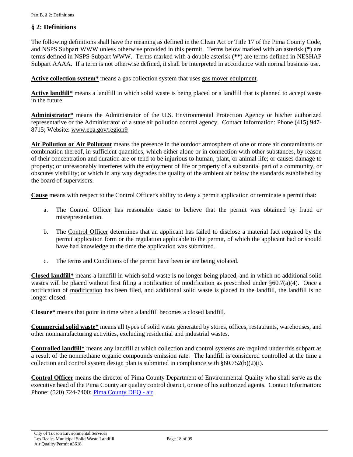# <span id="page-17-0"></span>**§ 2: Definitions**

The following definitions shall have the meaning as defined in the Clean Act or Title 17 of the Pima County Code, and NSPS Subpart WWW unless otherwise provided in this permit. Terms below marked with an asterisk (**\***) are terms defined in NSPS Subpart WWW. Terms marked with a double asterisk (**\*\***) are terms defined in NESHAP Subpart AAAA. If a term is not otherwise defined, it shall be interpreted in accordance with normal business use.

**Active collection system\*** means a gas collection system that uses [gas mover equipment.](#page-18-3)

**Active landfill\*** means a landfill in which solid waste is being placed or a landfill that is planned to accept waste in the future.

<span id="page-17-2"></span>**Administrator\*** means the Administrator of the U.S. Environmental Protection Agency or his/her authorized representative or the Administrator of a state air pollution control agency. Contact Information: Phone (415) 947- 8715; Website[: www.epa.gov/region9](https://www.epa.gov/aboutepa/epa-region-9-pacific-southwest)

<span id="page-17-4"></span>**Air Pollution or Air Pollutant** means the presence in the outdoor atmosphere of one or more air contaminants or combination thereof, in sufficient quantities, which either alone or in connection with other substances, by reason of their concentration and duration are or tend to be injurious to human, plant, or animal life; or causes damage to property; or unreasonably interferes with the enjoyment of life or property of a substantial part of a community, or obscures visibility; or which in any way degrades the quality of the ambient air below the standards established by the board of supervisors.

<span id="page-17-1"></span>**Cause** means with respect to the [Control Officer's](#page-17-3) ability to deny a permit application or terminate a permit that:

- a. The [Control Officer](#page-17-3) has reasonable cause to believe that the permit was obtained by fraud or misrepresentation.
- b. The [Control Officer](#page-17-3) determines that an applicant has failed to disclose a material fact required by the permit application form or the regulation applicable to the permit, of which the applicant had or should have had knowledge at the time the application was submitted.
- c. The terms and Conditions of the permit have been or are being violated.

<span id="page-17-5"></span>**Closed landfill\*** means a landfill in which solid waste is no longer being placed, and in which no additional solid wastes will be placed without first filing a notification of [modification](#page-19-0) as prescribed under §60.7(a)(4). Once a notification of [modification](#page-19-0) has been filed, and additional solid waste is placed in the landfill, the landfill is no longer closed.

<span id="page-17-7"></span>**Closure\*** means that point in time when a landfill becomes a [closed landfill.](#page-17-5)

<span id="page-17-6"></span>**Commercial solid waste\*** means all types of solid waste generated by stores, offices, restaurants, warehouses, and other nonmanufacturing activities, excluding residential and [industrial wastes.](#page-19-1)

<span id="page-17-8"></span>**Controlled landfill\*** means any landfill at which collection and control systems are required under this subpart as a result of the nonmethane organic compounds emission rate. The landfill is considered controlled at the time a collection and control system design plan is submitted in compliance with  $§60.752(b)(2)(i)$ .

<span id="page-17-3"></span>**Control Officer** means the director of Pima County Department of Environmental Quality who shall serve as the executive head of the Pima County air quality control district, or one of his authorized agents. Contact Information: Phone: (520) 724-7400; [Pima County DEQ -](http://webcms.pima.gov/government/environmental_quality/) air.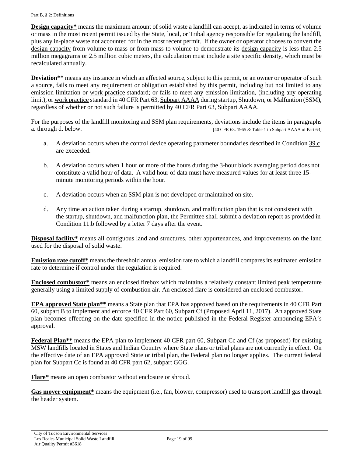<span id="page-18-4"></span>**Design capacity\*** means the maximum amount of solid waste a landfill can accept, as indicated in terms of volume or mass in the most recent permit issued by the State, local, or Tribal agency responsible for regulating the landfill, plus any in-place waste not accounted for in the most recent permit. If the owner or operator chooses to convert the [design capacity](#page-18-4) from volume to mass or from mass to volume to demonstrate its [design capacity](#page-18-4) is less than 2.5 million megagrams or 2.5 million cubic meters, the calculation must include a site specific density, which must be recalculated annually.

<span id="page-18-0"></span>**Deviation\*\*** means any instance in which an affected [source,](#page-20-0) subject to this permit, or an owner or operator of such a [source,](#page-20-0) fails to meet any requirement or obligation established by this permit, including but not limited to any emission limitation or [work practice](#page-20-1) standard; or fails to meet any emission limitation, (including any operating limit), o[r work practice](#page-20-1) standard in 40 CFR Part 63, [Subpart AAAA](https://tinyurl.com/40-CFR-63-Subpart-AAAA) during startup, Shutdown, or Malfuntion (SSM), regardless of whether or not such failure is permitted by 40 CFR Part 63, Subpart AAAA.

For the purposes of the landfill monitoring and SSM plan requirements, deviations include the items in paragraphs a. through d. below. [40 CFR 63. 1965 & Table 1 to Subpart AAAA of Part 63]

- a. A deviation occurs when the control device operating parameter boundaries described in [Condition 39.c](#page-32-0) are exceeded.
- b. A deviation occurs when 1 hour or more of the hours during the 3-hour block averaging period does not constitute a valid hour of data. A valid hour of data must have measured values for at least three 15 minute monitoring periods within the hour.
- c. A deviation occurs when an SSM plan is not developed or maintained on site.
- d. Any time an action taken during a startup, shutdown, and malfunction plan that is not consistent with the startup, shutdown, and malfunction plan, the Permittee shall submit a deviation report as provided in [Condition 11.b](#page-8-0) followed by a letter 7 days after the event.

<span id="page-18-5"></span>**Disposal facility\*** means all contiguous land and structures, other appurtenances, and improvements on the land used for the disposal of solid waste.

**Emission rate cutoff\*** means the threshold annual emission rate to which a landfill compares its estimated emission rate to determine if control under the regulation is required.

<span id="page-18-7"></span>**Enclosed combustor\*** means an enclosed firebox which maintains a relatively constant limited peak temperature generally using a limited supply of combustion air. An enclosed flare is considered an enclosed combustor.

<span id="page-18-1"></span>**EPA approved State plan\*\*** means a State plan that EPA has approved based on the requirements in 40 CFR Part 60, subpart B to implement and enforce 40 CFR Part 60, Subpart Cf (Proposed April 11, 2017). An approved State plan becomes effecting on the date specified in the notice published in the Federal Register announcing EPA's approval.

<span id="page-18-2"></span>**Federal Plan\*\*** means the EPA plan to implement 40 CFR part 60, Subpart Cc and Cf (as proposed) for existing MSW landfills located in States and Indian Country where State plans or tribal plans are not currently in effect. On the effective date of an EPA approved State or tribal plan, the Federal plan no longer applies. The current federal plan for Subpart Cc is found at 40 CFR part 62, subpart GGG.

<span id="page-18-6"></span>**Flare\*** means an open combustor without enclosure or shroud.

<span id="page-18-3"></span>**Gas mover equipment\*** means the equipment (i.e., fan, blower, compressor) used to transport landfill gas through the header system.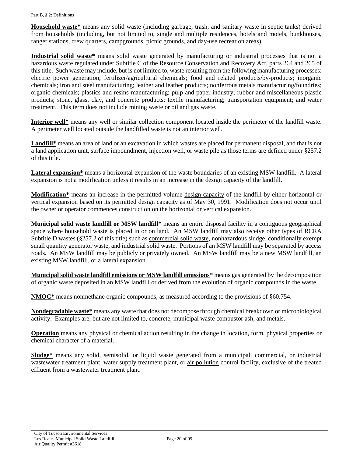<span id="page-19-2"></span>**Household waste\*** means any solid waste (including garbage, trash, and sanitary waste in septic tanks) derived from households (including, but not limited to, single and multiple residences, hotels and motels, bunkhouses, ranger stations, crew quarters, campgrounds, picnic grounds, and day-use recreation areas).

<span id="page-19-1"></span>**Industrial solid waste\*** means solid waste generated by manufacturing or industrial processes that is not a hazardous waste regulated under Subtitle C of the Resource Conservation and Recovery Act, parts 264 and 265 of this title. Such waste may include, but is not limited to, waste resulting from the following manufacturing processes: electric power generation; fertilizer/agricultural chemicals; food and related products/by-products; inorganic chemicals; iron and steel manufacturing; leather and leather products; nonferrous metals manufacturing/foundries; organic chemicals; plastics and resins manufacturing; pulp and paper industry; rubber and miscellaneous plastic products; stone, glass, clay, and concrete products; textile manufacturing; transportation equipment; and water treatment. This term does not include mining waste or oil and gas waste.

<span id="page-19-5"></span>**Interior well\*** means any well or similar collection component located inside the perimeter of the landfill waste. A perimeter well located outside the landfilled waste is not an interior well.

**Landfill\*** means an area of land or an excavation in which wastes are placed for permanent disposal, and that is not a land application unit, surface impoundment, injection well, or waste pile as those terms are defined under §257.2 of this title.

<span id="page-19-3"></span>**Lateral expansion\*** means a horizontal expansion of the waste boundaries of an existing MSW landfill. A lateral expansion is not a [modification](#page-19-0) unless it results in an increase in the [design capacity](#page-18-4) of the landfill.

<span id="page-19-0"></span>**Modification\*** means an increase in the permitted volume [design capacity](#page-18-4) of the landfill by either horizontal or vertical expansion based on its permitted [design capacity](#page-18-4) as of May 30, 1991. Modification does not occur until the owner or operator commences construction on the horizontal or vertical expansion.

**Municipal solid waste landfill or MSW landfill\*** means an entire [disposal facility](#page-18-5) in a contiguous geographical space where [household waste](#page-19-2) is placed in or on land. An MSW landfill may also receive other types of RCRA Subtitle D wastes (§257.2 of this title) such as [commercial solid waste,](#page-17-6) nonhazardous sludge, conditionally exempt small quantity generator waste, and industrial solid waste. Portions of an MSW landfill may be separated by access roads. An MSW landfill may be publicly or privately owned. An MSW landfill may be a new MSW landfill, an existing MSW landfill, or a [lateral expansion.](#page-19-3)

**Municipal solid waste landfill emissions or MSW landfill emissions**\* means gas generated by the decomposition of organic waste deposited in an MSW landfill or derived from the evolution of organic compounds in the waste.

**NMOC\*** means nonmethane organic compounds, as measured according to the provisions of §60.754.

<span id="page-19-6"></span>**Nondegradable waste\*** means any waste that does not decompose through chemical breakdown or microbiological activity. Examples are, but are not limited to, concrete, municipal waste combustor ash, and metals.

**Operation** means any physical or chemical action resulting in the change in location, form, physical properties or chemical character of a material.

<span id="page-19-4"></span>**Sludge\*** means any solid, semisolid, or liquid waste generated from a municipal, commercial, or industrial wastewater treatment plant, water supply treatment plant, or [air pollution](#page-17-4) control facility, exclusive of the treated effluent from a wastewater treatment plant.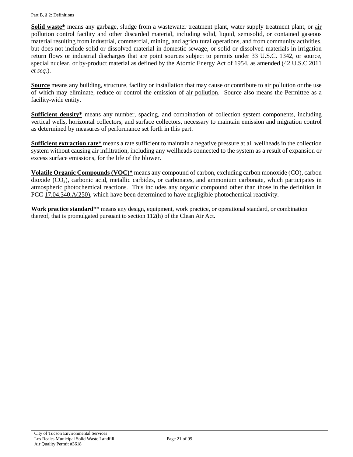**Solid waste\*** means any garbage, sludge from a wastewater treatment plant, water supply treatment plant, or [air](#page-17-4)  [pollution](#page-17-4) control facility and other discarded material, including solid, liquid, semisolid, or contained gaseous material resulting from industrial, commercial, mining, and agricultural operations, and from community activities, but does not include solid or dissolved material in domestic sewage, or solid or dissolved materials in irrigation return flows or industrial discharges that are point sources subject to permits under 33 U.S.C. 1342, or source, special nuclear, or by-product material as defined by the Atomic Energy Act of 1954, as amended (42 U.S.C 2011 *et seq.*).

<span id="page-20-3"></span><span id="page-20-0"></span>**Source** means any building, structure, facility or installation that may cause or contribute to [air pollution](#page-17-4) or the use of which may eliminate, reduce or control the emission of [air pollution.](#page-17-4) Source also means the Permittee as a facility-wide entity.

**Sufficient density\*** means any number, spacing, and combination of collection system components, including vertical wells, horizontal collectors, and surface collectors, necessary to maintain emission and migration control as determined by measures of performance set forth in this part.

<span id="page-20-2"></span>**Sufficient extraction rate\*** means a rate sufficient to maintain a negative pressure at all wellheads in the collection system without causing air infiltration, including any wellheads connected to the system as a result of expansion or excess surface emissions, for the life of the blower.

**Volatile Organic Compounds (VOC)\*** means any compound of carbon, excluding carbon monoxide (CO), carbon dioxide (CO2), carbonic acid, metallic carbides, or carbonates, and ammonium carbonate, which participates in atmospheric photochemical reactions. This includes any organic compound other than those in the definition in [PCC 17.04.340.A\(250\),](http://library.amlegal.com/nxt/gateway.dll/Arizona/pimacounty_az/title17airqualitycontrol?f=templates$fn=default.htm$3.0$vid=amlegal:pimacounty_az$anc=JD_17.04.340) which have been determined to have negligible photochemical reactivity.

<span id="page-20-1"></span>**Work practice standard\*\*** means any design, equipment, work practice, or operational standard, or combination thereof, that is promulgated pursuant to section 112(h) of the Clean Air Act.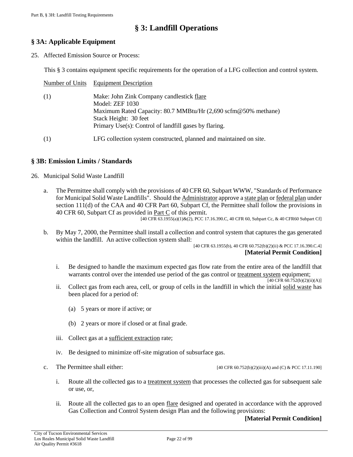# **§ 3: Landfill Operations**

# <span id="page-21-1"></span><span id="page-21-0"></span>**§ 3A: Applicable Equipment**

25. Affected Emission Source or Process:

This § 3 contains equipment specific requirements for the operation of a LFG collection and control system.

|     | Number of Units Equipment Description                                                                                                                                                                            |
|-----|------------------------------------------------------------------------------------------------------------------------------------------------------------------------------------------------------------------|
| (1) | Make: John Zink Company candlestick flare<br>Model: ZEF 1030<br>Maximum Rated Capacity: 80.7 MMBtu/Hr (2,690 scfm@50% methane)<br>Stack Height: 30 feet<br>Primary Use(s): Control of landfill gases by flaring. |
| (1) | LFG collection system constructed, planned and maintained on site.                                                                                                                                               |

# <span id="page-21-2"></span>**§ 3B: Emission Limits / Standards**

- 26. Municipal Solid Waste Landfill
	- a. The Permittee shall comply with the provisions of 40 CFR 60, Subpart WWW, "Standards of Performance for Municipal Solid Waste Landfills". Should the [Administrator](#page-17-2) approve [a state plan](#page-18-1) or [federal plan](#page-18-2) under section 111(d) of the CAA and 40 CFR Part 60, Subpart Cf, the Permittee shall follow the provisions in 40 CFR 60, Subpart Cf as provided in [Part C](#page-46-0) of this permit.

[40 CFR 63.1955(a)(1)&(2), PCC 17.16.390.C, 40 CFR 60, Subpart Cc, & 40 CFR60 Subpart Cf]

<span id="page-21-4"></span>b. By May 7, 2000, the Permittee shall install a collection and control system that captures the gas generated within the landfill. An active collection system shall:

[40 CFR 63.1955(b), 40 CFR 60.752(b)(2)(ii) & PCC 17.16.390.C.4] **[Material Permit Condition]**

<span id="page-21-5"></span>i. Be designed to handle the maximum expected gas flow rate from the entire area of the landfill that warrants control over the intended use period of the gas control or [treatment system](#page-51-1) equipment;

[40 CFR 60.752(b)(2)(ii)(A)]

- <span id="page-21-6"></span>ii. Collect gas from each area, cell, or group of cells in the landfill in which the initial [solid waste](#page-19-4) has been placed for a period of:
	- (a) 5 years or more if active; or
	- (b) 2 years or more if closed or at final grade.
- <span id="page-21-7"></span>iii. Collect gas at a [sufficient extraction](#page-20-2) rate;
- iv. Be designed to minimize off-site migration of subsurface gas.
- <span id="page-21-8"></span><span id="page-21-3"></span>
- c. The Permittee shall either:  $[40 \text{ CFR } 60.752(b)(2)(iii)(A)$  and (C) & PCC 17.11.190]
	- i. Route all the collected gas to a [treatment system](#page-51-1) that processes the collected gas for subsequent sale or use, or,
	- ii. Route all the collected gas to an open [flare](#page-18-6) designed and operated in accordance with the approved Gas Collection and Control System design Plan and the following provisions:

### **[Material Permit Condition]**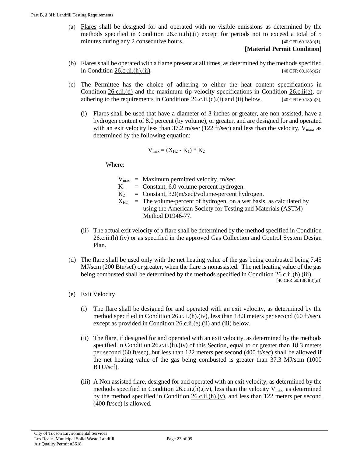(a) [Flares](#page-18-6) shall be designed for and operated with no visible emissions as determined by the methods specified in Condition  $26 \text{c.ii}(h)(i)$  except for periods not to exceed a total of 5 minutes during any 2 consecutive hours. [40 CFR 60.18(c)(1)]

## **[Material Permit Condition]**

- (b) Flares shall be operated with a flame present at all times, as determined by the methods specified i[n Condition 26.c..ii.\(h\).\(ii\).](#page-23-1) [40 CFR 60.18(c)(2)]
- <span id="page-22-2"></span>(c) The Permittee has the choice of adhering to either the heat content specifications in [Condition](#page-22-0) 26.c.ii.(d) and the maximum tip velocity specifications in [Condition 26.c.ii\(e\),](#page-22-1) or adhering to the requirements in Conditions [26.c.ii.\(c\).\(i\) and \(ii\)](#page-22-2) below.  $[40 \text{ CFR } 60.18 \text{ (c)}(3)]$ 
	- (i) Flares shall be used that have a diameter of 3 inches or greater, are non-assisted, have a hydrogen content of 8.0 percent (by volume), or greater, and are designed for and operated with an exit velocity less than 37.2 m/sec (122 ft/sec) and less than the velocity,  $V_{\text{max}}$ , as determined by the following equation:

$$
V_{max} = (X_{H2} - K_1) * K_2
$$

Where:

- $V_{\text{max}}$  = Maximum permitted velocity, m/sec.
- $K_1$  = Constant, 6.0 volume-percent hydrogen.
- $K_2$  = Constant, 3.9(m/sec)/volume-percent hydrogen.
- $X_{H2}$  = The volume-percent of hydrogen, on a wet basis, as calculated by using the American Society for Testing and Materials (ASTM) Method D1946-77.
- (ii) The actual exit velocity of a flare shall be determined by the method specified in [Condition](#page-23-2) [26.c.ii.\(h\).\(iv\)](#page-23-2) or as specified in the approved Gas Collection and Control System Design Plan.
- <span id="page-22-0"></span>(d) The flare shall be used only with the net heating value of the gas being combusted being 7.45 MJ/scm (200 Btu/scf) or greater, when the flare is nonassisted. The net heating value of the gas being combusted shall be determined by the methods specified in [Condition 26.c.ii.\(h\).\(iii\).](#page-23-3) [40 CFR 60.18(c)(3)(ii)]
- <span id="page-22-3"></span><span id="page-22-1"></span>(e) Exit Velocity
	- (i) The flare shall be designed for and operated with an exit velocity, as determined by the method specified in Condition  $26.c.i.(h).(iv)$ , less than 18.3 meters per second (60 ft/sec), except as provided in Condition 26.c.ii.(e).(ii) and (iii) below.
	- (ii) The flare, if designed for and operated with an exit velocity, as determined by the methods specified in [Condition 26.c.ii.\(h\).\(iv\)](#page-23-2) of this Section, equal to or greater than 18.3 meters per second (60 ft/sec), but less than 122 meters per second (400 ft/sec) shall be allowed if the net heating value of the gas being combusted is greater than 37.3 MJ/scm (1000 BTU/scf).
	- (iii) A Non assisted flare, designed for and operated with an exit velocity, as determined by the methods specified in Condition  $26.c.i.(h).(iv)$ , less than the velocity  $V_{max}$ , as determined by the method specified in [Condition 26.c.ii.\(h\).\(v\),](#page-23-4) and less than 122 meters per second (400 ft/sec) is allowed.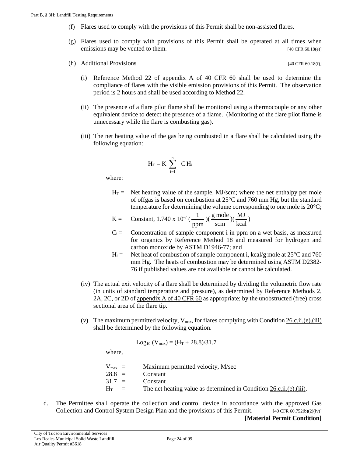- (f) Flares used to comply with the provisions of this Permit shall be non-assisted flares.
- (g) Flares used to comply with provisions of this Permit shall be operated at all times when emissions may be vented to them. [40 CFR 60.18(e)]
- <span id="page-23-0"></span>(h) Additional Provisions  $[40 \text{ CFR } 60.18(f)]$

(i) Reference Method 22 of appendix A of 40 CFR  $60$  shall be used to determine the compliance of flares with the visible emission provisions of this Permit. The observation period is 2 hours and shall be used according to Method 22.

- <span id="page-23-1"></span>(ii) The presence of a flare pilot flame shall be monitored using a thermocouple or any other equivalent device to detect the presence of a flame. (Monitoring of the flare pilot flame is unnecessary while the flare is combusting gas).
- <span id="page-23-3"></span>(iii) The net heating value of the gas being combusted in a flare shall be calculated using the following equation:

$$
H_T = K \sum_{i=1}^n C_i H_i
$$

where:

 $H_T =$  Net heating value of the sample, MJ/scm; where the net enthalpy per mole of offgas is based on combustion at 25°C and 760 mm Hg, but the standard temperature for determining the volume corresponding to one mole is 20°C;

$$
K = \text{Constant, } 1.740 \times 10^{-7} \left( \frac{1}{ppm} \right) \left( \frac{\text{g mole}}{\text{scm}} \right) \left( \frac{\text{MJ}}{\text{kcal}} \right)
$$

- $C_i$  = Concentration of sample component i in ppm on a wet basis, as measured for organics by Reference Method 18 and measured for hydrogen and carbon monoxide by ASTM D1946-77; and
- $H_i =$  Net heat of combustion of sample component i, kcal/g mole at 25 $\degree$ C and 760 mm Hg. The heats of combustion may be determined using ASTM D2382- 76 if published values are not available or cannot be calculated.
- <span id="page-23-2"></span>(iv) The actual exit velocity of a flare shall be determined by dividing the volumetric flow rate (in units of standard temperature and pressure), as determined by Reference Methods 2, 2A, 2C, or 2D of [appendix A of 40 CFR 60](https://tinyurl.com/40-CFR-60-APPENDICES) as appropriate; by the unobstructed (free) cross sectional area of the flare tip.
- <span id="page-23-4"></span>(v) The maximum permitted velocity,  $V_{max}$ , for flares complying with Condition  $26.c.ii.(e).(iii)$ shall be determined by the following equation.

$$
Log_{10}\ (V_{max})=(H_T+28.8)/31.7
$$

where,

 $V_{\text{max}}$  = Maximum permitted velocity, M/sec  $28.8 =$  Constant  $31.7 =$  Constant  $H_T$  = The net heating value as determined in Condition [26.c.ii.\(e\).\(iii\).](#page-22-3)

d. The Permittee shall operate the collection and control device in accordance with the approved Gas Collection and Control System Design Plan and the provisions of this Permit. [40 CFR 60.752(b)(2)(iv)] **[Material Permit Condition]**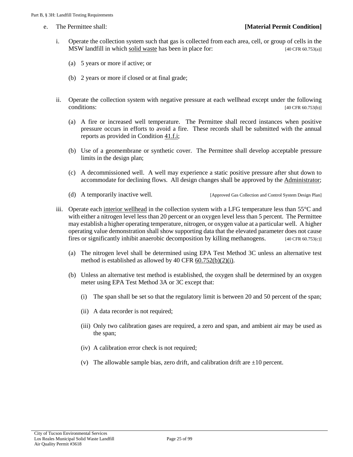- <span id="page-24-2"></span>i. Operate the collection system such that gas is collected from each area, cell, or group of cells in the MSW landfill in which [solid waste](#page-19-4) has been in place for: [40 CFR 60.753(a)]
	- (a) 5 years or more if active; or
	- (b) 2 years or more if closed or at final grade;
- <span id="page-24-0"></span>ii. Operate the collection system with negative pressure at each wellhead except under the following  $\text{conditions:}$  [40 CFR 60.753(b)]
	- (a) A fire or increased well temperature. The Permittee shall record instances when positive pressure occurs in efforts to avoid a fire. These records shall be submitted with the annual reports as provided in Condition  $41.f.i;$
	- (b) Use of a geomembrane or synthetic cover. The Permittee shall develop acceptable pressure limits in the design plan;
	- (c) A decommissioned well. A well may experience a static positive pressure after shut down to accommodate for declining flows. All design changes shall be approved by the [Administrator;](#page-17-2)
	- (d) A temporarily inactive well. [Approved Gas Collection and Control System Design Plan]
- <span id="page-24-3"></span><span id="page-24-1"></span>iii. Operate each [interior wellhead](#page-19-5) in the collection system with a LFG temperature less than 55°C and with either a nitrogen level less than 20 percent or an oxygen level less than 5 percent. The Permittee may establish a higher operating temperature, nitrogen, or oxygen value at a particular well. A higher operating value demonstration shall show supporting data that the elevated parameter does not cause fires or significantly inhibit anaerobic decomposition by killing methanogens. [40 CFR 60.753(c)]
	- (a) The nitrogen level shall be determined using EPA Test Method 3C unless an alternative test method is established as allowed by 40 CFR  $60.752(b)(2)(i)$ .
	- (b) Unless an alternative test method is established, the oxygen shall be determined by an oxygen meter using EPA Test Method 3A or 3C except that:
		- (i) The span shall be set so that the regulatory limit is between 20 and 50 percent of the span;
		- (ii) A data recorder is not required;
		- (iii) Only two calibration gases are required, a zero and span, and ambient air may be used as the span;
		- (iv) A calibration error check is not required;
		- (v) The allowable sample bias, zero drift, and calibration drift are  $\pm 10$  percent.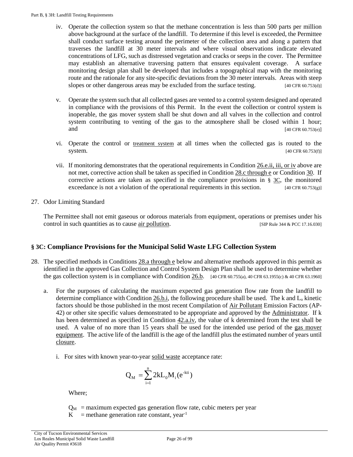- iv. Operate the collection system so that the methane concentration is less than 500 parts per million above background at the surface of the landfill. To determine if this level is exceeded, the Permittee shall conduct surface testing around the perimeter of the collection area and along a pattern that traverses the landfill at 30 meter intervals and where visual observations indicate elevated concentrations of LFG, such as distressed vegetation and cracks or seeps in the cover. The Permittee may establish an alternative traversing pattern that ensures equivalent coverage. A surface monitoring design plan shall be developed that includes a topographical map with the monitoring route and the rationale for any site-specific deviations from the 30 meter intervals. Areas with steep slopes or other dangerous areas may be excluded from the surface testing. [40 CFR 60.753(d)]
- v. Operate the system such that all collected gases are vented to a control system designed and operated in compliance with the provisions of this Permit. In the event the collection or control system is inoperable, the gas mover system shall be shut down and all valves in the collection and control system contributing to venting of the gas to the atmosphere shall be closed within 1 hour; and [40 CFR 60.753(e)]
- vi. Operate the control or [treatment system](#page-51-1) at all times when the collected gas is routed to the system. [40 CFR 60.753(f)]
- vii. If monitoring demonstrates that the operational requirements in [Condition 26.e.ii, iii, or iv](#page-24-0) above are not met, corrective action shall be taken as specified in [Condition 28.c through e](#page-26-0) or [Condition 30.](#page-26-1) If corrective actions are taken as specified in the compliance provisions in  $\S 3C$ , the monitored exceedance is not a violation of the operational requirements in this section. [40 CFR 60.753(g)]
- 27. Odor Limiting Standard

The Permittee shall not emit gaseous or odorous materials from equipment, operations or premises under his control in such quantities as to cause [air pollution.](#page-17-4) [SIP Rule 344 & PCC 17.16.030]

# <span id="page-25-0"></span>**§ 3C: Compliance Provisions for the Municipal Solid Waste LFG Collection System**

- <span id="page-25-1"></span>28. The specified methods in [Conditions](#page-25-1) 28.a through e below and alternative methods approved in this permit as identified in the approved Gas Collection and Control System Design Plan shall be used to determine whether the gas collection system is in compliance with Condition  $26.b.$  [40 CFR 60.755(a), 40 CFR 63.1955(c) & 40 CFR 63.1960]
	- a. For the purposes of calculating the maximum expected gas generation flow rate from the landfill to determine compliance with [Condition 26.b.i,](#page-21-5) the following procedure shall be used. The k and L<sub>o</sub> kinetic factors should be those published in the most recent Compilation of [Air Pollutant](#page-17-4) Emission Factors (AP-42) or other site specific values demonstrated to be appropriate and approved by the [Administrator.](#page-17-2) If k has been determined as specified in Condition  $42.a.i\nu$ , the value of k determined from the test shall be used. A value of no more than 15 years shall be used for the intended use period of the [gas mover](#page-18-3)  [equipment.](#page-18-3) The active life of the landfill is the age of the landfill plus the estimated number of years until [closure.](#page-17-7)
		- i. For sites with known year-to-year [solid waste](#page-19-4) acceptance rate:

$$
Q_M = \sum_{i=1}^{n} 2kL_0 M_i(e^{-kti})
$$

<span id="page-25-2"></span>Where;

 $Q_M$  = maximum expected gas generation flow rate, cubic meters per year

 $K$  = methane generation rate constant, year<sup>-1</sup>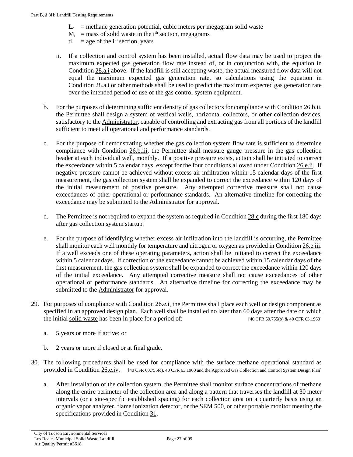- $L_0$  = methane generation potential, cubic meters per megagram solid waste
- $M<sub>i</sub>$  = mass of solid waste in the i<sup>th</sup> section, megagrams
- $t_i$  = age of the i<sup>th</sup> section, years
- ii. If a collection and control system has been installed, actual flow data may be used to project the maximum expected gas generation flow rate instead of, or in conjunction with, the equation in [Condition 28.a.i](#page-25-2) above. If the landfill is still accepting waste, the actual measured flow data will not equal the maximum expected gas generation rate, so calculations using the equation in [Condition](#page-25-2) 28.a.i or other methods shall be used to predict the maximum expected gas generation rate over the intended period of use of the gas control system equipment.
- b. For the purposes of determining [sufficient density](#page-20-3) of gas collectors for compliance with Condition 26.b.ii, the Permittee shall design a system of vertical wells, horizontal collectors, or other collection devices, satisfactory to the [Administrator,](#page-17-2) capable of controlling and extracting gas from all portions of the landfill sufficient to meet all operational and performance standards.
- <span id="page-26-0"></span>c. For the purpose of demonstrating whether the gas collection system flow rate is sufficient to determine compliance with [Condition 26.b.iii,](#page-21-7) the Permittee shall measure gauge pressure in the gas collection header at each individual well, monthly. If a positive pressure exists, action shall be initiated to correct the exceedance within 5 calendar days, except for the four conditions allowed under [Condition 26.e.ii.](#page-24-0) If negative pressure cannot be achieved without excess air infiltration within 15 calendar days of the first measurement, the gas collection system shall be expanded to correct the exceedance within 120 days of the initial measurement of positive pressure. Any attempted corrective measure shall not cause exceedances of other operational or performance standards. An alternative timeline for correcting the exceedance may be submitted to the [Administrator](#page-17-2) for approval.
- d. The Permittee is not required to expand the system as required in [Condition 28.c](#page-26-0) during the first 180 days after gas collection system startup.
- <span id="page-26-2"></span>e. For the purpose of identifying whether excess air infiltration into the landfill is occurring, the Permittee shall monitor each well monthly for temperature and nitrogen or oxygen as provided i[n Condition 26.e.iii.](#page-24-1)  If a well exceeds one of these operating parameters, action shall be initiated to correct the exceedance within 5 calendar days. If correction of the exceedance cannot be achieved within 15 calendar days of the first measurement, the gas collection system shall be expanded to correct the exceedance within 120 days of the initial exceedance. Any attempted corrective measure shall not cause exceedances of other operational or performance standards. An alternative timeline for correcting the exceedance may be submitted to the [Administrator](#page-17-2) for approval.
- <span id="page-26-3"></span>29. For purposes of compliance with [Condition 26.e.i,](#page-24-2) the Permittee shall place each well or design component as specified in an approved design plan. Each well shall be installed no later than 60 days after the date on which the initial <u>solid waste</u> has been in place for a period of: [40 CFR 60.755(b) & 40 CFR 63.1960]
	- a. 5 years or more if active; or
	- b. 2 years or more if closed or at final grade.
- <span id="page-26-1"></span>30. The following procedures shall be used for compliance with the surface methane operational standard as provided in [Condition 26.e.iv.](#page-24-3) [40 CFR 60.755(c), 40 CFR 63.1960 and the Approved Gas Collection and Control System Design Plan]
	- a. After installation of the collection system, the Permittee shall monitor surface concentrations of methane along the entire perimeter of the collection area and along a pattern that traverses the landfill at 30 meter intervals (or a site-specific established spacing) for each collection area on a quarterly basis using an organic vapor analyzer, flame ionization detector, or the SEM 500, or other portable monitor meeting the specifications provided in [Condition 31.](#page-27-0)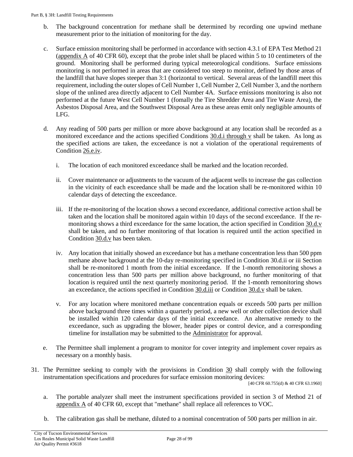- b. The background concentration for methane shall be determined by recording one upwind methane measurement prior to the initiation of monitoring for the day.
- c. Surface emission monitoring shall be performed in accordance with section 4.3.1 of EPA Test Method 21 (appendix A [of 40 CFR 60\)](https://tinyurl.com/40-CFR-60-APPENDICES), except that the probe inlet shall be placed within 5 to 10 centimeters of the ground. Monitoring shall be performed during typical meteorological conditions. Surface emissions monitoring is not performed in areas that are considered too steep to monitor, defined by those areas of the landfill that have slopes steeper than 3:1 (horizontal to vertical. Several areas of the landfill meet this requirement, including the outer slopes of Cell Number 1, Cell Number 2, Cell Number 3, and the northern slope of the unlined area directly adjacent to Cell Number 4A. Surface emissions monitoring is also not performed at the future West Cell Number 1 (fomally the Tire Shredder Area and Tire Waste Area), the Asbestos Disposal Area, and the Southwest Disposal Area as these areas emit only negligible amounts of LFG.
- <span id="page-27-3"></span><span id="page-27-1"></span>d. Any reading of 500 parts per million or more above background at any location shall be recorded as a monitored exceedance and the actions specified [Conditions 30.d.i through v](#page-27-1) shall be taken. As long as the specified actions are taken, the exceedance is not a violation of the operational requirements of [Condition 26.e.iv.](#page-21-8)
	- i. The location of each monitored exceedance shall be marked and the location recorded.
	- ii. Cover maintenance or adjustments to the vacuum of the adjacent wells to increase the gas collection in the vicinity of each exceedance shall be made and the location shall be re-monitored within 10 calendar days of detecting the exceedance.
	- iii. If the re-monitoring of the location shows a second exceedance, additional corrective action shall be taken and the location shall be monitored again within 10 days of the second exceedance. If the remonitoring shows a third exceedance for the same location, the action specified in [Condition 30.d.v](#page-27-2) shall be taken, and no further monitoring of that location is required until the action specified in [Condition 30.d.v](#page-27-2) has been taken.
	- iv. Any location that initially showed an exceedance but has a methane concentration less than 500 ppm methane above background at the 10-day re-monitoring specified in Condition 30.d.ii or iii Section shall be re-monitored 1 month from the initial exceedance. If the 1-month remonitoring shows a concentration less than 500 parts per million above background, no further monitoring of that location is required until the next quarterly monitoring period. If the 1-month remonitoring shows an exceedance, the actions specified in [Condition 30.d.iii](#page-27-3) or [Condition 30.d.v](#page-27-2) shall be taken.
	- v. For any location where monitored methane concentration equals or exceeds 500 parts per million above background three times within a quarterly period, a new well or other collection device shall be installed within 120 calendar days of the initial exceedance. An alternative remedy to the exceedance, such as upgrading the blower, header pipes or control device, and a corresponding timeline for installation may be submitted to the [Administrator](#page-17-2) for approval.
- <span id="page-27-2"></span>e. The Permittee shall implement a program to monitor for cover integrity and implement cover repairs as necessary on a monthly basis.
- <span id="page-27-0"></span>31. The Permittee seeking to comply with the provisions in [Condition 30](#page-26-1) shall comply with the following instrumentation specifications and procedures for surface emission monitoring devices:

[40 CFR 60.755(d) & 40 CFR 63.1960]

- a. The portable analyzer shall meet the instrument specifications provided in section 3 of Method 21 of appendix A [of 40 CFR 60,](https://tinyurl.com/40-CFR-60-APPENDICES) except that "methane" shall replace all references to VOC.
- b. The calibration gas shall be methane, diluted to a nominal concentration of 500 parts per million in air.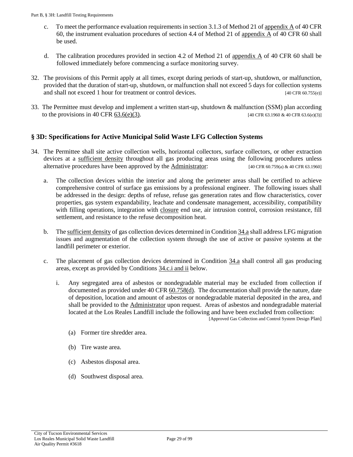- c. To meet the performance evaluation requirements in section 3.1.3 of Method 21 o[f appendix A](https://tinyurl.com/40-CFR-60-APPENDICES) of 40 CFR [60,](https://tinyurl.com/40-CFR-60-APPENDICES) the instrument evaluation procedures of section 4.4 of Method 21 of [appendix A](https://tinyurl.com/40-CFR-60-APPENDICES) of 40 CFR 60 shall be used.
- d. The calibration procedures provided in section 4.2 of Method 21 of appendix A [of 40 CFR 60](https://tinyurl.com/40-CFR-60-APPENDICES) shall be followed immediately before commencing a surface monitoring survey.
- 32. The provisions of this Permit apply at all times, except during periods of start-up, shutdown, or malfunction, provided that the duration of start-up, shutdown, or malfunction shall not exceed 5 days for collection systems and shall not exceed 1 hour for treatment or control devices.  $[40 \text{ CFR } 60.755(e)]$
- 33. The Permittee must develop and implement a written start-up, shutdown & malfunction (SSM) plan according to the provisions in [40 CFR 63.6\(e\)\(3\).](https://tinyurl.com/40-CFR-63-6) [40 CFR 63.1960 & 40 CFR 63.6(e)(3)]

# <span id="page-28-0"></span>**§ 3D: Specifications for Active Municipal Solid Waste LFG Collection Systems**

- <span id="page-28-3"></span><span id="page-28-2"></span><span id="page-28-1"></span>34. The Permittee shall site active collection wells, horizontal collectors, surface collectors, or other extraction devices at a [sufficient density](#page-20-3) throughout all gas producing areas using the following procedures unless alternative procedures have been approved by the [Administrator:](#page-17-2) [40 CFR 60.759(a) & 40 CFR 63.1960]
	- a. The collection devices within the interior and along the perimeter areas shall be certified to achieve comprehensive control of surface gas emissions by a professional engineer. The following issues shall be addressed in the design: depths of refuse, refuse gas generation rates and flow characteristics, cover properties, gas system expandability, leachate and condensate management, accessibility, compatibility with filling operations, integration with [closure](#page-17-7) end use, air intrusion control, corrosion resistance, fill settlement, and resistance to the refuse decomposition heat.
	- b. Th[e sufficient density](#page-20-3) of gas collection devices determined i[n Condition 34.a](#page-28-1) shall address LFG migration issues and augmentation of the collection system through the use of active or passive systems at the landfill perimeter or exterior.
	- c. The placement of gas collection devices determined in [Condition 34.a](#page-28-1) shall control all gas producing areas, except as provided by [Conditions 34.c.i and ii](#page-28-2) below.
		- i. Any segregated area of asbestos or nondegradable material may be excluded from collection if documented as provided under 40 [CFR 60.758\(d\).](https://tinyurl.com/40-CFR-60-758) The documentation shall provide the nature, date of deposition, location and amount of asbestos or nondegradable material deposited in the area, and shall be provided to the **Administrator** upon request. Areas of asbestos and nondegradable material located at the Los Reales Landfill include the following and have been excluded from collection: [Approved Gas Collection and Control System Design Plan]
			- (a) Former tire shredder area.
			- (b) Tire waste area.
			- (c) Asbestos disposal area.
			- (d) Southwest disposal area.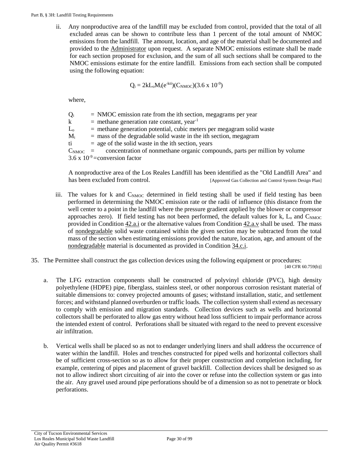ii. Any nonproductive area of the landfill may be excluded from control, provided that the total of all excluded areas can be shown to contribute less than 1 percent of the total amount of NMOC emissions from the landfill. The amount, location, and age of the material shall be documented and provided to the [Administrator](#page-17-2) upon request. A separate NMOC emissions estimate shall be made for each section proposed for exclusion, and the sum of all such sections shall be compared to the NMOC emissions estimate for the entire landfill. Emissions from each section shall be computed using the following equation:

$$
Q_i = 2kL_oM_i(e^{-kti})(C_{NMOC})(3.6 \times 10^{-9})
$$

where,

| $Q_i$                     | $=$ NMOC emission rate from the ith section, megagrams per year                                |
|---------------------------|------------------------------------------------------------------------------------------------|
| $\mathbf{k}$              | $=$ methane generation rate constant, year <sup>-1</sup>                                       |
| $\rm L_{o}$               | $=$ methane generation potential, cubic meters per megagram solid waste                        |
| $\mathbf{M}_{\mathsf{i}}$ | $=$ mass of the degradable solid waste in the ith section, megagram                            |
| ti —                      | $=$ age of the solid waste in the ith section, years                                           |
|                           | $C_{\text{NMOC}}$ = concentration of nonmethane organic compounds, parts per million by volume |
|                           | 3.6 x $10^{-9}$ = conversion factor                                                            |
|                           |                                                                                                |

A nonproductive area of the Los Reales Landfill has been identified as the "Old Landfill Area" and has been excluded from control. [Approved Gas Collection and Control System Design Plan]

- iii. The values for k and  $C_{NMOC}$  determined in field testing shall be used if field testing has been performed in determining the NMOC emission rate or the radii of influence (this distance from the well center to a point in the landfill where the pressure gradient applied by the blower or compressor approaches zero). If field testing has not been performed, the default values for k,  $L_0$  and  $C_{NMC}$ provided i[n Condition 42.a.i](#page-36-1) or the alternative values from [Condition 42.a.v](#page-38-1) shall be used. The mass of [nondegradable](#page-19-6) solid waste contained within the given section may be subtracted from the total mass of the section when estimating emissions provided the nature, location, age, and amount of the [nondegradable](#page-19-6) material is documented as provided in [Condition 34.c.i.](#page-28-2)
- 35. The Permittee shall construct the gas collection devices using the following equipment or procedures:

[40 CFR 60.759(b)]

- a. The LFG extraction components shall be constructed of polyvinyl chloride (PVC), high density polyethylene (HDPE) pipe, fiberglass, stainless steel, or other nonporous corrosion resistant material of suitable dimensions to: convey projected amounts of gases; withstand installation, static, and settlement forces; and withstand planned overburden or traffic loads. The collection system shall extend as necessary to comply with emission and migration standards. Collection devices such as wells and horizontal collectors shall be perforated to allow gas entry without head loss sufficient to impair performance across the intended extent of control. Perforations shall be situated with regard to the need to prevent excessive air infiltration.
- b. Vertical wells shall be placed so as not to endanger underlying liners and shall address the occurrence of water within the landfill. Holes and trenches constructed for piped wells and horizontal collectors shall be of sufficient cross-section so as to allow for their proper construction and completion including, for example, centering of pipes and placement of gravel backfill. Collection devices shall be designed so as not to allow indirect short circuiting of air into the cover or refuse into the collection system or gas into the air. Any gravel used around pipe perforations should be of a dimension so as not to penetrate or block perforations.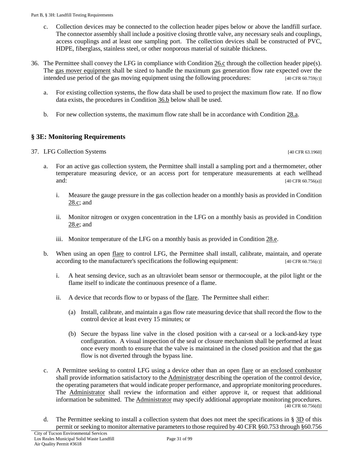- c. Collection devices may be connected to the collection header pipes below or above the landfill surface. The connector assembly shall include a positive closing throttle valve, any necessary seals and couplings, access couplings and at least one sampling port. The collection devices shall be constructed of PVC, HDPE, fiberglass, stainless steel, or other nonporous material of suitable thickness.
- 36. The Permittee shall convey the LFG in compliance with [Condition 26.c](#page-21-3) through the collection header pipe(s). The [gas mover equipment](#page-18-3) shall be sized to handle the maximum gas generation flow rate expected over the intended use period of the gas moving equipment using the following procedures: [40 CFR 60.759(c)]
	- a. For existing collection systems, the flow data shall be used to project the maximum flow rate. If no flow data exists, the procedures in [Condition 36.b](#page-30-1) below shall be used.
	- b. For new collection systems, the maximum flow rate shall be in accordance with [Condition 28.a.](#page-25-1)

# <span id="page-30-1"></span><span id="page-30-0"></span>**§ 3E: Monitoring Requirements**

- <span id="page-30-4"></span><span id="page-30-3"></span><span id="page-30-2"></span>37. LFG Collection Systems [40 CFR 63.1960]
	- a. For an active gas collection system, the Permittee shall install a sampling port and a thermometer, other temperature measuring device, or an access port for temperature measurements at each wellhead and: [40 CFR 60.756(a)]
		- i. Measure the gauge pressure in the gas collection header on a monthly basis as provided in [Condition](#page-26-0) [28.c;](#page-26-0) and
		- ii. Monitor nitrogen or oxygen concentration in the LFG on a monthly basis as provided in [Condition](#page-26-2) [28.e;](#page-26-2) and
		- iii. Monitor temperature of the LFG on a monthly basis as provided in [Condition](#page-26-2) 28.e.
	- b. When using an open [flare](#page-18-6) to control LFG, the Permittee shall install, calibrate, maintain, and operate according to the manufacturer's specifications the following equipment: [40 CFR 60.756(c)]
		- i. A heat sensing device, such as an ultraviolet beam sensor or thermocouple, at the pilot light or the flame itself to indicate the continuous presence of a flame.
		- ii. A device that records flow to or bypass of the [flare.](#page-18-6) The Permittee shall either:
			- (a) Install, calibrate, and maintain a gas flow rate measuring device that shall record the flow to the control device at least every 15 minutes; or
			- (b) Secure the bypass line valve in the closed position with a car-seal or a lock-and-key type configuration. A visual inspection of the seal or closure mechanism shall be performed at least once every month to ensure that the valve is maintained in the closed position and that the gas flow is not diverted through the bypass line.
	- c. A Permittee seeking to control LFG using a device other than an open [flare](#page-18-6) or an [enclosed combustor](#page-18-7) shall provide information satisfactory to the **Administrator** describing the operation of the control device, the operating parameters that would indicate proper performance, and appropriate monitoring procedures. The [Administrator](#page-17-2) shall review the information and either approve it, or request that additional information be submitted. The [Administrator](#page-17-2) may specify additional appropriate monitoring procedures.  $[40 \text{ CFR } 60.756 \text{ (d)}]$
	- d. The Permittee seeking to install a collection system that does not meet the specifications in  $\S 3D$  $\S 3D$  of this permit or seeking to monitor alternative parameters to those required by 40 CFR §60.753 through §60.756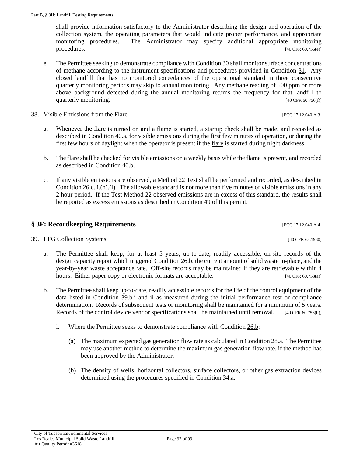39. LFG Collection Systems [40 CFR 63.1980] a. The Permittee shall keep, for at least 5 years, up-to-date, readily accessible, on-site records of the

- design [capacity](#page-18-4) report which triggere[d Condition 26.b,](#page-21-4) the current amount o[f solid waste](#page-19-4) in-place, and the year-by-year waste acceptance rate. Off-site records may be maintained if they are retrievable within 4 hours. Either paper copy or electronic formats are acceptable. [40 CFR 60.758(a)]
- <span id="page-31-2"></span>b. The Permittee shall keep up-to-date, readily accessible records for the life of the control equipment of the data listed in [Condition 39.b.i and ii](#page-31-2) as measured during the initial performance test or compliance determination. Records of subsequent tests or monitoring shall be maintained for a minimum of 5 years. Records of the control device vendor specifications shall be maintained until removal. [40 CFR 60.758(b)]
	- i. Where the Permittee seeks to demonstrate compliance with [Condition 26.b:](#page-21-4)
		- (a) The maximum expected gas generation flow rate as calculated i[n Condition 28.a.](#page-25-1) The Permittee may use another method to determine the maximum gas generation flow rate, if the method has been approved by the [Administrator.](#page-17-2)
		- (b) The density of wells, horizontal collectors, surface collectors, or other gas extraction devices determined using the procedures specified in [Condition 34.a.](#page-28-1)

shall provide information satisfactory to the [Administrator](#page-17-2) describing the design and operation of the collection system, the operating parameters that would indicate proper performance, and appropriate monitoring procedures. The [Administrator](#page-17-2) may specify additional appropriate monitoring procedures. [40 CFR 60.756(e)]

- e. The Permittee seeking to demonstrate compliance wit[h Condition 30](#page-26-1) shall monitor surface concentrations of methane according to the instrument specifications and procedures provided in [Condition 31.](#page-27-0) Any [closed landfill](#page-17-5) that has no monitored exceedances of the operational standard in three consecutive quarterly monitoring periods may skip to annual monitoring. Any methane reading of 500 ppm or more above background detected during the annual monitoring returns the frequency for that landfill to quarterly monitoring. [40 CFR 60.756(f)]
- <span id="page-31-3"></span><span id="page-31-1"></span>38. Visible Emissions from the Flare **[PCC 17.12.040.A.3]** 
	- a. Whenever the [flare](#page-18-6) is turned on and a flame is started, a startup check shall be made, and recorded as described in [Condition 40.a,](#page-33-2) for visible emissions during the first few minutes of operation, or during the first few hours of daylight when the operator is present if the [flare](#page-18-6) is started during night darkness.
	- b. Th[e flare](#page-18-6) shall be checked for visible emissions on a weekly basis while the flame is present, and recorded as described in [Condition 40.b.](#page-33-3)
	- c. If any visible emissions are observed, a Method 22 Test shall be performed and recorded, as described in [Condition 26.c.ii.\(h\).\(i\).](#page-23-0) The allowable standard is not more than five minutes of visible emissions in any 2 hour period. If the Test Method 22 observed emissions are in excess of this standard, the results shall be reported as excess emissions as described in [Condition 49](#page-44-3) of this permit.

<span id="page-31-0"></span>**§ 3F: Recordkeeping Requirements** [PCC 17.12.040.A.4]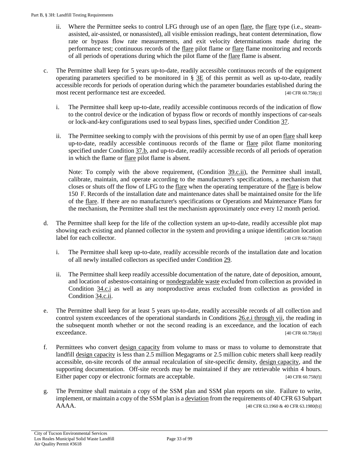- ii. Where the Permittee seeks to control LFG through use of an open [flare,](#page-18-6) the [flare](#page-18-6) type (i.e., steamassisted, air-assisted, or nonassisted), all visible emission readings, heat content determination, flow rate or bypass flow rate measurements, and exit velocity determinations made during the performance test; continuous records of the [flare](#page-18-6) pilot flame or [flare](#page-18-6) flame monitoring and records of all periods of operations during which the pilot flame of the [flare](#page-18-6) flame is absent.
- <span id="page-32-0"></span>c. The Permittee shall keep for 5 years up-to-date, readily accessible continuous records of the equipment operating parameters specified to be monitored in  $\S 3E$  of this permit as well as up-to-date, readily accessible records for periods of operation during which the parameter boundaries established during the most recent performance test are exceeded. [40 CFR 60.758(c)]
	- i. The Permittee shall keep up-to-date, readily accessible continuous records of the indication of flow to the control device or the indication of bypass flow or records of monthly inspections of car-seals or lock-and-key configurations used to seal bypass lines, specified under [Condition 37.](#page-30-2)
	- ii. The Permittee seeking to comply with the provisions of this permit by use of an open [flare](#page-18-6) shall keep up-to-date, readily accessible continuous records of the flame or [flare](#page-18-6) pilot flame monitoring specified under [Condition 37.b,](#page-30-3) and up-to-date, readily accessible records of all periods of operation in which the flame or [flare](#page-18-6) pilot flame is absent.

<span id="page-32-1"></span>Note: To comply with the above requirement, [\(Condition 39.c.ii\)](#page-32-1), the Permittee shall install, calibrate, maintain, and operate according to the manufacturer's specifications, a mechanism that closes or shuts off the flow of LFG to the <u>flare</u> when the operating temperature of the <u>flare</u> is below 150 F. Records of the installation date and maintenance dates shall be maintained onsite for the life of the [flare.](#page-18-6) If there are no manufacturer's specifications or Operations and Maintenance Plans for the mechanism, the Permittee shall test the mechanism approximately once every 12 month period.

- d. The Permittee shall keep for the life of the collection system an up-to-date, readily accessible plot map showing each existing and planned collector in the system and providing a unique identification location label for each collector. [40 CFR 60.758(d)]
	- i. The Permittee shall keep up-to-date, readily accessible records of the installation date and location of all newly installed collectors as specified under [Condition 29.](#page-26-3)
	- ii. The Permittee shall keep readily accessible documentation of the nature, date of deposition, amount, and location of asbestos-containing or [nondegradable waste](#page-19-6) excluded from collection as provided in [Condition 34.c.i](#page-28-2) as well as any nonproductive areas excluded from collection as provided in [Condition 34.c.ii.](#page-28-3)
- e. The Permittee shall keep for at least 5 years up-to-date, readily accessible records of all collection and control system exceedances of the operational standards in [Conditions 26.e.i through vii,](#page-24-2) the reading in the subsequent month whether or not the second reading is an exceedance, and the location of each exceedance. [40 CFR 60.758(e)]
- f. Permittees who convert [design capacity](#page-18-4) from volume to mass or mass to volume to demonstrate that landfill design [capacity](#page-18-4) is less than 2.5 million Megagrams or 2.5 million cubic meters shall keep readily accessible, on-site records of the annual recalculation of site-specific density, design [capacity,](#page-18-4) and the supporting documentation. Off-site records may be maintained if they are retrievable within 4 hours. Either paper copy or electronic formats are acceptable. [40 CFR 60.758(f)]
- g. The Permittee shall maintain a copy of the SSM plan and SSM plan reports on site. Failure to write, implement, or maintain a copy of the SSM plan is a [deviation](#page-18-0) from the requirements of 40 CFR 63 Subpart AAAA. [40 CFR 63.1960 & 40 CFR 63.1980(b)]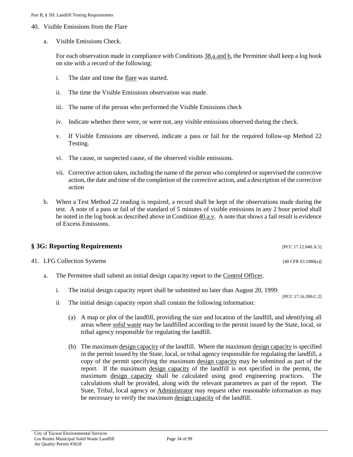- <span id="page-33-2"></span><span id="page-33-1"></span>40. Visible Emissions from the Flare
	- a. Visible Emissions Check.

For each observation made in compliance with [Conditions 38.a.and b,](#page-31-3) the Permittee shall keep a log book on site with a record of the following:

- i. The date and time the [flare](#page-18-6) was started.
- ii. The time the Visible Emissions observation was made.
- iii. The name of the person who performed the Visible Emissions check
- <span id="page-33-4"></span>iv. Indicate whether there were, or were not, any visible emissions observed during the check.
- v. If Visible Emissions are observed, indicate a pass or fail for the required follow-up Method 22 Testing.
- vi. The cause, or suspected cause, of the observed visible emissions.
- vii. Corrective action taken, including the name of the person who completed or supervised the corrective action, the date and time of the completion of the corrective action, and a description of the corrective action
- <span id="page-33-3"></span>b. When a Test Method 22 reading is required, a record shall be kept of the observations made during the test. A note of a pass or fail of the standard of 5 minutes of visible emissions in any 2 hour period shall be noted in the log book as described above i[n Condition 40.a.v.](#page-33-4) A note that shows a fail result is evidence of Excess Emissions.

<span id="page-33-5"></span><span id="page-33-0"></span>

| § 3G: Reporting Requirements | [PCC 17.12.040.A.5] |                                                                                      |                        |
|------------------------------|---------------------|--------------------------------------------------------------------------------------|------------------------|
|                              |                     | 41. LFG Collection Systems                                                           | [40 CFR $63.1980(a)$ ] |
|                              | a.                  | The Permittee shall submit an initial design capacity report to the Control Officer. |                        |

- i. The initial design capacity report shall be submitted no later than August 20, 1999:
- ii The initial design capacity report shall contain the following information:
	- (a) A map or plot of the landfill, providing the size and location of the landfill, and identifying all areas where [solid waste](#page-19-4) may be landfilled according to the permit issued by the State, local, or tribal agency responsible for regulating the landfill.

[PCC 17.16.390.C.2]

(b) The maximum design [capacity](#page-18-4) of the landfill. Where the maximum design [capacity](#page-18-4) is specified in the permit issued by the State, local, or tribal agency responsible for regulating the landfill, a copy of the permit specifying the maximum design [capacity](#page-18-4) may be submitted as part of the report. If the maximum design [capacity](#page-18-4) of the landfill is not specified in the permit, the maximum design [capacity](#page-18-4) shall be calculated using good engineering practices. The calculations shall be provided, along with the relevant parameters as part of the report. The State, Tribal, local agency or **Administrator** may request other reasonable information as may be necessary to verify the maximum design [capacity](#page-18-4) of the landfill.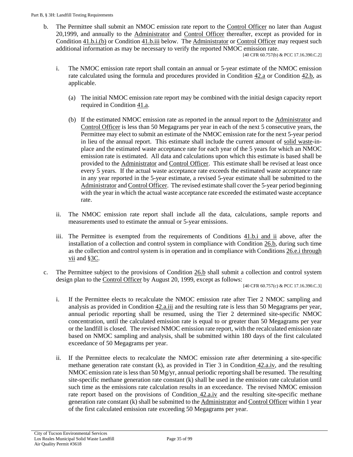b. The Permittee shall submit an NMOC emission rate report to the [Control Officer](#page-17-3) no later than August 20,1999, and annually to the [Administrator](#page-17-2) and [Control Officer](#page-17-3) thereafter, except as provided for in Condition  $41.b.i.(b)$  or Condition  $41.b.iii$  below. Th[e Administrator](#page-17-2) or [Control Officer](#page-17-3) may request such additional information as may be necessary to verify the reported NMOC emission rate.

[40 CFR 60.757(b) & PCC 17.16.390.C.2]

- <span id="page-34-2"></span><span id="page-34-0"></span>i. The NMOC emission rate report shall contain an annual or 5-year estimate of the NMOC emission rate calculated using the formula and procedures provided in Condition  $42.a$  or Condition  $42.b$ , as applicable.
	- (a) The initial NMOC emission rate report may be combined with the initial design capacity report required in [Condition 41.a.](#page-33-5)
	- (b) If the estimated NMOC emission rate as reported in the annual report to the [Administrator](#page-17-2) and [Control Officer](#page-17-3) is less than 50 Megagrams per year in each of the next 5 consecutive years, the Permittee may elect to submit an estimate of the NMOC emission rate for the next 5-year period in lieu of the annual report. This estimate shall include the current amount of [solid waste-](#page-19-4)inplace and the estimated waste acceptance rate for each year of the 5 years for which an NMOC emission rate is estimated. All data and calculations upon which this estimate is based shall be provided to the [Administrator](#page-17-2) and [Control Officer.](#page-17-3) This estimate shall be revised at least once every 5 years. If the actual waste acceptance rate exceeds the estimated waste acceptance rate in any year reported in the 5-year estimate, a revised 5-year estimate shall be submitted to the [Administrator](#page-17-2) an[d Control Officer.](#page-17-3) The revised estimate shall cover the 5-year period beginning with the year in which the actual waste acceptance rate exceeded the estimated waste acceptance rate.
- ii. The NMOC emission rate report shall include all the data, calculations, sample reports and measurements used to estimate the annual or 5-year emissions.
- <span id="page-34-1"></span>iii. The Permittee is exempted from the requirements of [Conditions 41.b.i and ii](#page-34-2) above, after the installation of a collection and control system in compliance with [Condition 26.b,](#page-21-4) during such time as the collection and control system is in operation and in compliance with [Conditions](#page-24-2) 26.e.i through [vii](#page-24-2) and [§3C.](#page-25-0)
- c. The Permittee subject to the provisions of [Condition 26.b](#page-21-4) shall submit a collection and control system design plan to the [Control Officer](#page-17-3) by August 20, 1999, except as follows:

[40 CFR 60.757(c) & PCC 17.16.390.C.3]

- i. If the Permittee elects to recalculate the NMOC emission rate after Tier 2 NMOC sampling and analysis as provided in Condition  $42.a.iii$  and the resulting rate is less than 50 Megagrams per year, annual periodic reporting shall be resumed, using the Tier 2 determined site-specific NMOC concentration, until the calculated emission rate is equal to or greater than 50 Megagrams per year or the landfill is closed. The revised NMOC emission rate report, with the recalculated emission rate based on NMOC sampling and analysis, shall be submitted within 180 days of the first calculated exceedance of 50 Megagrams per year.
- ii. If the Permittee elects to recalculate the NMOC emission rate after determining a site-specific methane generation rate constant (k), as provided in Tier 3 in [Condition](#page-38-0) 42.a.iv, and the resulting NMOC emission rate is less than 50 Mg/yr, annual periodic reporting shall be resumed. The resulting site-specific methane generation rate constant (k) shall be used in the emission rate calculation until such time as the emissions rate calculation results in an exceedance. The revised NMOC emission rate report based on the provisions of [Condition](#page-38-0) 42.a.iv and the resulting site-specific methane generation rate constant (k) shall be submitted to th[e Administrator](#page-17-2) and [Control Officer](#page-17-3) within 1 year of the first calculated emission rate exceeding 50 Megagrams per year.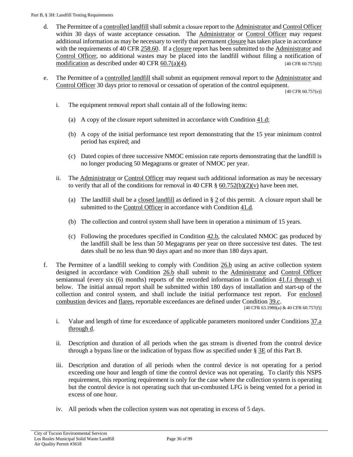- <span id="page-35-1"></span>d. The Permittee of [a controlled landfill](#page-17-8) shall submit a closure report to th[e Administrator](#page-17-2) an[d Control Officer](#page-17-3) within 30 days of waste acceptance cessation. The [Administrator](#page-17-2) or [Control Officer](#page-17-3) may request additional information as may be necessary to verify that permanent [closure](#page-17-7) has taken place in accordance with the requirements of [40 CFR 258.60.](https://tinyurl.com/40-CFR-258-60) If a [closure](#page-17-7) report has been submitted to th[e Administrator](#page-17-2) and [Control Officer,](#page-17-3) no additional wastes may be placed into the landfill without filing a notification of [modification](#page-19-0) as described under  $40 \text{ CFR } \frac{60.7(a)(4)}{2}$ . [40 CFR 60.757(d)]
- e. The Permittee of a [controlled landfill](#page-17-8) shall submit an equipment removal report to the [Administrator](#page-17-2) and [Control Officer](#page-17-3) 30 days prior to removal or cessation of operation of the control equipment.

[40 CFR 60.757(e)]

- i. The equipment removal report shall contain all of the following items:
	- (a) A copy of the closure report submitted in accordance with Condition  $41.d$ ;
	- (b) A copy of the initial performance test report demonstrating that the 15 year minimum control period has expired; and
	- (c) Dated copies of three successive NMOC emission rate reports demonstrating that the landfill is no longer producing 50 Megagrams or greater of NMOC per year.
- ii. The [Administrator](#page-17-2) or [Control Officer](#page-17-3) may request such additional information as may be necessary to verify that all of the conditions for removal in 40 CFR  $\S$  60.752(b)(2)(v) have been met.
	- (a) The landfill shall be a [closed landfill](#page-17-5) as defined in  $\S 2$  of this permit. A closure report shall be submitted to the [Control Officer](#page-17-3) in accordance wit[h Condition 41.d.](#page-35-1)
	- (b) The collection and control system shall have been in operation a minimum of 15 years.
	- (c) Following the procedures specified in Condition  $42.b$ , the calculated NMOC gas produced by the landfill shall be less than 50 Megagrams per year on three successive test dates. The test dates shall be no less than 90 days apart and no more than 180 days apart.
- f. The Permittee of a landfill seeking to comply with [Condition 26.b](#page-21-4) using an active collection system designed in accordance with [Condition 26.b](#page-21-4) shall submit to the [Administrator](#page-17-2) and [Control Officer](#page-17-3) semiannual (every six (6) months) reports of the recorded information in [Condition 41.f.i](#page-35-0) through vi below. The initial annual report shall be submitted within 180 days of installation and start-up of the collection and control system, and shall include the initial performance test report. For [enclosed](#page-18-7)  [combustion](#page-18-7) devices an[d flares,](#page-18-6) reportable exceedances are defined under [Condition 39.c.](#page-32-0)

[40 CFR 63.1980(a) & 40 CFR 60.757(f)]

- <span id="page-35-0"></span>i. Value and length of time for exceedance of applicable parameters monitored under [Conditions 37.a](#page-30-4)  [through d.](#page-30-4)
- ii. Description and duration of all periods when the gas stream is diverted from the control device through a bypass line or the indication of bypass flow as specified under [§ 3E](#page-30-0) of this Part B.
- iii. Description and duration of all periods when the control device is not operating for a period exceeding one hour and length of time the control device was not operating. To clarify this NSPS requirement, this reporting requirement is only for the case where the collection system is operating but the control device is not operating such that un-combusted LFG is being vented for a period in excess of one hour.
- iv. All periods when the collection system was not operating in excess of 5 days.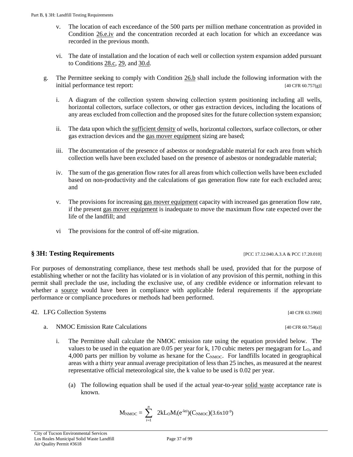- City of Tucson Environmental Services Los Reales Municipal Solid Waste Landfill
- Air Quality Permit #3618
- v. The location of each exceedance of the 500 parts per million methane concentration as provided in [Condition 26.e.iv](#page-24-0) and the concentration recorded at each location for which an exceedance was recorded in the previous month.
- vi. The date of installation and the location of each well or collection system expansion added pursuant to Conditions [28.c,](#page-26-0) [29,](#page-26-1) and [30.d.](#page-27-0)
- g. The Permittee seeking to comply with [Condition 26.b](#page-21-0) shall include the following information with the initial performance test report: [40 CFR 60.757(g)]
	- i. A diagram of the collection system showing collection system positioning including all wells, horizontal collectors, surface collectors, or other gas extraction devices, including the locations of any areas excluded from collection and the proposed sites for the future collection system expansion;
	- ii. The data upon which th[e sufficient density](#page-20-0) of wells, horizontal collectors, surface collectors, or other gas extraction devices and the [gas mover equipment](#page-18-0) sizing are based;
	- iii. The documentation of the presence of asbestos or nondegradable material for each area from which collection wells have been excluded based on the presence of asbestos or nondegradable material;
	- iv. The sum of the gas generation flow rates for all areas from which collection wells have been excluded based on non-productivity and the calculations of gas generation flow rate for each excluded area; and
	- v. The provisions for increasing [gas mover equipment](#page-18-0) capacity with increased gas generation flow rate, if the present [gas mover equipment](#page-18-0) is inadequate to move the maximum flow rate expected over the life of the landfill; and
	- vi The provisions for the control of off-site migration.

## **§ 3H: Testing Requirements** [PCC 17.12.040.A.3.A & PCC 17.20.010]

For purposes of demonstrating compliance, these test methods shall be used, provided that for the purpose of establishing whether or not the facility has violated or is in violation of any provision of this permit, nothing in this permit shall preclude the use, including the exclusive use, of any credible evidence or information relevant to whether a [source](#page-20-1) would have been in compliance with applicable federal requirements if the appropriate performance or compliance procedures or methods had been performed.

- <span id="page-36-0"></span>42. LFG Collection Systems [40 CFR 63.1960]
	- a. NMOC Emission Rate Calculations [40 CFR 60.754(a)]
		- i. The Permittee shall calculate the NMOC emission rate using the equation provided below. The values to be used in the equation are  $0.05$  per year for k, 170 cubic meters per megagram for  $L_0$ , and 4,000 parts per million by volume as hexane for the  $C_{\text{NMOC}}$ . For landfills located in geographical areas with a thirty year annual average precipitation of less than 25 inches, as measured at the nearest representative official meteorological site, the k value to be used is 0.02 per year.
			- (a) The following equation shall be used if the actual year-to-year [solid waste](#page-19-0) acceptance rate is known.

$$
M_{\text{NMOC}} = \sum_{i=1}^{n} 2kL_0M_i(e^{-kti})(C_{\text{NMOC}})(3.6x10^{-9})
$$

Page 37 of 99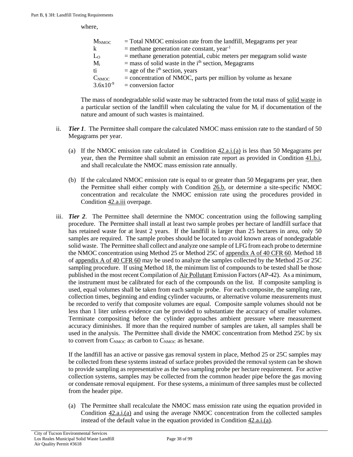where,

| M <sub>NMOC</sub> | $=$ Total NMOC emission rate from the landfill, Megagrams per year      |
|-------------------|-------------------------------------------------------------------------|
| k                 | $=$ methane generation rate constant, year <sup>-1</sup>                |
| $L_0$             | $=$ methane generation potential, cubic meters per megagram solid waste |
| $M_i$             | $=$ mass of solid waste in the i <sup>th</sup> section, Megagrams       |
| ti                | $=$ age of the i <sup>th</sup> section, years                           |
| $C_{NMOC}$        | $=$ concentration of NMOC, parts per million by volume as hexane        |
| $3.6x10^{-9}$     | $=$ conversion factor                                                   |

The mass of nondegradable solid waste may be subtracted from the total mass of [solid waste](#page-19-0) in a particular section of the landfill when calculating the value for  $M<sub>i</sub>$  if documentation of the nature and amount of such wastes is maintained.

- ii. *Tier 1*. The Permittee shall compare the calculated NMOC mass emission rate to the standard of 50 Megagrams per year.
	- (a) If the NMOC emission rate calculated in Condition  $42.a.i. (a)$  is less than 50 Megagrams per year, then the Permittee shall submit an emission rate report as provided in [Condition 41.b.i,](#page-34-0)  and shall recalculate the NMOC mass emission rate annually.
	- (b) If the calculated NMOC emission rate is equal to or greater than 50 Megagrams per year, then the Permittee shall either comply with [Condition 26.b,](#page-21-0) or determine a site-specific NMOC concentration and recalculate the NMOC emission rate using the procedures provided in [Condition 42.a.iii](#page-37-0) overpage.
- <span id="page-37-0"></span>iii. *Tier 2*. The Permittee shall determine the NMOC concentration using the following sampling procedure. The Permittee shall install at least two sample probes per hectare of landfill surface that has retained waste for at least 2 years. If the landfill is larger than 25 hectares in area, only 50 samples are required. The sample probes should be located to avoid known areas of nondegradable solid waste. The Permittee shall collect and analyze one sample of LFG from each probe to determine the NMOC concentration using Method 25 or Method 25C of [appendix A of 40 CFR 60.](https://tinyurl.com/40-CFR-60-APPENDICES) Method 18 of [appendix A of 40 CFR 60](https://tinyurl.com/40-CFR-60-APPENDICES) may be used to analyze the samples collected by the Method 25 or 25C sampling procedure. If using Method 18, the minimum list of compounds to be tested shall be those published in the most recent Compilation o[f Air Pollutant](#page-17-0) Emission Factors (AP-42). As a minimum, the instrument must be calibrated for each of the compounds on the list. If composite sampling is used, equal volumes shall be taken from each sample probe. For each composite, the sampling rate, collection times, beginning and ending cylinder vacuums, or alternative volume measurements must be recorded to verify that composite volumes are equal. Composite sample volumes should not be less than 1 liter unless evidence can be provided to substantiate the accuracy of smaller volumes. Terminate compositing before the cylinder approaches ambient pressure where measurement accuracy diminishes. If more than the required number of samples are taken, all samples shall be used in the analysis. The Permittee shall divide the NMOC concentration from Method 25C by six to convert from  $C_{\text{NMOC}}$  as carbon to  $C_{\text{NMOC}}$  as hexane.

If the landfill has an active or passive gas removal system in place, Method 25 or 25C samples may be collected from these systems instead of surface probes provided the removal system can be shown to provide sampling as representative as the two sampling probe per hectare requirement. For active collection systems, samples may be collected from the common header pipe before the gas moving or condensate removal equipment. For these systems, a minimum of three samples must be collected from the header pipe.

(a) The Permittee shall recalculate the NMOC mass emission rate using the equation provided in [Condition 42.a.i.\(a\)](#page-36-0) and using the average NMOC concentration from the collected samples instead of the default value in the equation provided i[n Condition 42.a.i.\(a\).](#page-36-0)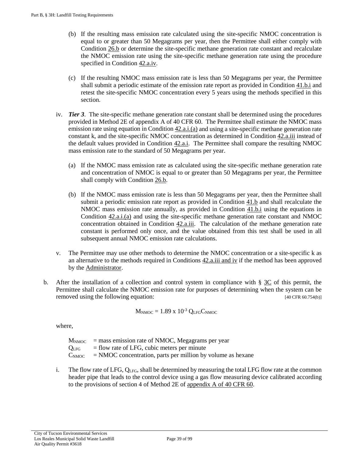- (b) If the resulting mass emission rate calculated using the site-specific NMOC concentration is equal to or greater than 50 Megagrams per year, then the Permittee shall either comply with [Condition 26.b](#page-21-0) or determine the site-specific methane generation rate constant and recalculate the NMOC emission rate using the site-specific methane generation rate using the procedure specified in Condition  $42.a.iv$ .
- (c) If the resulting NMOC mass emission rate is less than 50 Megagrams per year, the Permittee shall submit a periodic estimate of the emission rate report as provided in [Condition 41.b.i](#page-34-0) and retest the site-specific NMOC concentration every 5 years using the methods specified in this section.
- <span id="page-38-0"></span>iv. *Tier 3*. The site-specific methane generation rate constant shall be determined using the procedures provided in Method 2E of appendix A of 40 CFR 60. The Permittee shall estimate the NMOC mass emission rate using equation in [Condition 42.a.i.\(a\)](#page-36-0) and using a site-specific methane generation rate constant k, and the site-specific NMOC concentration as determined in [Condition 42.a.iii](#page-37-0) instead of the default values provided in Condition  $42.a.i.$  The Permittee shall compare the resulting NMOC mass emission rate to the standard of 50 Megagrams per year.
	- (a) If the NMOC mass emission rate as calculated using the site-specific methane generation rate and concentration of NMOC is equal to or greater than 50 Megagrams per year, the Permittee shall comply with [Condition 26.b.](#page-21-0)
	- (b) If the NMOC mass emission rate is less than 50 Megagrams per year, then the Permittee shall submit a periodic emission rate report as provided in [Condition 41.b](#page-34-1) and shall recalculate the NMOC mass emission rate annually, as provided in Condition  $41.b.i$  using the equations in [Condition 42.a.i.\(a\)](#page-36-0) and using the site-specific methane generation rate constant and NMOC concentration obtained in [Condition 42.a.iii.](#page-37-0) The calculation of the methane generation rate constant is performed only once, and the value obtained from this test shall be used in all subsequent annual NMOC emission rate calculations.
- v. The Permittee may use other methods to determine the NMOC concentration or a site-specific k as an alternative to the methods required in Conditions  $42a$ . iii and iv if the method has been approved by th[e Administrator.](#page-17-1)
- b. After the installation of a collection and control system in compliance with  $\S 3C$  $\S 3C$  of this permit, the Permittee shall calculate the NMOC emission rate for purposes of determining when the system can be removed using the following equation: [40 CFR 60.754(b)]

$$
M_{\text{NMOC}} = 1.89 \text{ x } 10^{-3} \text{ Q}_{\text{LFG}} C_{\text{NMOC}}
$$

where,

 $M_{\text{NMOC}}$  = mass emission rate of NMOC, Megagrams per year  $Q<sub>LFG</sub>$  = flow rate of LFG, cubic meters per minute  $C_{\text{NMOC}}$  = NMOC concentration, parts per million by volume as hexane

i. The flow rate of LFG,  $Q_{LFG}$ , shall be determined by measuring the total LFG flow rate at the common header pipe that leads to the control device using a gas flow measuring device calibrated according to the provisions of section 4 of Method 2E o[f appendix A of 40 CFR 60.](https://tinyurl.com/40-CFR-60-APPENDICES)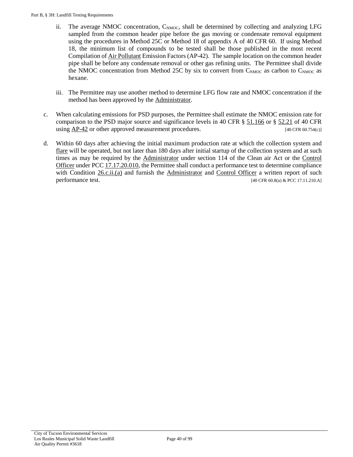- ii. The average NMOC concentration,  $C_{\text{NMOC}}$ , shall be determined by collecting and analyzing LFG sampled from the common header pipe before the gas moving or condensate removal equipment using the procedures in Method 25C or Method 18 of appendix A of 40 CFR 60. If using Method 18, the minimum list of compounds to be tested shall be those published in the most recent Compilation o[f Air Pollutant](#page-17-0) Emission Factors (AP-42). The sample location on the common header pipe shall be before any condensate removal or other gas refining units. The Permittee shall divide the NMOC concentration from Method 25C by six to convert from  $C_{\text{NMOC}}$  as carbon to  $C_{\text{NMOC}}$  as hexane.
- iii. The Permittee may use another method to determine LFG flow rate and NMOC concentration if the method has been approved by the [Administrator.](#page-17-1)
- c. When calculating emissions for PSD purposes, the Permittee shall estimate the NMOC emission rate for comparison to the PSD major source and significance levels in 40 CFR [§ 51.166](https://tinyurl.com/50-CFR-51-166) or [§ 52.21](https://tinyurl.com/40-CFR-52-21) of 40 CFR using [AP-42](https://tinyurl.com/EPA-AP-42) or other approved measurement procedures. [40 CFR 60.754(c)]
- d. Within 60 days after achieving the initial maximum production rate at which the collection system and [flare](#page-18-1) will be operated, but not later than 180 days after initial startup of the collection system and at such times as may be required by the **Administrator** under section 114 of the Clean air Act or the Control [Officer](#page-17-2) under [PCC 17.17.20.010,](https://tinyurl.com/PCC-17-20-010) the Permittee shall conduct a performance test to determine compliance with Condition  $26.c.ii(a)$  and furnish the [Administrator](#page-17-1) and [Control Officer](#page-17-2) a written report of such performance test.  $[40 \text{ CFR } 60.8(a) \& \text{PCC } 17.11.210.A]$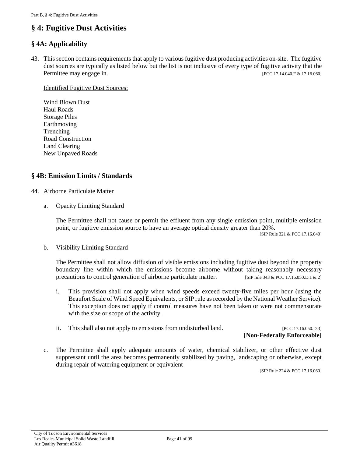# **§ 4: Fugitive Dust Activities**

#### **§ 4A: Applicability**

<span id="page-40-2"></span>43. This section contains requirements that apply to various fugitive dust producing activities on-site. The fugitive dust sources are typically as listed below but the list is not inclusive of every type of fugitive activity that the Permittee may engage in. [PCC 17.14.040.F & 17.16.060]

Identified Fugitive Dust Sources:

Wind Blown Dust Haul Roads Storage Piles Earthmoving Trenching Road Construction Land Clearing New Unpaved Roads

#### **§ 4B: Emission Limits / Standards**

- <span id="page-40-0"></span>44. Airborne Particulate Matter
	- a. Opacity Limiting Standard

The Permittee shall not cause or permit the effluent from any single emission point, multiple emission point, or fugitive emission source to have an average optical density greater than 20%.

[SIP Rule 321 & PCC 17.16.040]

<span id="page-40-1"></span>b. Visibility Limiting Standard

The Permittee shall not allow diffusion of visible emissions including fugitive dust beyond the property boundary line within which the emissions become airborne without taking reasonably necessary precautions to control generation of airborne particulate matter. [SIP rule 343 & PCC 17.16.050.D.1 & 2]

- i. This provision shall not apply when wind speeds exceed twenty-five miles per hour (using the Beaufort Scale of Wind Speed Equivalents, or SIP rule as recorded by the National Weather Service). This exception does not apply if control measures have not been taken or were not commensurate with the size or scope of the activity.
- ii. This shall also not apply to emissions from undisturbed land. [PCC 17.16.050.D.3]

## **[Non-Federally Enforceable]**

c. The Permittee shall apply adequate amounts of water, chemical stabilizer, or other effective dust suppressant until the area becomes permanently stabilized by paving, landscaping or otherwise, except during repair of watering equipment or equivalent

[SIP Rule 224 & PCC 17.16.060]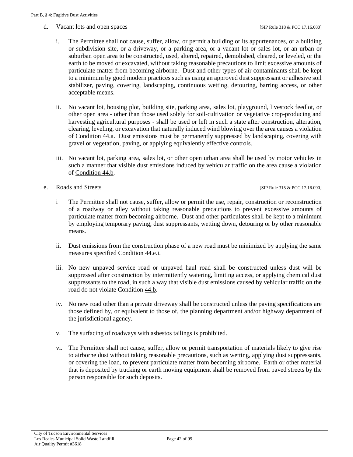d. Vacant lots and open spaces [SIP Rule 318 & PCC 17.16.080]

- i. The Permittee shall not cause, suffer, allow, or permit a building or its appurtenances, or a building or subdivision site, or a driveway, or a parking area, or a vacant lot or sales lot, or an urban or suburban open area to be constructed, used, altered, repaired, demolished, cleared, or leveled, or the earth to be moved or excavated, without taking reasonable precautions to limit excessive amounts of particulate matter from becoming airborne. Dust and other types of air contaminants shall be kept to a minimum by good modern practices such as using an approved dust suppressant or adhesive soil stabilizer, paving, covering, landscaping, continuous wetting, detouring, barring access, or other acceptable means.
- ii. No vacant lot, housing plot, building site, parking area, sales lot, playground, livestock feedlot, or other open area - other than those used solely for soil-cultivation or vegetative crop-producing and harvesting agricultural purposes - shall be used or left in such a state after construction, alteration, clearing, leveling, or excavation that naturally induced wind blowing over the area causes a violation of [Condition 44.a.](#page-40-0) Dust emissions must be permanently suppressed by landscaping, covering with gravel or vegetation, paving, or applying equivalently effective controls.
- iii. No vacant lot, parking area, sales lot, or other open urban area shall be used by motor vehicles in such a manner that visible dust emissions induced by vehicular traffic on the area cause a violation of [Condition 44.b.](#page-40-1)
- <span id="page-41-0"></span>e. Roads and Streets [SIP Rule 315 & PCC 17.16.090]

- i The Permittee shall not cause, suffer, allow or permit the use, repair, construction or reconstruction of a roadway or alley without taking reasonable precautions to prevent excessive amounts of particulate matter from becoming airborne. Dust and other particulates shall be kept to a minimum by employing temporary paving, dust suppressants, wetting down, detouring or by other reasonable means.
- ii. Dust emissions from the construction phase of a new road must be minimized by applying the same measures specified [Condition 44.e.i.](#page-41-0)
- iii. No new unpaved service road or unpaved haul road shall be constructed unless dust will be suppressed after construction by intermittently watering, limiting access, or applying chemical dust suppressants to the road, in such a way that visible dust emissions caused by vehicular traffic on the road do not violate [Condition 44.b.](#page-40-1)
- iv. No new road other than a private driveway shall be constructed unless the paving specifications are those defined by, or equivalent to those of, the planning department and/or highway department of the jurisdictional agency.
- v. The surfacing of roadways with asbestos tailings is prohibited.
- vi. The Permittee shall not cause, suffer, allow or permit transportation of materials likely to give rise to airborne dust without taking reasonable precautions, such as wetting, applying dust suppressants, or covering the load, to prevent particulate matter from becoming airborne. Earth or other material that is deposited by trucking or earth moving equipment shall be removed from paved streets by the person responsible for such deposits.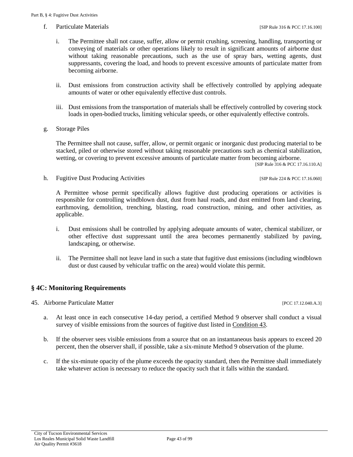f. Particulate Materials **Figure 316** & PCC 17.16.100]

- i. The Permittee shall not cause, suffer, allow or permit crushing, screening, handling, transporting or conveying of materials or other operations likely to result in significant amounts of airborne dust without taking reasonable precautions, such as the use of spray bars, wetting agents, dust suppressants, covering the load, and hoods to prevent excessive amounts of particulate matter from becoming airborne.
- ii. Dust emissions from construction activity shall be effectively controlled by applying adequate amounts of water or other equivalently effective dust controls.
- iii. Dust emissions from the transportation of materials shall be effectively controlled by covering stock loads in open-bodied trucks, limiting vehicular speeds, or other equivalently effective controls.
- g. Storage Piles

The Permittee shall not cause, suffer, allow, or permit organic or inorganic dust producing material to be stacked, piled or otherwise stored without taking reasonable precautions such as chemical stabilization, wetting, or covering to prevent excessive amounts of particulate matter from becoming airborne.

[SIP Rule 316 & PCC 17.16.110.A]

h. Fugitive Dust Producing Activities [SIP Rule 224 & PCC 17.16.060]

A Permittee whose permit specifically allows fugitive dust producing operations or activities is responsible for controlling windblown dust, dust from haul roads, and dust emitted from land clearing, earthmoving, demolition, trenching, blasting, road construction, mining, and other activities, as applicable.

- i. Dust emissions shall be controlled by applying adequate amounts of water, chemical stabilizer, or other effective dust suppressant until the area becomes permanently stabilized by paving, landscaping, or otherwise.
- ii. The Permittee shall not leave land in such a state that fugitive dust emissions (including windblown dust or dust caused by vehicular traffic on the area) would violate this permit.

#### **§ 4C: Monitoring Requirements**

<span id="page-42-0"></span>45. Airborne Particulate Matter [PCC 17.12.040.A.3]

- a. At least once in each consecutive 14-day period, a certified Method 9 observer shall conduct a visual survey of visible emissions from the sources of fugitive dust listed in [Condition 43.](#page-40-2)
- b. If the observer sees visible emissions from a source that on an instantaneous basis appears to exceed 20 percent, then the observer shall, if possible, take a six-minute Method 9 observation of the plume.
- c. If the six-minute opacity of the plume exceeds the opacity standard, then the Permittee shall immediately take whatever action is necessary to reduce the opacity such that it falls within the standard.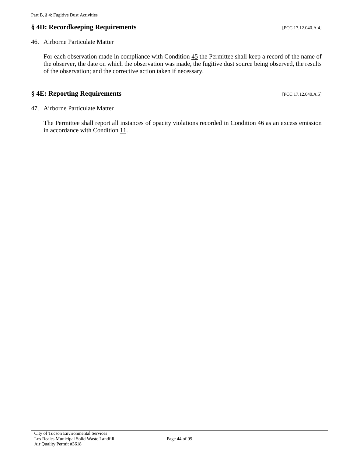## **§** 4D: Recordkeeping Requirements [PCC 17.12.040.A.4]

#### <span id="page-43-0"></span>46. Airborne Particulate Matter

For each observation made in compliance with Condition  $45$  the Permittee shall keep a record of the name of the observer, the date on which the observation was made, the fugitive dust source being observed, the results of the observation; and the corrective action taken if necessary.

#### **§** 4E: Reporting Requirements **[PCC 17.12.040.A.5]**

47. Airborne Particulate Matter

The Permittee shall report all instances of opacity violations recorded in [Condition 46](#page-43-0) as an excess emission in accordance with [Condition 11.](#page-7-0)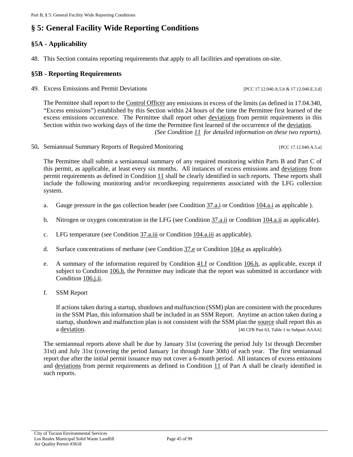# **§ 5: General Facility Wide Reporting Conditions**

## **§5A - Applicability**

48. This Section contains reporting requirements that apply to all facilities and operations on-site.

#### **§5B - Reporting Requirements**

49. Excess Emissions and Permit Deviations [PCC 17.12.040.A.5.b & 17.12.040.E.3.d]

The Permittee shall report to th[e Control Officer](#page-17-2) any emissions in excess of the limits (as defined in 17.04.340, "Excess emissions") established by this Section within 24 hours of the time the Permittee first learned of the excess emissions occurrence. The Permittee shall report other [deviations](#page-18-2) from permit requirements in this Section within two working days of the time the Permittee first learned of the occurrence of the [deviation.](#page-18-2) *(See [Condition 11](#page-7-0) for detailed information on these two reports).*

50. Semiannual Summary Reports of Required Monitoring [PCC 17.12.040.A.5.a]

The Permittee shall submit a semiannual summary of any required monitoring within Parts B and Part C of this permit, as applicable, at least every six months. All instances of excess emissions and [deviations](#page-18-2) from permit requirements as defined in [Condition 11](#page-7-0) shall be clearly identified in such reports. These reports shall include the following monitoring and/or recordkeeping requirements associated with the LFG collection system.

- a. Gauge pressure in the gas collection header (se[e Condition 37.a.i](#page-30-0) or [Condition 104.a.i](#page-63-0) as applicable ).
- b. Nitrogen or oxygen concentration in the LFG (see [Condition 37.a.ii](#page-30-1) or [Condition 104.a.ii](#page-63-1) as applicable).
- c. LFG temperature (see [Condition 37.a.iii](#page-30-2) or [Condition 104.a.iii](#page-63-2) as applicable).
- d. Surface concentrations of methane (see [Condition 37.e](#page-31-0) or [Condition 104.e](#page-64-0) as applicable).
- e. A summary of the information required by Condition  $41.f$  or Condition  $106.h$ , as applicable, except if subject to [Condition 106.h,](#page-74-0) the Permittee may indicate that the report was submitted in accordance with [Condition 106.j.ii.](#page-75-0)
- f. SSM Report

If actions taken during a startup, shutdown and malfunction (SSM) plan are consistent with the procedures in the SSM Plan, this information shall be included in an SSM Report. Anytime an action taken during a startup, shutdown and malfunction plan is not consistent with the SSM plan the [source](#page-20-1) shall report this as a [deviation.](#page-18-2) [40 CFR Part 63, Table 1 to Subpart AAAA]

The semiannual reports above shall be due by January 31st (covering the period July 1st through December 31st) and July 31st (covering the period January 1st through June 30th) of each year. The first semiannual report due after the initial permit issuance may not cover a 6-month period. All instances of excess emissions and [deviations](#page-18-2) from permit requirements as defined in [Condition 11](#page-7-0) of Part A shall be clearly identified in such reports.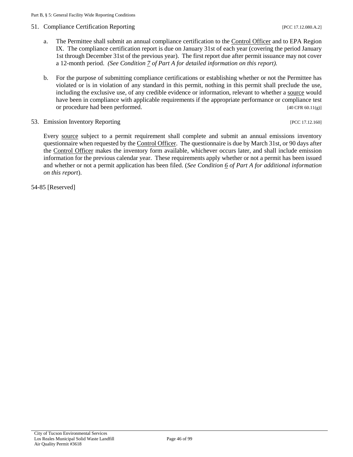#### 51. Compliance Certification Reporting **Exercise 2.12.2.080.A.2**]

- a. The Permittee shall submit an annual compliance certification to the [Control Officer](#page-17-2) and to EPA Region IX. The compliance certification report is due on January 31st of each year (covering the period January 1st through December 31st of the previous year). The first report due after permit issuance may not cover a 12-month period. *(See [Condition 7](#page-5-0) of Part A for detailed information on this report).*
- b. For the purpose of submitting compliance certifications or establishing whether or not the Permittee has violated or is in violation of any standard in this permit, nothing in this permit shall preclude the use, including the exclusive use, of any credible evidence or information, relevant to whether a [source](#page-20-1) would have been in compliance with applicable requirements if the appropriate performance or compliance test or procedure had been performed. [40 CFR 60.11(g)]
- 53. Emission Inventory Reporting **Exercise 2.12.160** [PCC 17.12.160]

Every [source](#page-20-1) subject to a permit requirement shall complete and submit an annual emissions inventory questionnaire when requested by th[e Control Officer.](#page-17-2) The questionnaire is due by March 31st, or 90 days after the [Control Officer](#page-17-2) makes the inventory form available, whichever occurs later, and shall include emission information for the previous calendar year. These requirements apply whether or not a permit has been issued and whether or not a permit application has been filed. (*See [Condition 6](#page-5-1) of Part A for additional information on this report*).

54-85 [Reserved]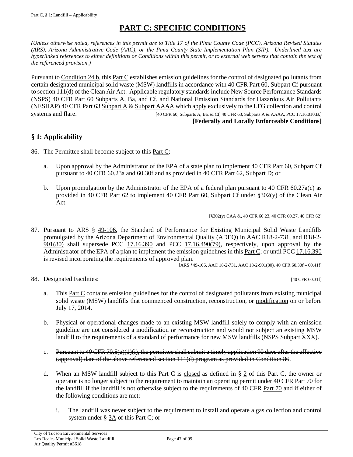# **PART C: SPECIFIC CONDITIONS**

<span id="page-46-0"></span>*(Unless otherwise noted, references in this permit are to Title 17 of the Pima County Code (PCC), Arizona Revised Statutes (ARS), Arizona Administrative Code (AAC), or the Pima County State Implementation Plan (SIP). Underlined text are hyperlinked references to either definitions or Conditions within this permit, or to external web servers that contain the text of the referenced provision.)*

Pursuant to [Condition 24.b,](#page-16-0) this [Part C](#page-46-0) establishes emission guidelines for the control of designated pollutants from certain designated municipal solid waste (MSW) landfills in accordance with 40 CFR Part 60, Subpart Cf pursuant to section 111(d) of the Clean Air Act. Applicable regulatory standards include New Source Performance Standards (NSPS) 40 CFR Part 60 [Subparts A, Ba, and Cf,](https://tinyurl.com/40-CFR-60-subpart-A) and National Emission Standards for Hazardous Air Pollutants (NESHAP) 40 CFR Part 63 Subpart  $A \& S$  [Subpart AAAA](https://tinyurl.com/40-CFR-63-Subpart-AAAA) which apply exclusively to the LFG collection and control systems and flare. [40 CFR 60, Subparts A, Ba, & Cf, 40 CFR 63, Subparts A & AAAA, PCC 17.16.010.B,] **[Federally and Locally Enforceable Conditions]**

## **§ 1: Applicability**

- <span id="page-46-1"></span>86. The Permittee shall become subject to thi[s Part C:](#page-46-0)
	- a. Upon approval by the Administrator of the EPA of a state plan to implement 40 CFR Part 60, Subpart Cf pursuant to 40 CFR 60.23a and 60.30f and as provided in 40 CFR Part 62, Subpart D; or
	- b. Upon promulgation by the Administrator of the EPA of a federal plan pursuant to 40 CFR 60.27a(c) as provided in 40 CFR Part 62 to implement 40 CFR Part 60, Subpart Cf under §302(y) of the Clean Air Act.

[§302(y) CAA &, 40 CFR 60.23, 40 CFR 60.27, 40 CFR 62]

87. Pursuant to [ARS § 49-106,](https://tinyurl.com/ARS-49-106) the Standard of Performance for Existing Municipal Solid Waste Landfills promulgated by the Arizona Department of Environmental Quality (ADEQ) in [AAC R18-2-731,](https://apps.azsos.gov/public_services/Title_18/18-02.pdf) and [R18-2-](https://apps.azsos.gov/public_services/Title_18/18-02.pdf)  $901(80)$  shall supersede PCC  $17.16.390$  and PCC  $17.16.490(79)$ , respectively, upon approval by the Administrator of the EPA of a plan to implement the emission guidelines in this [Part C;](#page-46-0) or until [PCC 17.16.390](https://tinyurl.com/PCC-17-16-390) is revised incorporating the requirements of approved plan.

[ARS §49-106, AAC 18-2-731, AAC 18-2-901(80), 40 CFR 60.30f – 60.41f]

88. Designated Facilities: [40 CFR 60.31f]

- a. This [Part C](#page-46-0) contains emission guidelines for the control of designated pollutants from existing municipal solid waste (MSW) landfills that commenced construction, reconstruction, or [modification](#page-50-0) on or before July 17, 2014.
- b. Physical or operational changes made to an existing MSW landfill solely to comply with an emission guideline are not considered a [modification](#page-50-0) or reconstruction and would not subject an existing MSW landfill to the requirements of a standard of performance for new MSW landfills (NSPS Subpart XXX).
- c. Pursuant to 40 CFR  $70.5(a)(1)(i)$ , the permittee shall submit a timely application 90 days after the effective (approval) date of the above referenced section 111(d) program as provided in [Condition 86.](#page-46-1)
- d. When an MSW landfill subject to this Part C is [closed](#page-48-0) as defined in [§ 2](#page-48-1) of this Part C, the owner or operator is no longer subject to the requirement to maintain an operating permit unde[r 40 CFR Part 70](https://tinyurl.com/40-CFR-70-INCL) for the landfill if the landfill is not otherwise subject to the requirements of [40 CFR Part 70](https://tinyurl.com/40-CFR-70-INCL) and if either of the following conditions are met:
	- i. The landfill was never subject to the requirement to install and operate a gas collection and control system under § [3A](#page-52-0) of this Part C; or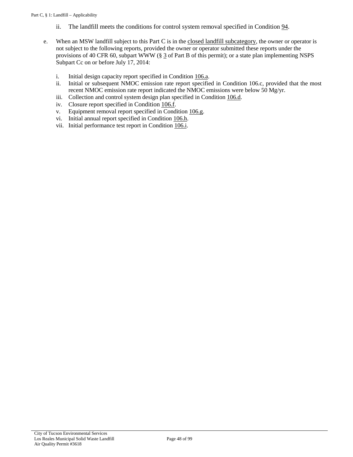- ii. The landfill meets the conditions for control system removal specified i[n Condition 94.](#page-55-0)
- <span id="page-47-1"></span><span id="page-47-0"></span>e. When an MSW landfill subject to this Part C is in the [closed landfill subcategory,](#page-48-2) the owner or operator is not subject to the following reports, provided the owner or operator submitted these reports under the provisions of 40 CFR 60, subpart WWW [\(§ 3](#page-21-1) of Part B of this permit); or a state plan implementing NSPS Subpart Cc on or before July 17, 2014:
	- i. Initial design capacity report specified in [Condition 106.a.](#page-69-0)
	- ii. Initial or subsequent NMOC emission rate report specified in Condition 106.c, provided that the most recent NMOC emission rate report indicated the NMOC emissions were below 50 Mg/yr.
	- iii. Collection and control system design plan specified in [Condition 106.d.](#page-70-0)
	- iv. Closure report specified in [Condition 106.f.](#page-73-0)
	- v. Equipment removal report specified in [Condition 106.g.](#page-73-1) vi. Initial annual report specified in Condition 106.h.
	- Initial annual report specified in [Condition 106.h.](#page-74-0)
	- vii. Initial performance test report in [Condition 106.i.](#page-74-1)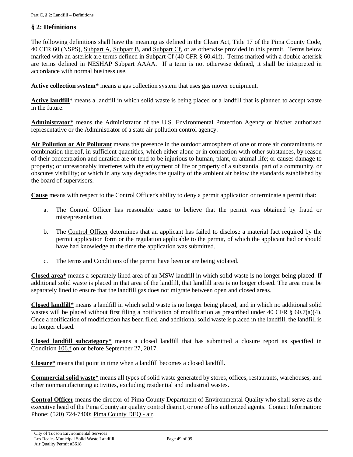## <span id="page-48-1"></span>**§ 2: Definitions**

The following definitions shall have the meaning as defined in the Clean Act, [Title 17](https://tinyurl.com/PCC-17-00-00) of the Pima County Code, 40 CFR 60 (NSPS), [Subpart A,](https://tinyurl.com/40-CFR-60-subpart-A) [Subpart](https://www.ecfr.gov/cgi-bin/text-idx?SID=e4d9d15dda0cccf5eefbcfdea5b9f48b&mc=true&node=pt40.7.60&rgn=div5#sp40.7.60.b) B, and [Subpart Cf,](https://tinyurl.com/40-CFR-60-Subpart-Cf) or as otherwise provided in this permit. Terms below marked with an asterisk are terms defined in Subpart Cf (40 CFR § 60.41f). Terms marked with a double asterisk are terms defined in NESHAP Subpart AAAA. If a term is not otherwise defined, it shall be interpreted in accordance with normal business use.

<span id="page-48-4"></span>Active collection system<sup>\*</sup> means a gas collection system that uses gas mover equipment.

<span id="page-48-5"></span>Active landfill<sup>\*</sup> means a landfill in which solid waste is being placed or a landfill that is planned to accept waste in the future.

<span id="page-48-7"></span>**Administrator\*** means the Administrator of the U.S. Environmental Protection Agency or his/her authorized representative or the Administrator of a state air pollution control agency.

**Air Pollution or Air Pollutant** means the presence in the outdoor atmosphere of one or more air contaminants or combination thereof, in sufficient quantities, which either alone or in connection with other substances, by reason of their concentration and duration are or tend to be injurious to human, plant, or animal life; or causes damage to property; or unreasonably interferes with the enjoyment of life or property of a substantial part of a community, or obscures visibility; or which in any way degrades the quality of the ambient air below the standards established by the board of supervisors.

**Cause** means with respect to the [Control Officer's](#page-48-3) ability to deny a permit application or terminate a permit that:

- a. The [Control Officer](#page-48-3) has reasonable cause to believe that the permit was obtained by fraud or misrepresentation.
- b. The [Control Officer](#page-17-2) determines that an applicant has failed to disclose a material fact required by the permit application form or the regulation applicable to the permit, of which the applicant had or should have had knowledge at the time the application was submitted.
- c. The terms and Conditions of the permit have been or are being violated.

<span id="page-48-6"></span>**Closed area\*** means a separately lined area of an MSW landfill in which solid waste is no longer being placed. If additional solid waste is placed in that area of the landfill, that landfill area is no longer closed. The area must be separately lined to ensure that the landfill gas does not migrate between open and closed areas.

<span id="page-48-0"></span>**Closed landfill\*** means a landfill in which solid waste is no longer being placed, and in which no additional solid wastes will be placed without first filing a notification of [modification](#page-19-1) as prescribed under 40 CFR  $\S$  60.7(a)(4). Once a notification of modification has been filed, and additional solid waste is placed in the landfill, the landfill is no longer closed.

<span id="page-48-2"></span>**Closed landfill subcategory\*** means a [closed landfill](#page-48-0) that has submitted a closure report as specified in [Condition](#page-73-0) 106.f on or before September 27, 2017.

**Closure\*** means that point in time when a landfill becomes a [closed landfill.](#page-48-0)

**Commercial solid waste\*** means all types of solid waste generated by stores, offices, restaurants, warehouses, and other nonmanufacturing activities, excluding residential and [industrial wastes.](#page-50-1)

<span id="page-48-3"></span>**Control Officer** means the director of Pima County Department of Environmental Quality who shall serve as the executive head of the Pima County air quality control district, or one of his authorized agents. Contact Information: Phone: (520) 724-7400; [Pima County DEQ -](http://webcms.pima.gov/government/environmental_quality/) air.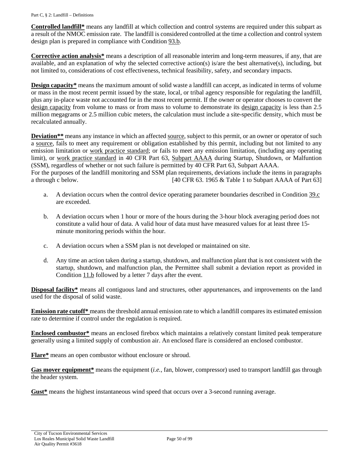**Controlled landfill\*** means any landfill at which collection and control systems are required under this subpart as a result of the NMOC emission rate. The landfill is considered controlled at the time a collection and control system design plan is prepared in compliance wit[h Condition 93.b.](#page-55-1)

<span id="page-49-6"></span>**Corrective action analysis\*** means a description of all reasonable interim and long-term measures, if any, that are available, and an explanation of why the selected corrective action(s) is/are the best alternative(s), including, but not limited to, considerations of cost effectiveness, technical feasibility, safety, and secondary impacts.

<span id="page-49-0"></span>**Design capacity\*** means the maximum amount of solid waste a landfill can accept, as indicated in terms of volume or mass in the most recent permit issued by the state, local, or tribal agency responsible for regulating the landfill, plus any in-place waste not accounted for in the most recent permit. If the owner or operator chooses to convert the [design capacity](#page-49-0) from volume to mass or from mass to volume to demonstrate its [design capacity](#page-49-0) is less than 2.5 million megagrams or 2.5 million cubic meters, the calculation must include a site-specific density, which must be recalculated annually.

<span id="page-49-7"></span>**Deviation**\*\* means any instance in which an affected [source,](#page-20-1) subject to this permit, or an owner or operator of such a [source,](#page-20-1) fails to meet any requirement or obligation established by this permit, including but not limited to any emission limitation or [work practice standard;](#page-51-0) or fails to meet any emission limitation, (including any operating limit), or [work practice standard](#page-20-2) in 40 CFR Part 63, [Subpart AAAA](https://tinyurl.com/40-CFR-63-Subpart-AAAA) during Startup, Shutdown, or Malfuntion (SSM), regardless of whether or not such failure is permitted by 40 CFR Part 63, Subpart AAAA. For the purposes of the landfill monitoring and SSM plan requirements, deviations include the items in paragraphs a through c below. [40 CFR 63. 1965 & Table 1 to Subpart AAAA of Part 63]

- a. A deviation occurs when the control device operating parameter boundaries described in [Condition 39.c](#page-32-0) are exceeded.
- b. A deviation occurs when 1 hour or more of the hours during the 3-hour block averaging period does not constitute a valid hour of data. A valid hour of data must have measured values for at least three 15 minute monitoring periods within the hour.
- c. A deviation occurs when a SSM plan is not developed or maintained on site.
- d. Any time an action taken during a startup, shutdown, and malfunction plant that is not consistent with the startup, shutdown, and malfunction plan, the Permittee shall submit a deviation report as provided in [Condition 11.b](#page-8-0) followed by a letter 7 days after the event.

<span id="page-49-1"></span>**Disposal facility\*** means all contiguous land and structures, other appurtenances, and improvements on the land used for the disposal of solid waste.

**Emission rate cutoff\*** means the threshold annual emission rate to which a landfill compares its estimated emission rate to determine if control under the regulation is required.

<span id="page-49-5"></span>**Enclosed combustor\*** means an enclosed firebox which maintains a relatively constant limited peak temperature generally using a limited supply of combustion air. An enclosed flare is considered an enclosed combustor.

<span id="page-49-4"></span>**Flare\*** means an open combustor without enclosure or shroud.

<span id="page-49-3"></span>**Gas mover equipment\*** means the equipment (*i.e.,* fan, blower, compressor) used to transport landfill gas through the header system.

<span id="page-49-8"></span><span id="page-49-2"></span>**Gust\*** means the highest instantaneous wind speed that occurs over a 3-second running average.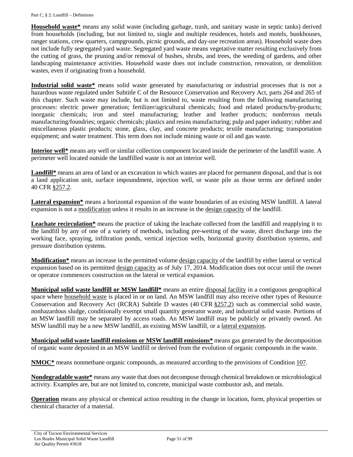**Household waste\*** means any solid waste (including garbage, trash, and sanitary waste in septic tanks) derived from households (including, but not limited to, single and multiple residences, hotels and motels, bunkhouses, ranger stations, crew quarters, campgrounds, picnic grounds, and day-use recreation areas). Household waste does not include fully segregated yard waste. Segregated yard waste means vegetative matter resulting exclusively from the cutting of grass, the pruning and/or removal of bushes, shrubs, and trees, the weeding of gardens, and other landscaping maintenance activities. Household waste does not include construction, renovation, or demolition wastes, even if originating from a household.

<span id="page-50-1"></span>**Industrial solid waste\*** means solid waste generated by manufacturing or industrial processes that is not a hazardous waste regulated under Subtitle C of the Resource Conservation and Recovery Act, parts 264 and 265 of this chapter. Such waste may include, but is not limited to, waste resulting from the following manufacturing processes: electric power generation; fertilizer/agricultural chemicals; food and related products/by-products; inorganic chemicals; iron and steel manufacturing; leather and leather products; nonferrous metals manufacturing/foundries; organic chemicals; plastics and resins manufacturing; pulp and paper industry; rubber and miscellaneous plastic products; stone, glass, clay, and concrete products; textile manufacturing; transportation equipment; and water treatment. This term does not include mining waste or oil and gas waste.

<span id="page-50-8"></span>**Interior well\*** means any well or similar collection component located inside the perimeter of the landfill waste. A perimeter well located outside the landfilled waste is not an interior well.

<span id="page-50-5"></span>**Landfill\*** means an area of land or an excavation in which wastes are placed for permanent disposal, and that is not a land application unit, surface impoundment, injection well, or waste pile as those terms are defined under 40 CFR [§257.2.](https://tinyurl.com/40-CFR-257-definitions)

<span id="page-50-2"></span>**Lateral expansion\*** means a horizontal expansion of the waste boundaries of an existing MSW landfill. A lateral expansion is not a [modification](#page-19-1) unless it results in an increase in the [design capacity](#page-49-0) of the landfill.

**Leachate recirculation\*** means the practice of taking the leachate collected from the landfill and reapplying it to the landfill by any of one of a variety of methods, including pre-wetting of the waste, direct discharge into the working face, spraying, infiltration ponds, vertical injection wells, horizontal gravity distribution systems, and pressure distribution systems.

<span id="page-50-0"></span>**Modification\*** means an increase in the permitted volume [design capacity](#page-49-0) of the landfill by either lateral or vertical expansion based on its permitted [design capacity](#page-49-0) as of July 17, 2014. Modification does not occur until the owner or operator commences construction on the lateral or vertical expansion.

<span id="page-50-3"></span>**Municipal solid waste landfill or MSW landfill\*** means an entire [disposal facility](#page-49-1) in a contiguous geographical space where [household waste](#page-49-2) is placed in or on land. An MSW landfill may also receive other types of Resource Conservation and Recovery Act (RCRA) Subtitle D wastes (40 CFR [§257.2\)](https://tinyurl.com/40-CFR-257-definitions) such as commercial solid waste, nonhazardous sludge, conditionally exempt small quantity generator waste, and industrial solid waste. Portions of an MSW landfill may be separated by access roads. An MSW landfill may be publicly or privately owned. An MSW landfill may be a new MSW landfill, an existing MSW landfill, or a [lateral expansion.](#page-50-2)

<span id="page-50-4"></span>**Municipal solid waste landfill emissions or MSW landfill emissions\*** means gas generated by the decomposition of organic waste deposited in an MSW landfill or derived from the evolution of organic compounds in the waste.

<span id="page-50-6"></span>**NMOC\*** means nonmethane organic compounds, as measured according to the provisions of [Condition](#page-78-0) 107.

<span id="page-50-9"></span>**Nondegradable waste\*** means any waste that does not decompose through chemical breakdown or microbiological activity. Examples are, but are not limited to, concrete, municipal waste combustor ash, and metals.

<span id="page-50-7"></span>**Operation** means any physical or chemical action resulting in the change in location, form, physical properties or chemical character of a material.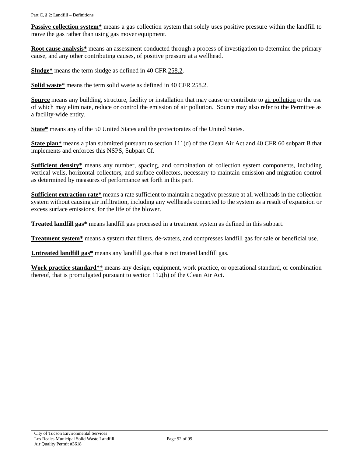**Passive collection system**<sup>\*</sup> means a gas collection system that solely uses positive pressure within the landfill to move the gas rather than using [gas mover equipment.](#page-49-3)

<span id="page-51-7"></span>**Root cause analysis\*** means an assessment conducted through a process of investigation to determine the primary cause, and any other contributing causes, of positive pressure at a wellhead.

**Sludge\*** means the term sludge as defined in [40 CFR 258.2.](https://tinyurl.com/40-CFR-258-definitions)

<span id="page-51-2"></span>**Solid waste\*** means the term solid waste as defined in [40 CFR 258.2.](https://tinyurl.com/40-CFR-258-definitions)

**Source** means any building, structure, facility or installation that may cause or contribute to [air pollution](#page-17-0) or the use of which may eliminate, reduce or control the emission of [air pollution.](#page-17-0) Source may also refer to the Permittee as a facility-wide entity.

**State\*** means any of the 50 United States and the protectorates of the United States.

<span id="page-51-4"></span>**State plan<sup>\*</sup>** means a plan submitted pursuant to section 111(d) of the Clean Air Act and 40 CFR 60 subpart B that implements and enforces this NSPS, Subpart Cf.

<span id="page-51-6"></span>**Sufficient density\*** means any number, spacing, and combination of collection system components, including vertical wells, horizontal collectors, and surface collectors, necessary to maintain emission and migration control as determined by measures of performance set forth in this part.

<span id="page-51-3"></span>**Sufficient extraction rate\*** means a rate sufficient to maintain a negative pressure at all wellheads in the collection system without causing air infiltration, including any wellheads connected to the system as a result of expansion or excess surface emissions, for the life of the blower.

<span id="page-51-1"></span>**Treated landfill gas\*** means landfill gas processed in a treatment system as defined in this subpart.

<span id="page-51-5"></span>**Treatment system\*** means a system that filters, de-waters, and compresses landfill gas for sale or beneficial use.

**Untreated landfill gas\*** means any landfill gas that is not [treated landfill gas.](#page-51-1)

<span id="page-51-0"></span>**Work practice standard**\*\* means any design, equipment, work practice, or operational standard, or combination thereof, that is promulgated pursuant to section 112(h) of the Clean Air Act.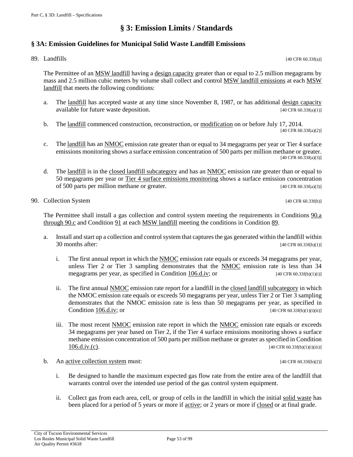## **§ 3: Emission Limits / Standards**

#### <span id="page-52-0"></span>**§ 3A: Emission Guidelines for Municipal Solid Waste Landfill Emissions**

<span id="page-52-2"></span>89. Landfills  $[40 \text{ CFR } 60.33f(a)]$ 

The Permittee of an [MSW landfill](#page-50-3) having a [design capacity](#page-49-0) greater than or equal to 2.5 million megagrams by mass and 2.5 million cubic meters by volume shall collect and control [MSW landfill](#page-50-4) emissions at eac[h MSW](#page-50-3)  [landfill](#page-50-3) that meets the following conditions:

- a. The [landfill](#page-50-5) has accepted waste at any time since November 8, 1987, or has additional [design capacity](#page-49-0) available for future waste deposition.  $[40 \text{ CFR } 60.33f(a)(1)]$
- b. The [landfill](#page-50-5) commenced construction, reconstruction, or [modification](#page-19-1) on or before July 17, 2014. [40 CFR 60.33f(a)(2)]
- c. The [landfill](#page-50-5) has an [NMOC](#page-50-6) emission rate greater than or equal to 34 megagrams per year or Tier 4 surface emissions monitoring shows a surface emission concentration of 500 parts per million methane or greater. [40 CFR 60.33f(a)(3)]
- d. The [landfill](#page-50-5) is in the [closed landfill subcategory](#page-48-2) and has an [NMOC](#page-50-6) emission rate greater than or equal to 50 megagrams per year or [Tier 4 surface emissions monitoring](#page-81-0) shows a surface emission concentration of 500 parts per million methane or greater.  $[40 \text{ CFR } 60.33f(a)(3)]$

<span id="page-52-5"></span>90. Collection System [40 CFR 60.33f(b)]

The Permittee shall install a gas collection and control system meeting the requirements in [Conditions](#page-52-1) 90.a [through 90.c](#page-52-1) an[d Condition 91](#page-53-0) at each [MSW landfill](#page-50-3) meeting the conditions in [Condition 89.](#page-52-2)

- <span id="page-52-1"></span>a. Install and start up a collection and control system that captures the gas generated within the landfill within 30 months after:  $[40 \text{ CFR } 60.33f(b)(1)]$ 
	- i. The first annual report in which the [NMOC](#page-50-6) emission rate equals or exceeds 34 megagrams per year, unless Tier 2 or Tier 3 sampling demonstrates that the [NMOC](#page-50-6) emission rate is less than 34 megagrams per year, as specified in [Condition 106.d.iv;](#page-70-1) or  $[40 \text{ CFR } 60.33 \text{ ftb})(1)(i)]$
	- ii. The first annual [NMOC](#page-50-6) emission rate report for a landfill in th[e closed landfill subcategory](#page-48-2) in which the NMOC emission rate equals or exceeds 50 megagrams per year, unless Tier 2 or Tier 3 sampling demonstrates that the NMOC emission rate is less than 50 megagrams per year, as specified in **[Condition 106.d.iv;](#page-70-1) or**  $[40 \text{ CFR } 60.33 \text{ftb}(1)(i)(ii)]$
	- iii. The most recent [NMOC](#page-50-6) emission rate report in which the NMOC emission rate equals or exceeds 34 megagrams per year based on Tier 2, if the Tier 4 surface emissions monitoring shows a surface methane emission concentration of 500 parts per million methane or greater as specified in [Condition](#page-71-0)  $106 \text{.div.}(\text{c})$ . [40 CFR 60.33f(b)(1)(i)(iii)]
- <span id="page-52-7"></span><span id="page-52-6"></span><span id="page-52-4"></span><span id="page-52-3"></span>b. An [active collection system](#page-48-4) must:  $[40 \text{ CFR } 60.33f(b)(2)]$ 
	- i. Be designed to handle the maximum expected gas flow rate from the entire area of the landfill that warrants control over the intended use period of the gas control system equipment.
	- ii. Collect gas from each area, cell, or group of cells in the landfill in which the initial [solid waste](#page-51-2) has been placed for a period of 5 years or more i[f active;](#page-48-5) or 2 years or more i[f closed](#page-48-6) or at final grade.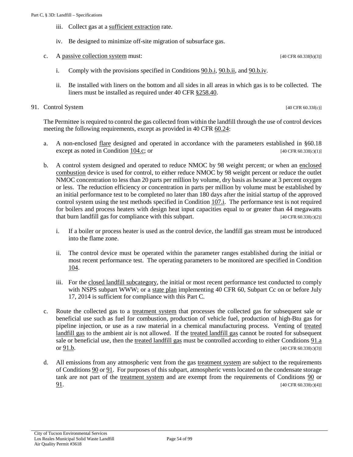- iii. Collect gas at a [sufficient extraction](#page-51-3) rate.
- iv. Be designed to minimize off-site migration of subsurface gas.
- <span id="page-53-1"></span>c. A [passive collection system](#page-50-7) must:  $[40 \text{ CFR } 60.33f(b)(3)]$ 
	- i. Comply with the provisions specified in [Conditions 90.b.i,](#page-52-3) [90.b.ii,](#page-52-4) an[d 90.b.iv.](#page-53-1)
	- ii. Be installed with liners on the bottom and all sides in all areas in which gas is to be collected. The liners must be installed as required under [40 CFR §258.40.](https://tinyurl.com/40-CFR-258-40)

#### <span id="page-53-0"></span>91. Control System [40 CFR 60.33f(c)]

The Permittee is required to control the gas collected from within the landfill through the use of control devices meeting the following requirements, except as provided in [40 CFR 60.24:](https://tinyurl.com/40-CFR-60-24)

- <span id="page-53-2"></span>a. A non-enclosed [flare](#page-49-4) designed and operated in accordance with the parameters established in §60.18 except as noted in [Condition 104.c;](#page-64-1) or  $[40 \text{ CFR } 60.33f(c)(1)]$
- <span id="page-53-3"></span>b. A control system designed and operated to reduce NMOC by 98 weight percent; or when an [enclosed](#page-49-5)  [combustion](#page-49-5) device is used for control, to either reduce NMOC by 98 weight percent or reduce the outlet NMOC concentration to less than 20 parts per million by volume, dry basis as hexane at 3 percent oxygen or less. The reduction efficiency or concentration in parts per million by volume must be established by an initial performance test to be completed no later than 180 days after the initial startup of the approved control system using the test methods specified in [Condition 107.i.](#page-82-0) The performance test is not required for boilers and process heaters with design heat input capacities equal to or greater than 44 megawatts that burn landfill gas for compliance with this subpart. [40 CFR 60.33 $f(c)(2)$ ]
	- i. If a boiler or process heater is used as the control device, the landfill gas stream must be introduced into the flame zone.
	- ii. The control device must be operated within the parameter ranges established during the initial or most recent performance test. The operating parameters to be monitored are specified in [Condition](#page-63-3) [104.](#page-63-3)
	- iii. For the [closed landfill subcategory,](#page-48-2) the initial or most recent performance test conducted to comply with NSPS subpart WWW; or a [state plan](#page-51-4) implementing 40 CFR 60, Subpart Cc on or before July 17, 2014 is sufficient for compliance with this Part C.
- <span id="page-53-4"></span>c. Route the collected gas to a [treatment system](#page-51-5) that processes the collected gas for subsequent sale or beneficial use such as fuel for combustion, production of vehicle fuel, production of high-Btu gas for pipeline injection, or use as a raw material in a chemical manufacturing process. Venting of [treated](#page-51-1)  [landfill gas](#page-51-1) to the ambient air is not allowed. If the [treated landfill gas](#page-51-1) cannot be routed for subsequent sale or beneficial use, then the [treated landfill gas](#page-51-1) must be controlled according to either [Conditions](#page-53-2) 91.a or  $91.b.$  [40 CFR 60.33 $f(c)(3)$ ]
- d. All emissions from any atmospheric vent from the gas [treatment system](#page-51-5) are subject to the requirements of [Conditions 90](#page-52-5) o[r 91.](#page-53-0) For purposes of this subpart, atmospheric vents located on the condensate storage tank are not part of the [treatment system](#page-51-5) and are exempt from the requirements of [Conditions 90](#page-52-5) or [91.](#page-53-0) [40 CFR 60.33 $f(c)(4)$ ]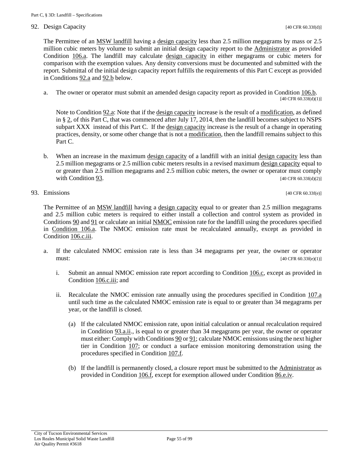#### 92. Design Capacity [40 CFR 60.33f(d)]

The Permittee of an [MSW landfill](#page-50-3) having a [design capacity](#page-49-0) less than 2.5 million megagrams by mass or 2.5 million cubic meters by volume to submit an initial design capacity report to the [Administrator](#page-48-7) as provided [Condition 106.a.](#page-69-0) The landfill may calculate [design capacity](#page-49-0) in either megagrams or cubic meters for comparison with the exemption values. Any density conversions must be documented and submitted with the report. Submittal of the initial design capacity report fulfills the requirements of this Part C except as provided in [Conditions 92.a](#page-54-0) and [92.b](#page-54-1) below.

<span id="page-54-0"></span>a. The owner or operator must submit an amended design capacity report as provided in [Condition 106.b.](#page-69-1) [40 CFR 60.33f(d)(1)]

Note to [Condition 92.a:](#page-54-0) Note that if the [design capacity](#page-49-0) increase is the result of a [modification,](#page-50-0) as defined in [§ 2,](#page-48-1) of this Part C, that was commenced after July 17, 2014, then the landfill becomes subject to NSPS subpart XXX instead of this Part C. If the [design capacity](#page-49-0) increase is the result of a change in operating practices, density, or some other change that is not a [modification,](#page-50-0) then the landfill remains subject to this Part C.

- <span id="page-54-1"></span>b. When an increase in the maximum [design capacity](#page-49-0) of a landfill with an initial [design capacity](#page-49-0) less than 2.5 million megagrams or 2.5 million cubic meters results in a revised maximu[m design capacity](#page-49-0) equal to or greater than 2.5 million megagrams and 2.5 million cubic meters, the owner or operator must comply with Condition  $93.$  [40 CFR 60.33f(d)(2)]
- <span id="page-54-2"></span>93. Emissions [40 CFR 60.33f(e)]

The Permittee of an [MSW landfill](#page-50-3) having a [design capacity](#page-49-0) equal to or greater than 2.5 million megagrams and 2.5 million cubic meters is required to either install a collection and control system as provided in [Conditions 90](#page-52-5) and [91](#page-53-0) or calculate an initial [NMOC](#page-50-6) emission rate for the landfill using the procedures specified in [Condition 106.a.](#page-69-0) The NMOC emission rate must be recalculated annually, except as provided in [Condition](#page-69-2) 106.c.iii.

- <span id="page-54-3"></span>a. If the calculated NMOC emission rate is less than 34 megagrams per year, the owner or operator must:  $[40 \text{ CFR } 60.33f(e)(1)]$ 
	- i. Submit an annual NMOC emission rate report according to [Condition 106.c,](#page-69-3) except as provided in [Condition](#page-69-2) 106.c.iii; and
	- ii. Recalculate the NMOC emission rate annually using the procedures specified in [Condition 107.a](#page-78-1) until such time as the calculated NMOC emission rate is equal to or greater than 34 megagrams per year, or the landfill is closed.
		- (a) If the calculated NMOC emission rate, upon initial calculation or annual recalculation required in [Condition 93.a.ii.](#page-54-3), is equal to or greater than 34 megagrams per year, the owner or operator must either: Comply with Conditions  $90$  or  $91$ ; calculate NMOC emissions using the next higher tier in [Condition 107;](#page-78-0) or conduct a surface emission monitoring demonstration using the procedures specified in [Condition 107.f.](#page-81-0)
		- (b) If the landfill is permanently closed, a closure report must be submitted to the [Administrator](#page-48-7) as provided in [Condition 106.f,](#page-73-0) except for exemption allowed under [Condition 86.e.iv.](#page-47-0)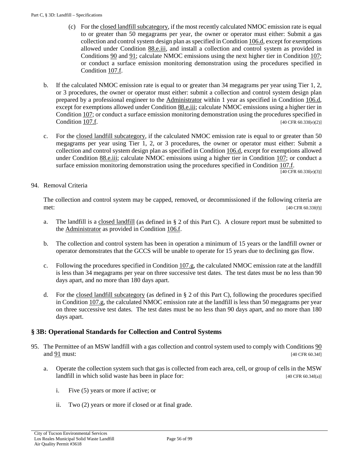- (c) For th[e closed landfill subcategory,](#page-48-2) if the most recently calculated NMOC emission rate is equal to or greater than 50 megagrams per year, the owner or operator must either: Submit a gas collection and control system design plan as specified i[n Condition 106.d,](#page-70-0) except for exemptions allowed under [Condition 88.e.iii,](#page-47-1) and install a collection and control system as provided in [Conditions 90](#page-52-5) and [91;](#page-53-0) calculate NMOC emissions using the next higher tier in [Condition 107;](#page-78-0) or conduct a surface emission monitoring demonstration using the procedures specified in [Condition 107.f.](#page-81-0)
- <span id="page-55-1"></span>b. If the calculated NMOC emission rate is equal to or greater than 34 megagrams per year using Tier 1, 2, or 3 procedures, the owner or operator must either: submit a collection and control system design plan prepared by a professional engineer to the [Administrator](#page-17-1) within 1 year as specified in [Condition 106.d,](#page-70-0) except for exemptions allowed under [Condition 88.e.iii;](#page-47-1) calculate NMOC emissions using a higher tier in [Condition 107;](#page-78-0) or conduct a surface emission monitoring demonstration using the procedures specified in Condition  $107.f.$  [40 CFR 60.33f(e)(2)]
- c. For the [closed landfill subcategory,](#page-48-2) if the calculated NMOC emission rate is equal to or greater than 50 megagrams per year using Tier 1, 2, or 3 procedures, the owner or operator must either: Submit a collection and control system design plan as specified in [Condition 106.d,](#page-70-0) except for exemptions allowed under [Condition 88.e.iii;](#page-47-1) calculate NMOC emissions using a higher tier in [Condition 107;](#page-78-0) or conduct a surface emission monitoring demonstration using the procedures specified in [Condition 107.f.](#page-81-0)  $\boxed{[40 \text{ CFR } 60.33 \text{f(e)}(3)]}$

#### <span id="page-55-0"></span>94. Removal Criteria

The collection and control system may be capped, removed, or decommissioned if the following criteria are  $m$ et: [40 CFR 60.33f(f)]

- a. The landfill is a [closed landfill](#page-48-0) (as defined in § 2 of this Part C). A closure report must be submitted to the [Administrator](#page-48-7) as provided in [Condition 106.f.](#page-73-0)
- b. The collection and control system has been in operation a minimum of 15 years or the landfill owner or operator demonstrates that the GCCS will be unable to operate for 15 years due to declining gas flow.
- c. Following the procedures specified i[n Condition 107.g,](#page-82-1) the calculated NMOC emission rate at the landfill is less than 34 megagrams per year on three successive test dates. The test dates must be no less than 90 days apart, and no more than 180 days apart.
- d. For the closed [landfill subcategory](#page-48-2) (as defined in § 2 of this Part C), following the procedures specified in [Condition 107.g,](#page-82-1) the calculated NMOC emission rate at the landfill is less than 50 megagrams per year on three successive test dates. The test dates must be no less than 90 days apart, and no more than 180 days apart.

## <span id="page-55-3"></span>**§ 3B: Operational Standards for Collection and Control Systems**

- <span id="page-55-2"></span>95. The Permittee of an MSW landfill with a gas collection and control system used to comply with [Conditions 90](#page-52-5) and  $\overline{91}$  must: [40 CFR 60.34f]
	- a. Operate the collection system such that gas is collected from each area, cell, or group of cells in the MSW landfill in which solid waste has been in place for:  $[40 \text{ CFR } 60.34f(a)]$ 
		- i. Five (5) years or more if active; or
		- ii. Two (2) years or more if closed or at final grade.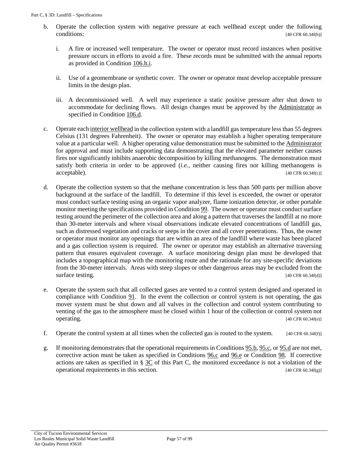- <span id="page-56-0"></span>b. Operate the collection system with negative pressure at each wellhead except under the following conditions:  $[40 \text{ CFR } 60.34\text{f(b)}]$ 
	- i. A fire or increased well temperature. The owner or operator must record instances when positive pressure occurs in efforts to avoid a fire. These records must be submitted with the annual reports as provided in [Condition 106.h.i.](#page-74-2)
	- ii. Use of a geomembrane or synthetic cover. The owner or operator must develop acceptable pressure limits in the design plan.
	- iii. A decommissioned well. A well may experience a static positive pressure after shut down to accommodate for declining flows. All design changes must be approved by the [Administrator](#page-48-7) as specified in [Condition 106.d.](#page-70-0)
- <span id="page-56-1"></span>c. Operate eac[h interior wellhead](#page-50-8) in the collection system with a landfill gas temperature less than 55 degrees Celsius (131 degrees Fahrenheit). The owner or operator may establish a higher operating temperature value at a particular well. A higher operating value demonstration must be submitted to th[e Administrator](#page-48-7) for approval and must include supporting data demonstrating that the elevated parameter neither causes fires nor significantly inhibits anaerobic decomposition by killing methanogens. The demonstration must satisfy both criteria in order to be approved (*i.e.,* neither causing fires nor killing methanogens is  $\text{acceptable}$ . [40 CFR 60.34f(c)]
- <span id="page-56-2"></span>d. Operate the collection system so that the methane concentration is less than 500 parts per million above background at the surface of the landfill. To determine if this level is exceeded, the owner or operator must conduct surface testing using an organic vapor analyzer, flame ionization detector, or other portable monitor meeting the specifications provided i[n Condition 99.](#page-60-0) The owner or operator must conduct surface testing around the perimeter of the collection area and along a pattern that traverses the landfill at no more than 30-meter intervals and where visual observations indicate elevated concentrations of landfill gas, such as distressed vegetation and cracks or seeps in the cover and all cover penetrations. Thus, the owner or operator must monitor any openings that are within an area of the landfill where waste has been placed and a gas collection system is required. The owner or operator may establish an alternative traversing pattern that ensures equivalent coverage. A surface monitoring design plan must be developed that includes a topographical map with the monitoring route and the rationale for any site-specific deviations from the 30-meter intervals. Areas with steep slopes or other dangerous areas may be excluded from the surface testing.  $[40 \text{ CFR } 60.34f(d)]$
- <span id="page-56-4"></span>e. Operate the system such that all collected gases are vented to a control system designed and operated in compliance with [Condition 91.](#page-53-0) In the event the collection or control system is not operating, the gas mover system must be shut down and all valves in the collection and control system contributing to venting of the gas to the atmosphere must be closed within 1 hour of the collection or control system not operating. [40 CFR 60.34f(e)]
- f. Operate the control system at all times when the collected gas is routed to the system. [40 CFR 60.34f(f)]
- <span id="page-56-3"></span>g. If monitoring demonstrates that the operational requirements in [Conditions 95.b,](#page-56-0) [95.c,](#page-56-1) or [95.d](#page-56-2) are not met, corrective action must be taken as specified in Conditions  $96.c$  and  $96.e$  or [Condition 98.](#page-59-0) If corrective actions are taken as specified in § [3C](#page-56-3) of this Part C, the monitored exceedance is not a violation of the operational requirements in this section.  $[40 \text{ CFR } 60.34f(g)]$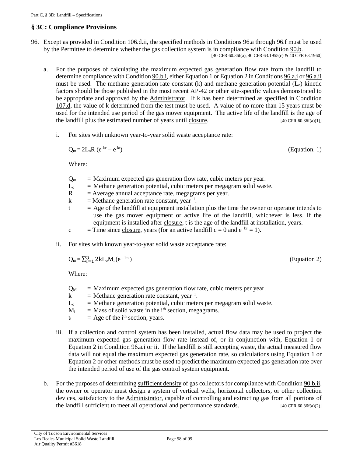### **§ 3C: Compliance Provisions**

- <span id="page-57-3"></span><span id="page-57-0"></span>96. Except as provided in [Condition 106.d.ii,](#page-70-2) the specified methods in [Conditions 96.a through 96.f](#page-57-0) must be used by the Permittee to determine whether the gas collection system is in compliance with [Condition 90.b.](#page-52-6) [40 CFR 60.36f(a), 40 CFR 63.1955(c) & 40 CFR 63.1960]
	- a. For the purposes of calculating the maximum expected gas generation flow rate from the landfill to determine compliance with [Condition 90.b.i,](#page-52-3) either Equation 1 or Equation 2 i[n Conditions](#page-57-1) 96.a.i o[r 96.a.ii](#page-57-2) must be used. The methane generation rate constant  $(k)$  and methane generation potential  $(L_0)$  kinetic factors should be those published in the most recent AP-42 or other site-specific values demonstrated to be appropriate and approved by the [Administrator.](#page-17-1) If k has been determined as specified in [Condition](#page-80-0) [107.d,](#page-80-0) the value of k determined from the test must be used. A value of no more than 15 years must be used for the intended use period of the [gas mover equipment.](#page-49-3) The active life of the landfill is the age of the landfill plus the estimated number of years until [closure.](#page-17-3) [40 CFR 60.36f(a)(1)]
		- i. For sites with unknown year-to-year solid waste acceptance rate:

<span id="page-57-1"></span>
$$
Q_m = 2L_oR (e^{-kc} - e^{-kt})
$$
 (Equation. 1)

Where:

- $Q_m$  = Maximum expected gas generation flow rate, cubic meters per year.
- $L_0$  = Methane generation potential, cubic meters per megagram solid waste.
- $R =$  Average annual acceptance rate, megagrams per year.
- k = Methane generation rate constant, year<sup>-1</sup>.
- $t = Age$  of the landfill at equipment installation plus the time the owner or operator intends to use the [gas mover equipment](#page-49-3) or active life of the landfill, whichever is less. If the equipment is installed after [closure,](#page-17-3) t is the age of the landfill at installation, years.

c = Time sinc[e closure,](#page-17-3) years (for an active landfill c = 0 and  $e^{-kc} = 1$ ).

<span id="page-57-2"></span>ii. For sites with known year-to-year solid waste acceptance rate:

$$
Q_m = \sum_{i=1}^n 2k L_o M_i (e^{-kt_i})
$$
 (Equation 2)

Where:

- $Q_M$  = Maximum expected gas generation flow rate, cubic meters per year.
- k = Methane generation rate constant, year<sup>-1</sup>.
- $L_0$  = Methane generation potential, cubic meters per megagram solid waste.
- $M_i$  = Mass of solid waste in the i<sup>th</sup> section, megagrams.
- $t_i$  = Age of the i<sup>th</sup> section, years.
- iii. If a collection and control system has been installed, actual flow data may be used to project the maximum expected gas generation flow rate instead of, or in conjunction with, Equation 1 or Equation 2 in [Condition 96.a.i or ii.](#page-57-1) If the landfill is still accepting waste, the actual measured flow data will not equal the maximum expected gas generation rate, so calculations using Equation 1 or Equation 2 or other methods must be used to predict the maximum expected gas generation rate over the intended period of use of the gas control system equipment.
- b. For the purposes of determining [sufficient density](#page-51-6) of gas collectors for compliance with Condition 90.b.ii, the owner or operator must design a system of vertical wells, horizontal collectors, or other collection devices, satisfactory to the [Administrator,](#page-48-7) capable of controlling and extracting gas from all portions of the landfill sufficient to meet all operational and performance standards.  $[40 \text{ CFR } 60.36f(a)(2)]$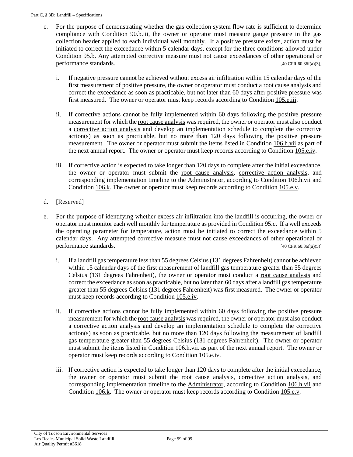- <span id="page-58-2"></span><span id="page-58-0"></span>c. For the purpose of demonstrating whether the gas collection system flow rate is sufficient to determine compliance with [Condition 90.b.iii,](#page-52-7) the owner or operator must measure gauge pressure in the gas collection header applied to each individual well monthly. If a positive pressure exists, action must be initiated to correct the exceedance within 5 calendar days, except for the three conditions allowed under [Condition 95.b.](#page-56-0) Any attempted corrective measure must not cause exceedances of other operational or performance standards. [40 CFR 60.36f(a)(3)]
	- i. If negative pressure cannot be achieved without excess air infiltration within 15 calendar days of the first measurement of positive pressure, the owner or operator must conduct a [root cause analysis](#page-51-7) and correct the exceedance as soon as practicable, but not later than 60 days after positive pressure was first measured. The owner or operator must keep records according to [Condition 105.e.iii.](#page-67-0)
	- ii. If corrective actions cannot be fully implemented within 60 days following the positive pressure measurement for which th[e root cause analysis](#page-51-7) was required, the owner or operator must also conduct a [corrective action analysis](#page-49-6) and develop an implementation schedule to complete the corrective action(s) as soon as practicable, but no more than 120 days following the positive pressure measurement. The owner or operator must submit the items listed in [Condition 106.h.vii](#page-74-3) as part of the next annual report. The owner or operator must keep records according to [Condition 105.e.iv.](#page-67-1)
	- iii. If corrective action is expected to take longer than 120 days to complete after the initial exceedance, the owner or operator must submit the [root cause analysis,](#page-51-7) [corrective action analysis,](#page-49-6) and corresponding implementation timeline to the [Administrator,](#page-48-7) according to [Condition 106.h.vii](#page-74-3) and [Condition 106.k.](#page-76-0) The owner or operator must keep records according to [Condition 105.e.v.](#page-67-2)
- <span id="page-58-4"></span>d. [Reserved]
- <span id="page-58-5"></span><span id="page-58-3"></span><span id="page-58-1"></span>e. For the purpose of identifying whether excess air infiltration into the landfill is occurring, the owner or operator must monitor each well monthly for temperature as provided i[n Condition 95.c.](#page-56-1) If a well exceeds the operating parameter for temperature, action must be initiated to correct the exceedance within 5 calendar days. Any attempted corrective measure must not cause exceedances of other operational or performance standards.  $[40 \text{ CFR } 60.36f(a)(5)]$ 
	- i. If a landfill gas temperature less than 55 degrees Celsius (131 degrees Fahrenheit) cannot be achieved within 15 calendar days of the first measurement of landfill gas temperature greater than 55 degrees Celsius (131 degrees Fahrenheit), the owner or operator must conduct a [root cause analysis](#page-51-7) and correct the exceedance as soon as practicable, but no later than 60 days after a landfill gas temperature greater than 55 degrees Celsius (131 degrees Fahrenheit) was first measured. The owner or operator must keep records according to [Condition 105.e.iv.](#page-67-1)
	- ii. If corrective actions cannot be fully implemented within 60 days following the positive pressure measurement for which th[e root cause analysis](#page-51-7) was required, the owner or operator must also conduct a [corrective action analysis](#page-49-6) and develop an implementation schedule to complete the corrective action(s) as soon as practicable, but no more than 120 days following the measurement of landfill gas temperature greater than 55 degrees Celsius (131 degrees Fahrenheit). The owner or operator must submit the items listed in Condition  $106 \text{.h.vii}$  as part of the next annual report. The owner or operator must keep records according to [Condition 105.e.iv.](#page-67-1)
	- iii. If corrective action is expected to take longer than 120 days to complete after the initial exceedance, the owner or operator must submit the [root cause analysis,](#page-51-7) [corrective action analysis,](#page-49-6) and corresponding implementation timeline to the [Administrator,](#page-17-1) according to [Condition 106.h.vii](#page-74-3) and [Condition 106.k.](#page-76-0) The owner or operator must keep records according to [Condition 105.e.v.](#page-67-2)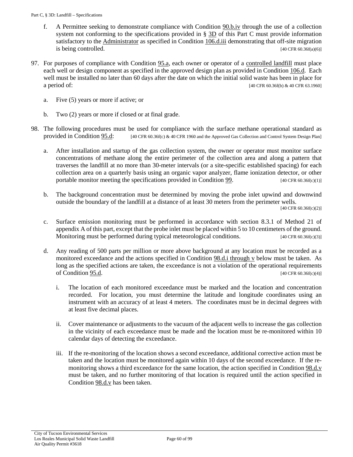- f. A Permittee seeking to demonstrate compliance with [Condition 90.b.iv](#page-53-1) through the use of a collection system not conforming to the specifications provided in § [3D](#page-60-1) of this Part C must provide information satisfactory to the [Administrator](#page-48-7) as specified in [Condition 106.d.iii](#page-70-3) demonstrating that off-site migration is being controlled.  $[40 \text{ CFR } 60.36f(a)(6)]$
- <span id="page-59-4"></span>97. For purposes of compliance with [Condition 95.a,](#page-55-2) each owner or operator of a [controlled landfill](#page-48-3) must place each well or design component as specified in the approved design plan as provided i[n Condition 106.d.](#page-70-0) Each well must be installed no later than 60 days after the date on which the initial solid waste has been in place for a period of: [40 CFR 60.36f(b) & 40 CFR 63.1960]
	- a. Five (5) years or more if active; or
	- b. Two (2) years or more if closed or at final grade.
- <span id="page-59-3"></span><span id="page-59-2"></span><span id="page-59-1"></span><span id="page-59-0"></span>98. The following procedures must be used for compliance with the surface methane operational standard as provided in Condition  $95.d$ : [40 CFR 60.36f(c) & 40 CFR 1960 and the Approved Gas Collection and Control System Design Plan]
	- a. After installation and startup of the gas collection system, the owner or operator must monitor surface concentrations of methane along the entire perimeter of the collection area and along a pattern that traverses the landfill at no more than 30-meter intervals (or a site-specific established spacing) for each collection area on a quarterly basis using an organic vapor analyzer, flame ionization detector, or other portable monitor meeting the specifications provided in [Condition 99.](#page-60-0)  $[40 \text{ CFR } 60.36f(c)(1)]$
	- b. The background concentration must be determined by moving the probe inlet upwind and downwind outside the boundary of the landfill at a distance of at least 30 meters from the perimeter wells. [40 CFR 60.36f(c)(2)]
	- c. Surface emission monitoring must be performed in accordance with section 8.3.1 of Method 21 of appendix A of this part, except that the probe inlet must be placed within 5 to 10 centimeters of the ground. Monitoring must be performed during typical meteorological conditions. [40 CFR 60.36 $f(c)(3)$ ]
	- d. Any reading of 500 parts per million or more above background at any location must be recorded as a monitored exceedance and the actions specified in [Condition 98.d.i through v](#page-59-1) below must be taken. As long as the specified actions are taken, the exceedance is not a violation of the operational requirements of [Condition 95.d.](#page-56-2)  $[40 \text{ CFR } 60.36f(c)(4)]$ 
		- i. The location of each monitored exceedance must be marked and the location and concentration recorded. For location, you must determine the latitude and longitude coordinates using an instrument with an accuracy of at least 4 meters. The coordinates must be in decimal degrees with at least five decimal places.
		- ii. Cover maintenance or adjustments to the vacuum of the adjacent wells to increase the gas collection in the vicinity of each exceedance must be made and the location must be re-monitored within 10 calendar days of detecting the exceedance.
		- iii. If the re-monitoring of the location shows a second exceedance, additional corrective action must be taken and the location must be monitored again within 10 days of the second exceedance. If the re-monitoring shows a third exceedance for the same location, the action specified in [Condition 98.d.v](#page-60-2) must be taken, and no further monitoring of that location is required until the action specified in [Condition 98.d.v](#page-60-2) has been taken.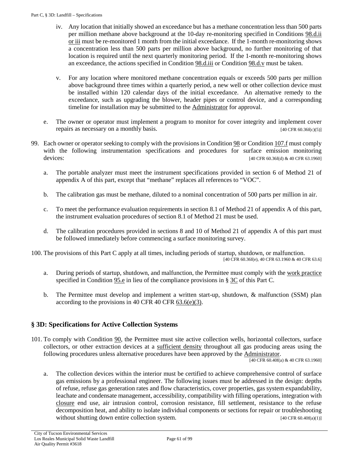- iv. Any location that initially showed an exceedance but has a methane concentration less than 500 parts per million methane above background at the 10-day re-monitoring specified in [Conditions 98.d.ii](#page-59-2)  [or iii](#page-59-2) must be re-monitored 1 month from the initial exceedance. If the 1-month re-monitoring shows a concentration less than 500 parts per million above background, no further monitoring of that location is required until the next quarterly monitoring period. If the 1-month re-monitoring shows an exceedance, the actions specified in [Condition 98.d.iii](#page-59-3) or Condition 98.d.y must be taken.
- <span id="page-60-2"></span>v. For any location where monitored methane concentration equals or exceeds 500 parts per million above background three times within a quarterly period, a new well or other collection device must be installed within 120 calendar days of the initial exceedance. An alternative remedy to the exceedance, such as upgrading the blower, header pipes or control device, and a corresponding timeline for installation may be submitted to the [Administrator](#page-17-1) for approval.
- e. The owner or operator must implement a program to monitor for cover integrity and implement cover repairs as necessary on a monthly basis.  $[40 \text{ CFR } 60.36f(c)(5)]$
- <span id="page-60-0"></span>99. Each owner or operator seeking to comply with the provisions i[n Condition 98](#page-59-0) or [Condition 107.f](#page-81-0) must comply with the following instrumentation specifications and procedures for surface emission monitoring devices: [40 CFR 60.36f(d) & 40 CFR 63.1960]
	- a. The portable analyzer must meet the instrument specifications provided in section 6 of Method 21 of appendix A of this part, except that "methane" replaces all references to "VOC".
	- b. The calibration gas must be methane, diluted to a nominal concentration of 500 parts per million in air.
	- c. To meet the performance evaluation requirements in section 8.1 of Method 21 of appendix A of this part, the instrument evaluation procedures of section 8.1 of Method 21 must be used.
	- d. The calibration procedures provided in sections 8 and 10 of Method 21 of appendix A of this part must be followed immediately before commencing a surface monitoring survey.
- 100. The provisions of this Part C apply at all times, including periods of startup, shutdown, or malfunction.

[40 CFR 60.36f(e), 40 CFR 63.1960 & 40 CFR 63.6]

- a. During periods of startup, shutdown, and malfunction, the Permittee must comply with the [work practice](#page-51-0) specified in [Condition](#page-56-4) 95.e in lieu of the compliance provisions in § [3C](#page-56-3) of this Part C.
- b. The Permittee must develop and implement a written start-up, shutdown, & malfunction (SSM) plan according to the provisions in 40 CFR 40 CFR  $63.6(e)(3)$ .

## <span id="page-60-1"></span>**§ 3D: Specifications for Active Collection Systems**

101. To comply with [Condition 90,](#page-52-5) the Permittee must site active collection wells, horizontal collectors, surface collectors, or other extraction devices at a [sufficient density](#page-51-6) throughout all gas producing areas using the following procedures unless alternative procedures have been approved by the [Administrator.](#page-17-1)

[40 CFR 60.40f(a) & 40 CFR 63.1960]

<span id="page-60-3"></span>a. The collection devices within the interior must be certified to achieve comprehensive control of surface gas emissions by a professional engineer. The following issues must be addressed in the design: depths of refuse, refuse gas generation rates and flow characteristics, cover properties, gas system expandability, leachate and condensate management, accessibility, compatibility with filling operations, integration with [closure](#page-17-3) end use, air intrusion control, corrosion resistance, fill settlement, resistance to the refuse decomposition heat, and ability to isolate individual components or sections for repair or troubleshooting without shutting down entire collection system.  $[40 \text{ CFR } 60.40f(a)(1)]$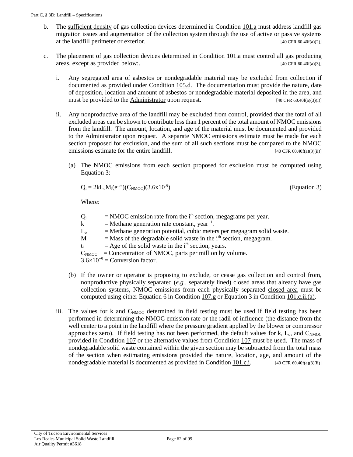- b. The [sufficient density](#page-51-6) of gas collection devices determined in [Condition 101.a](#page-60-3) must address landfill gas migration issues and augmentation of the collection system through the use of active or passive systems at the landfill perimeter or exterior.  $[40 \text{ CFR } 60.40f(a)(2)]$
- <span id="page-61-2"></span><span id="page-61-1"></span>c. The placement of gas collection devices determined in [Condition 101.a](#page-60-3) must control all gas producing areas, except as provided below:. [40 CFR 60.40f(a)(3)]
	- i. Any segregated area of asbestos or nondegradable material may be excluded from collection if documented as provided under [Condition 105.d.](#page-66-0) The documentation must provide the nature, date of deposition, location and amount of asbestos or nondegradable material deposited in the area, and must be provided to the [Administrator](#page-48-7) upon request. [40 CFR 60.40f(a)(3)(i)]
	- ii. Any nonproductive area of the landfill may be excluded from control, provided that the total of all excluded areas can be shown to contribute less than 1 percent of the total amount of NMOC emissions from the landfill. The amount, location, and age of the material must be documented and provided to the [Administrator](#page-17-1) upon request. A separate NMOC emissions estimate must be made for each section proposed for exclusion, and the sum of all such sections must be compared to the NMOC emissions estimate for the entire landfill. [40 CFR 60.40f(a)(3)(ii)]
		- (a) The NMOC emissions from each section proposed for exclusion must be computed using Equation 3:

<span id="page-61-0"></span>
$$
Q_i = 2kL_oM_i(e^{-kt_i})(C_{NMOC})(3.6x10^{-9})
$$
 (Equation 3)

Where:

| $Q_i$   | $=$ NMOC emission rate from the i <sup>th</sup> section, megagrams per year. |
|---------|------------------------------------------------------------------------------|
| $\bf k$ | $=$ Methane generation rate constant, year <sup>-1</sup> .                   |
| $L_{o}$ | $=$ Methane generation potential, cubic meters per megagram solid waste.     |
| $M_i$   | $=$ Mass of the degradable solid waste in the $ith$ section, megagram.       |
| $t_i$   | $=$ Age of the solid waste in the i <sup>th</sup> section, years.            |
|         | $C_{\text{NMOC}}$ = Concentration of NMOC, parts per million by volume.      |
|         | $3.6\times10^{-9}$ = Conversion factor.                                      |
|         |                                                                              |

- (b) If the owner or operator is proposing to exclude, or cease gas collection and control from, nonproductive physically separated (*e.g.,* separately lined) [closed areas](#page-48-6) that already have gas collection systems, NMOC emissions from each physically separated [closed area](#page-48-6) must be computed using either Equation 6 in [Condition 107.g](#page-82-1) or Equation 3 in [Condition 101.c.ii.\(a\).](#page-61-0)
- iii. The values for k and C<sub>NMOC</sub> determined in field testing must be used if field testing has been performed in determining the NMOC emission rate or the radii of influence (the distance from the well center to a point in the landfill where the pressure gradient applied by the blower or compressor approaches zero). If field testing has not been performed, the default values for  $k$ ,  $L_0$ , and  $C_{NNOC}$ provided in [Condition 107](#page-78-0) or the alternative values from [Condition 107](#page-78-0) must be used. The mass of nondegradable solid waste contained within the given section may be subtracted from the total mass of the section when estimating emissions provided the nature, location, age, and amount of the nondegradable material is documented as provided i[n Condition 101.c.i.](#page-61-1)  $[40 \text{ CFR } 60.40 \text{f(a)}(3)(ii)]$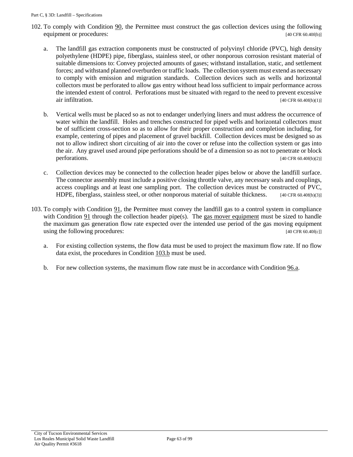- 102. To comply with [Condition 90,](#page-52-5) the Permittee must construct the gas collection devices using the following equipment or procedures: [40 CFR 60.40f(b)]
	- a. The landfill gas extraction components must be constructed of polyvinyl chloride (PVC), high density polyethylene (HDPE) pipe, fiberglass, stainless steel, or other nonporous corrosion resistant material of suitable dimensions to: Convey projected amounts of gases; withstand installation, static, and settlement forces; and withstand planned overburden or traffic loads. The collection system must extend as necessary to comply with emission and migration standards. Collection devices such as wells and horizontal collectors must be perforated to allow gas entry without head loss sufficient to impair performance across the intended extent of control. Perforations must be situated with regard to the need to prevent excessive  $air$  infiltration. [40 CFR 60.40f(b)(1)]
	- b. Vertical wells must be placed so as not to endanger underlying liners and must address the occurrence of water within the landfill. Holes and trenches constructed for piped wells and horizontal collectors must be of sufficient cross-section so as to allow for their proper construction and completion including, for example, centering of pipes and placement of gravel backfill. Collection devices must be designed so as not to allow indirect short circuiting of air into the cover or refuse into the collection system or gas into the air. Any gravel used around pipe perforations should be of a dimension so as not to penetrate or block perforations.  $[40 \text{ CFR } 60.40 \text{f(b)}(2)]$
	- c. Collection devices may be connected to the collection header pipes below or above the landfill surface. The connector assembly must include a positive closing throttle valve, any necessary seals and couplings, access couplings and at least one sampling port. The collection devices must be constructed of PVC, HDPE, fiberglass, stainless steel, or other nonporous material of suitable thickness. [40 CFR 60.40f(b)(3)]
- <span id="page-62-0"></span>103. To comply with [Condition 91,](#page-53-0) the Permittee must convey the landfill gas to a control system in compliance with [Condition 91](#page-53-0) through the collection header pipe(s). The [gas mover equipment](#page-49-3) must be sized to handle the maximum gas generation flow rate expected over the intended use period of the gas moving equipment using the following procedures: [40 CFR 60.40f(c]]
	- a. For existing collection systems, the flow data must be used to project the maximum flow rate. If no flow data exist, the procedures in [Condition 103.b](#page-62-0) must be used.
	- b. For new collection systems, the maximum flow rate must be in accordance wit[h Condition 96.a.](#page-57-0)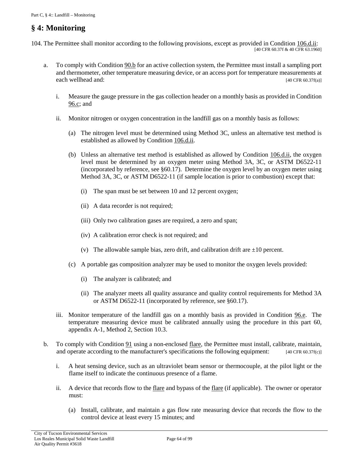# <span id="page-63-4"></span>**§ 4: Monitoring**

<span id="page-63-3"></span>104. The Permittee shall monitor according to the following provisions, except as provided in [Condition 106.d.ii:](#page-70-2) [40 CFR 60.37f & 40 CFR 63.1960]

- <span id="page-63-1"></span><span id="page-63-0"></span>a. To comply wit[h Condition 90.b](#page-52-6) for an active collection system, the Permittee must install a sampling port and thermometer, other temperature measuring device, or an access port for temperature measurements at each wellhead and: [40 CFR 60.37f(a)]
	- i. Measure the gauge pressure in the gas collection header on a monthly basis as provided in [Condition](#page-58-0) [96.c;](#page-58-0) and
	- ii. Monitor nitrogen or oxygen concentration in the landfill gas on a monthly basis as follows:
		- (a) The nitrogen level must be determined using Method 3C, unless an alternative test method is established as allowed by [Condition 106.d.ii.](#page-70-2)
		- (b) Unless an alternative test method is established as allowed by [Condition 106.d.ii,](#page-70-2) the oxygen level must be determined by an oxygen meter using Method 3A, 3C, or ASTM D6522-11 (incorporated by reference, see §60.17). Determine the oxygen level by an oxygen meter using Method 3A, 3C, or ASTM D6522-11 (if sample location is prior to combustion) except that:
			- (i) The span must be set between 10 and 12 percent oxygen;
			- (ii) A data recorder is not required;
			- (iii) Only two calibration gases are required, a zero and span;
			- (iv) A calibration error check is not required; and
			- (v) The allowable sample bias, zero drift, and calibration drift are  $\pm 10$  percent.
		- (c) A portable gas composition analyzer may be used to monitor the oxygen levels provided:
			- (i) The analyzer is calibrated; and
			- (ii) The analyzer meets all quality assurance and quality control requirements for Method 3A or ASTM D6522-11 (incorporated by reference, see §60.17).
	- iii. Monitor temperature of the landfill gas on a monthly basis as provided in [Condition 96.e.](#page-58-1) The temperature measuring device must be calibrated annually using the procedure in this part 60, appendix A-1, Method 2, Section 10.3.
- <span id="page-63-5"></span><span id="page-63-2"></span>b. To comply with [Condition 91](#page-53-0) using a non-enclosed [flare,](#page-49-4) the Permittee must install, calibrate, maintain, and operate according to the manufacturer's specifications the following equipment: [40 CFR 60.37f(c)]
	- i. A heat sensing device, such as an ultraviolet beam sensor or thermocouple, at the pilot light or the flame itself to indicate the continuous presence of a flame.
	- ii. A device that records flow to the [flare](#page-49-4) and bypass of the [flare](#page-49-4) (if applicable). The owner or operator must:
		- (a) Install, calibrate, and maintain a gas flow rate measuring device that records the flow to the control device at least every 15 minutes; and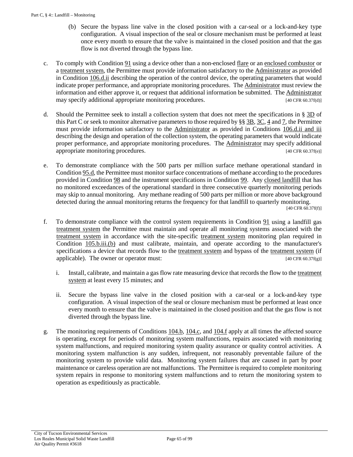- (b) Secure the bypass line valve in the closed position with a car-seal or a lock-and-key type configuration. A visual inspection of the seal or closure mechanism must be performed at least once every month to ensure that the valve is maintained in the closed position and that the gas flow is not diverted through the bypass line.
- <span id="page-64-1"></span>c. To comply with [Condition 91](#page-53-0) using a device other than a non-enclosed [flare](#page-49-4) or a[n enclosed combustor](#page-49-5) or a [treatment system,](#page-51-5) the Permittee must provide information satisfactory to the [Administrator](#page-17-1) as provided in [Condition 106.d.ii](#page-70-2) describing the operation of the control device, the operating parameters that would indicate proper performance, and appropriate monitoring procedures. The [Administrator](#page-17-1) must review the information and either approve it, or request that additional information be submitted. Th[e Administrator](#page-17-1) may specify additional appropriate monitoring procedures. [40 CFR 60.37f(d)]
- d. Should the Permittee seek to install a collection system that does not meet the specifications in § [3D](#page-60-1) of this Part C or seek to monitor alternative parameters to those required by §§ [3B,](#page-55-3) [3C,](#page-56-3) [4](#page-63-4) an[d 7,](#page-78-2) the Permittee must provide information satisfactory to the [Administrator](#page-48-7) as provided in [Conditions 106.d.ii and iii](#page-70-2) describing the design and operation of the collection system, the operating parameters that would indicate proper performance, and appropriate monitoring procedures. The [Administrator](#page-17-1) may specify additional appropriate monitoring procedures.  $[40 \text{ CFR } 60.37f(e)]$
- <span id="page-64-0"></span>e. To demonstrate compliance with the 500 parts per million surface methane operational standard in [Condition 95.d,](#page-56-2) the Permittee must monitor surface concentrations of methane according to the procedures provided in [Condition 98](#page-59-0) and the instrument specifications in [Condition 99.](#page-60-0) Any [closed landfill](#page-48-0) that has no monitored exceedances of the operational standard in three consecutive quarterly monitoring periods may skip to annual monitoring. Any methane reading of 500 parts per million or more above background detected during the annual monitoring returns the frequency for that landfill to quarterly monitoring. [40 CFR 60.37f(f)]
- <span id="page-64-2"></span>f. To demonstrate compliance with the control system requirements in [Condition 91](#page-53-0) using a landfill gas [treatment system](#page-51-5) the Permittee must maintain and operate all monitoring systems associated with the [treatment system](#page-51-5) in accordance with the site-specific [treatment system](#page-51-5) monitoring plan required in [Condition 105.b.iii.\(b\)](#page-66-1) and must calibrate, maintain, and operate according to the manufacturer's specifications a device that records flow to the [treatment system](#page-51-5) and bypass of the [treatment system](#page-51-5) (if applicable). The owner or operator must:  $[40 \text{ CFR } 60.37f(g)]$ 
	- i. Install, calibrate, and maintain a gas flow rate measuring device that records the flow to th[e treatment](#page-51-5)  [system](#page-51-5) at least every 15 minutes; and
	- ii. Secure the bypass line valve in the closed position with a car-seal or a lock-and-key type configuration. A visual inspection of the seal or closure mechanism must be performed at least once every month to ensure that the valve is maintained in the closed position and that the gas flow is not diverted through the bypass line.
- g. The monitoring requirements of [Conditions 104.b,](#page-63-5) [104.c,](#page-64-1) an[d 104.f](#page-64-2) apply at all times the affected source is operating, except for periods of monitoring system malfunctions, repairs associated with monitoring system malfunctions, and required monitoring system quality assurance or quality control activities. A monitoring system malfunction is any sudden, infrequent, not reasonably preventable failure of the monitoring system to provide valid data. Monitoring system failures that are caused in part by poor maintenance or careless operation are not malfunctions. The Permittee is required to complete monitoring system repairs in response to monitoring system malfunctions and to return the monitoring system to operation as expeditiously as practicable.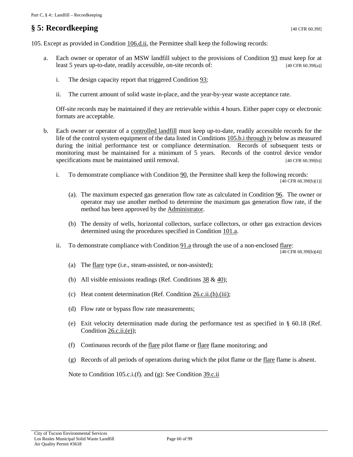# **§ 5: Recordkeeping** [40 CFR 60.39f]

105. Except as provided in [Condition 106.d.ii,](#page-70-2) the Permittee shall keep the following records:

- a. Each owner or operator of an MSW landfill subject to the provisions of [Condition 93](#page-54-2) must keep for at least 5 years up-to-date, readily accessible, on-site records of: [40 CFR 60.39f(a)]
	- i. The design capacity report that triggered [Condition 93;](#page-54-2)
	- ii. The current amount of solid waste in-place, and the year-by-year waste acceptance rate.

Off-site records may be maintained if they are retrievable within 4 hours. Either paper copy or electronic formats are acceptable.

- b. Each owner or operator of a [controlled landfill](#page-48-3) must keep up-to-date, readily accessible records for the life of the control system equipment of the data listed in Conditions [105.b.i through iv](#page-65-0) below as measured during the initial performance test or compliance determination. Records of subsequent tests or monitoring must be maintained for a minimum of 5 years. Records of the control device vendor specifications must be maintained until removal. [40 CFR 60.39f(b)]
	- i. To demonstrate compliance with [Condition 90,](#page-52-5) the Permittee shall keep the following records:

```
[40 CFR 60.39f(b)(1)]
```
- <span id="page-65-0"></span>(a). The maximum expected gas generation flow rate as calculated in [Condition 96.](#page-57-3) The owner or operator may use another method to determine the maximum gas generation flow rate, if the method has been approved by the [Administrator.](#page-17-1)
- (b) The density of wells, horizontal collectors, surface collectors, or other gas extraction devices determined using the procedures specified in [Condition 101.a.](#page-60-3)
- ii. To demonstrate compliance with [Condition 91.a](#page-53-2) through the use of a non-enclosed [flare:](#page-49-4)

[40 CFR 60.39f(b)(4)]

- (a) The [flare](#page-49-4) type (i.e., steam-assisted, or non-assisted);
- (b) All visible emissions readings (Ref. Conditions  $38 \& 40$ );
- (c) Heat content determination (Ref. [Condition 26.c.ii.\(h\).\(iii\);](#page-23-0)
- (d) Flow rate or bypass flow rate measurements;
- (e) Exit velocity determination made during the performance test as specified in § 60.18 (Ref. Condition [26.c.ii.\(e\)\)](#page-22-1);
- (f) Continuous records of the [flare](#page-49-4) pilot flame or [flare](#page-49-4) flame monitoring; and
- (g) Records of all periods of operations during which the pilot flame or the [flare](#page-49-4) flame is absent.

Note to Condition 105.c.i.(f). and (g): See [Condition 39.c.ii](#page-32-1)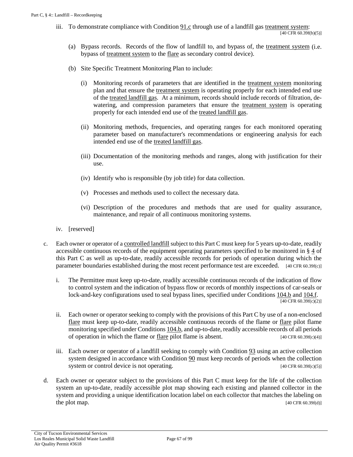iii. To demonstrate compliance with [Condition](#page-53-4) 91.c through use of a landfill gas [treatment system:](#page-51-5)

[40 CFR 60.39f(b)(5)]

- (a) Bypass records. Records of the flow of landfill to, and bypass of, the [treatment system](#page-51-5) (i.e. bypass of [treatment system](#page-51-5) to the [flare](#page-49-4) as secondary control device).
- <span id="page-66-1"></span>(b) Site Specific Treatment Monitoring Plan to include:
	- (i) Monitoring records of parameters that are identified in the [treatment system](#page-51-5) monitoring plan and that ensure the [treatment system](#page-51-5) is operating properly for each intended end use of the [treated landfill gas.](#page-51-1) At a minimum, records should include records of filtration, dewatering, and compression parameters that ensure the [treatment system](#page-51-5) is operating properly for each intended end use of the [treated landfill gas.](#page-51-1)
	- (ii) Monitoring methods, frequencies, and operating ranges for each monitored operating parameter based on manufacturer's recommendations or engineering analysis for each intended end use of the [treated landfill gas.](#page-51-1)
	- (iii) Documentation of the monitoring methods and ranges, along with justification for their use.
	- (iv) Identify who is responsible (by job title) for data collection.
	- (v) Processes and methods used to collect the necessary data.
	- (vi) Description of the procedures and methods that are used for quality assurance, maintenance, and repair of all continuous monitoring systems.
- iv. [reserved]
- c. Each owner or operator of [a controlled landfill](#page-48-3) subject to this Part C must keep for 5 years up-to-date, readily accessible continuous records of the equipment operating parameters specified to be monitored in [§](#page-63-4) 4 of this Part C as well as up-to-date, readily accessible records for periods of operation during which the parameter boundaries established during the most recent performance test are exceeded. [40 CFR 60.39f(c)]
	- i. The Permittee must keep up-to-date, readily accessible continuous records of the indication of flow to control system and the indication of bypass flow or records of monthly inspections of car-seals or lock-and-key configurations used to seal bypass lines, specified under [Conditions 104.b](#page-63-5) and [104.f.](#page-64-2)  $\sqrt{40 \text{ CFR } 60.39f(c)(2)}$
	- ii. Each owner or operator seeking to comply with the provisions of this Part C by use of a non-enclosed [flare](#page-49-4) must keep up-to-date, readily accessible continuous records of the flame or [flare](#page-49-4) pilot flame monitoring specified under [Conditions 104.b,](#page-63-5) and up-to-date, readily accessible records of all periods of operation in which the flame or [flare](#page-49-4) pilot flame is absent.  $[40 \text{ CFR } 60.39 \text{f(c)}(4)]$
	- iii. Each owner or operator of a landfill seeking to comply with [Condition 93](#page-54-2) using an active collection system designed in accordance with [Condition 90](#page-52-5) must keep records of periods when the collection system or control device is not operating.  $[40 \text{ CFR } 60.39f(c)(5)]$
- <span id="page-66-0"></span>d. Each owner or operator subject to the provisions of this Part C must keep for the life of the collection system an up-to-date, readily accessible plot map showing each existing and planned collector in the system and providing a unique identification location label on each collector that matches the labeling on the plot map. [40 CFR 60.39f(d)]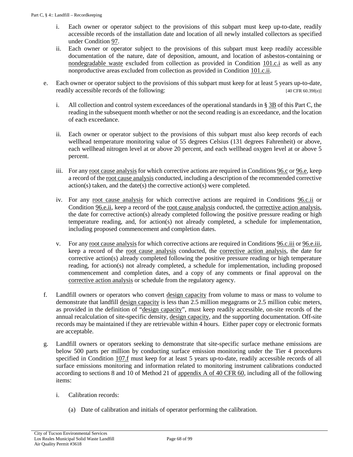- i. Each owner or operator subject to the provisions of this subpart must keep up-to-date, readily accessible records of the installation date and location of all newly installed collectors as specified under [Condition 97.](#page-59-4)
- ii. Each owner or operator subject to the provisions of this subpart must keep readily accessible documentation of the nature, date of deposition, amount, and location of asbestos-containing or [nondegradable waste](#page-50-9) excluded from collection as provided in [Condition 101.c.i](#page-61-1) as well as any nonproductive areas excluded from collection as provided in [Condition 101.c.ii.](#page-61-2)
- <span id="page-67-0"></span>e. Each owner or operator subject to the provisions of this subpart must keep for at least 5 years up-to-date, readily accessible records of the following: [40 CFR 60.39f(e)]
	- i. All collection and control system exceedances of the operational standards in § [3B](#page-55-3) of this Part C, the reading in the subsequent month whether or not the second reading is an exceedance, and the location of each exceedance.
	- ii. Each owner or operator subject to the provisions of this subpart must also keep records of each wellhead temperature monitoring value of 55 degrees Celsius (131 degrees Fahrenheit) or above, each wellhead nitrogen level at or above 20 percent, and each wellhead oxygen level at or above 5 percent.
	- iii. For any [root cause analysis](#page-51-7) for which corrective actions are required in [Conditions 96.c](#page-58-0) o[r 96.e,](#page-58-1) keep a record of the [root cause analysis](#page-51-7) conducted, including a description of the recommended corrective action(s) taken, and the date(s) the corrective action(s) were completed.
	- iv. For any [root cause analysis](#page-51-7) for which corrective actions are required in [Conditions 96.c.ii](#page-58-2) or [Condition 96.e.ii,](#page-58-3) keep a record of the [root cause analysis](#page-51-7) conducted, the [corrective action analysis,](#page-49-6)  the date for corrective action(s) already completed following the positive pressure reading or high temperature reading, and, for action(s) not already completed, a schedule for implementation, including proposed commencement and completion dates.
	- v. For an[y root cause analysis](#page-51-7) for which corrective actions are required i[n Conditions 96.c.iii](#page-58-4) o[r 96.e.iii,](#page-58-5)  keep a record of the [root cause analysis](#page-51-7) conducted, the [corrective action analysis,](#page-49-6) the date for corrective action(s) already completed following the positive pressure reading or high temperature reading, for action(s) not already completed, a schedule for implementation, including proposed commencement and completion dates, and a copy of any comments or final approval on the [corrective action analysis](#page-49-6) or schedule from the regulatory agency.
- <span id="page-67-3"></span><span id="page-67-2"></span><span id="page-67-1"></span>f. Landfill owners or operators who convert [design capacity](#page-49-0) from volume to mass or mass to volume to demonstrate that landfill [design capacity](#page-49-0) is less than 2.5 million megagrams or 2.5 million cubic meters, as provided in the definition of ["design capacity"](#page-49-0), must keep readily accessible, on-site records of the annual recalculation of site-specific density, [design capacity,](#page-49-0) and the supporting documentation. Off-site records may be maintained if they are retrievable within 4 hours. Either paper copy or electronic formats are acceptable.
- g. Landfill owners or operators seeking to demonstrate that site-specific surface methane emissions are below 500 parts per million by conducting surface emission monitoring under the Tier 4 procedures specified in Condition  $107.$  f must keep for at least 5 years up-to-date, readily accessible records of all surface emissions monitoring and information related to monitoring instrument calibrations conducted according to sections 8 and 10 of Method 21 of [appendix A of 40 CFR 60,](https://tinyurl.com/40-CFR-60-APPENDICES) including all of the following items:
	- i. Calibration records:
		- (a) Date of calibration and initials of operator performing the calibration.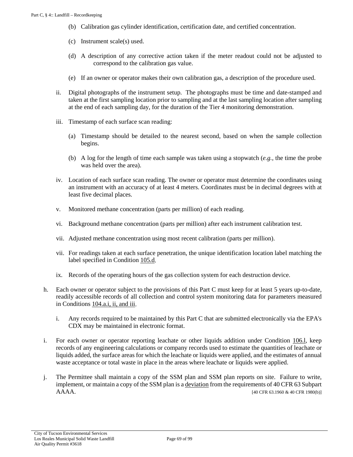- (b) Calibration gas cylinder identification, certification date, and certified concentration.
- (c) Instrument scale(s) used.
- (d) A description of any corrective action taken if the meter readout could not be adjusted to correspond to the calibration gas value.
- (e) If an owner or operator makes their own calibration gas, a description of the procedure used.
- ii. Digital photographs of the instrument setup. The photographs must be time and date-stamped and taken at the first sampling location prior to sampling and at the last sampling location after sampling at the end of each sampling day, for the duration of the Tier 4 monitoring demonstration.
- iii. Timestamp of each surface scan reading:
	- (a) Timestamp should be detailed to the nearest second, based on when the sample collection begins.
	- (b) A log for the length of time each sample was taken using a stopwatch (*e.g.,* the time the probe was held over the area).
- iv. Location of each surface scan reading. The owner or operator must determine the coordinates using an instrument with an accuracy of at least 4 meters. Coordinates must be in decimal degrees with at least five decimal places.
- v. Monitored methane concentration (parts per million) of each reading.
- vi. Background methane concentration (parts per million) after each instrument calibration test.
- vii. Adjusted methane concentration using most recent calibration (parts per million).
- vii. For readings taken at each surface penetration, the unique identification location label matching the label specified i[n Condition 105.d.](#page-66-0)
- ix. Records of the operating hours of the gas collection system for each destruction device.
- h. Each owner or operator subject to the provisions of this Part C must keep for at least 5 years up-to-date, readily accessible records of all collection and control system monitoring data for parameters measured in [Conditions 104.a.i, ii, and iii.](#page-63-0)
	- i. Any records required to be maintained by this Part C that are submitted electronically via the EPA's CDX may be maintained in electronic format.
- i. For each owner or operator reporting leachate or other liquids addition under [Condition 106.l,](#page-76-1) keep records of any engineering calculations or company records used to estimate the quantities of leachate or liquids added, the surface areas for which the leachate or liquids were applied, and the estimates of annual waste acceptance or total waste in place in the areas where leachate or liquids were applied.
- j. The Permittee shall maintain a copy of the SSM plan and SSM plan reports on site. Failure to write, implement, or maintain a copy of the SSM plan is a [deviation](#page-49-7) from the requirements of 40 CFR 63 Subpart AAAA. [40 CFR 63.1960 & 40 CFR 1980(b)]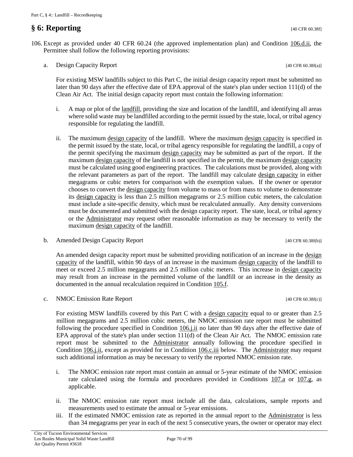# **§ 6: Reporting** [40 CFR 60.38f]

106. Except as provided under 40 CFR 60.24 (the approved implementation plan) and [Condition 106.d.ii,](#page-70-2) the Permittee shall follow the following reporting provisions:

<span id="page-69-0"></span>a. Design Capacity Report [40 CFR 60.38f(a)]

For existing MSW landfills subject to this Part C, the initial design capacity report must be submitted no later than 90 days after the effective date of EPA approval of the state's plan under section 111(d) of the Clean Air Act. The initial design capacity report must contain the following information:

- i. A map or plot of the [landfill,](#page-50-5) providing the size and location of the landfill, and identifying all areas where solid waste may be landfilled according to the permit issued by the state, local, or tribal agency responsible for regulating the landfill.
- ii. The maximum [design capacity](#page-49-0) of the landfill. Where the maximum design capacity is specified in the permit issued by the state, local, or tribal agency responsible for regulating the landfill, a copy of the permit specifying the maximum [design capacity](#page-49-0) may be submitted as part of the report. If the maximum [design capacity](#page-49-0) of the landfill is not specified in the permit, the maximum [design capacity](#page-49-0) must be calculated using good engineering practices. The calculations must be provided, along with the relevant parameters as part of the report. The landfill may calculate [design capacity](#page-49-0) in either megagrams or cubic meters for comparison with the exemption values. If the owner or operator chooses to convert the [design capacity](#page-49-0) from volume to mass or from mass to volume to demonstrate its [design capacity](#page-49-0) is less than 2.5 million megagrams or 2.5 million cubic meters, the calculation must include a site-specific density, which must be recalculated annually. Any density conversions must be documented and submitted with the design capacity report. The state, local, or tribal agency or the [Administrator](#page-17-1) may request other reasonable information as may be necessary to verify the maximum [design capacity](#page-49-0) of the landfill.
- <span id="page-69-1"></span>b. Amended Design Capacity Report [40 CFR 60.38f(b)]

An amended [design](#page-49-0) capacity report must be submitted providing notification of an increase in the design [capacity](#page-49-0) of the landfill, within 90 days of an increase in the maximum [design capacity](#page-49-0) of the landfill to meet or exceed 2.5 million megagrams and 2.5 million cubic meters. This increase in [design capacity](#page-49-0) may result from an increase in the permitted volume of the landfill or an increase in the density as documented in the annual recalculation required in [Condition 105.f.](#page-67-3)

<span id="page-69-3"></span>c. NMOC Emission Rate Report  $[40 \text{ CFR } 60.38f(c)]$ 

For existing MSW landfills covered by this Part C with a [design capacity](#page-49-0) equal to or greater than 2.5 million megagrams and 2.5 million cubic meters, the NMOC emission rate report must be submitted following the procedure specified in [Condition 106.j.ii](#page-75-0) no later than 90 days after the effective date of EPA approval of the state's plan under section 111(d) of the Clean Air Act. The NMOC emission rate report must be submitted to the [Administrator](#page-17-1) annually following the procedure specified in [Condition](#page-75-0) 106.j.ii, except as provided for in [Condition 106.c.iii](#page-69-2) below. The [Administrator](#page-48-7) may request such additional information as may be necessary to verify the reported NMOC emission rate.

- i. The NMOC emission rate report must contain an annual or 5-year estimate of the NMOC emission rate calculated using the formula and procedures provided in Conditions  $107a$  or  $107a$ , as applicable.
- ii. The NMOC emission rate report must include all the data, calculations, sample reports and measurements used to estimate the annual or 5-year emissions.
- <span id="page-69-2"></span>iii. If the estimated NMOC emission rate as reported in the annual report to the [Administrator](#page-48-7) is less than 34 megagrams per year in each of the next 5 consecutive years, the owner or operator may elect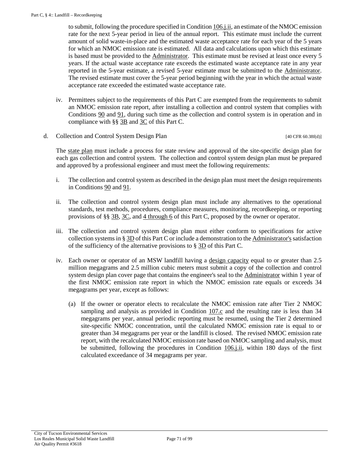to submit, following the procedure specified i[n Condition](#page-75-0) 106.j.ii, an estimate of the NMOC emission rate for the next 5-year period in lieu of the annual report. This estimate must include the current amount of solid waste-in-place and the estimated waste acceptance rate for each year of the 5 years for which an NMOC emission rate is estimated. All data and calculations upon which this estimate is based must be provided to the [Administrator.](#page-17-1) This estimate must be revised at least once every 5 years. If the actual waste acceptance rate exceeds the estimated waste acceptance rate in any year reported in the 5-year estimate, a revised 5-year estimate must be submitted to the [Administrator.](#page-17-1)  The revised estimate must cover the 5-year period beginning with the year in which the actual waste acceptance rate exceeded the estimated waste acceptance rate.

- iv. Permittees subject to the requirements of this Part C are exempted from the requirements to submit an NMOC emission rate report, after installing a collection and control system that complies with [Conditions 90](#page-52-5) and [91,](#page-53-0) during such time as the collection and control system is in operation and in compliance with [§§ 3B](#page-55-3) and [3C](#page-56-3) of this Part C.
- <span id="page-70-0"></span>d. Collection and Control System Design Plan [40 CFR 60.38f(d)]

The [state plan](#page-51-4) must include a process for state review and approval of the site-specific design plan for each gas collection and control system. The collection and control system design plan must be prepared and approved by a professional engineer and must meet the following requirements:

- i. The collection and control system as described in the design plan must meet the design requirements in Conditions  $90$  and  $91$ .
- <span id="page-70-2"></span>ii. The collection and control system design plan must include any alternatives to the operational standards, test methods, procedures, compliance measures, monitoring, recordkeeping, or reporting provisions of [§§ 3B,](#page-55-3) [3C,](#page-56-3) and [4 through 6](#page-63-4) of this Part C, proposed by the owner or operator.
- <span id="page-70-3"></span>iii. The collection and control system design plan must either conform to specifications for active collection systems in § [3D](#page-60-1) of this Part C or include a demonstration to the [Administrator's](#page-48-7) satisfaction of the sufficiency of the alternative provisions to  $\S 3D$  of this Part C.
- <span id="page-70-1"></span>iv. Each owner or operator of an MSW landfill having a [design capacity](#page-49-0) equal to or greater than 2.5 million megagrams and 2.5 million cubic meters must submit a copy of the collection and control system design plan cover page that contains the engineer's seal to the [Administrator](#page-17-1) within 1 year of the first NMOC emission rate report in which the NMOC emission rate equals or exceeds 34 megagrams per year, except as follows:
	- (a) If the owner or operator elects to recalculate the NMOC emission rate after Tier 2 NMOC sampling and analysis as provided in [Condition 107.c](#page-79-0) and the resulting rate is less than 34 megagrams per year, annual periodic reporting must be resumed, using the Tier 2 determined site-specific NMOC concentration, until the calculated NMOC emission rate is equal to or greater than 34 megagrams per year or the landfill is closed. The revised NMOC emission rate report, with the recalculated NMOC emission rate based on NMOC sampling and analysis, must be submitted, following the procedures in [Condition](#page-75-0) 106.*j.ii*, within 180 days of the first calculated exceedance of 34 megagrams per year.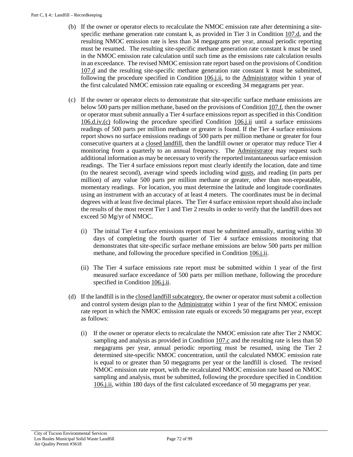- (b) If the owner or operator elects to recalculate the NMOC emission rate after determining a sitespecific methane generation rate constant k, as provided in Tier  $3$  in Condition  $107 \text{d}$ , and the resulting NMOC emission rate is less than 34 megagrams per year, annual periodic reporting must be resumed. The resulting site-specific methane generation rate constant k must be used in the NMOC emission rate calculation until such time as the emissions rate calculation results in an exceedance. The revised NMOC emission rate report based on the provisions of [Condition](#page-80-0)  [107.d](#page-80-0) and the resulting site-specific methane generation rate constant k must be submitted, following the procedure specified in [Condition](#page-75-0) 106.j.ii, to the [Administrator](#page-17-1) within 1 year of the first calculated NMOC emission rate equaling or exceeding 34 megagrams per year.
- <span id="page-71-0"></span>(c) If the owner or operator elects to demonstrate that site-specific surface methane emissions are below 500 parts per million methane, based on the provisions o[f Condition 107.f,](#page-81-0) then the owner or operator must submit annually a Tier 4 surface emissions report as specified in this [Condition](#page-71-0) [106.d.iv.\(c\)](#page-71-0) following the procedure specified [Condition](#page-75-0) 106.j.ii until a surface emissions readings of 500 parts per million methane or greater is found. If the Tier 4 surface emissions report shows no surface emissions readings of 500 parts per million methane or greater for four consecutive quarters at a [closed landfill,](#page-48-0) then the landfill owner or operator may reduce Tier 4 monitoring from a quarterly to an annual frequency. The [Administrator](#page-17-1) may request such additional information as may be necessary to verify the reported instantaneous surface emission readings. The Tier 4 surface emissions report must clearly identify the location, date and time (to the nearest second), average wind speeds including wind [gusts,](#page-49-8) and reading (in parts per million) of any value 500 parts per million methane or greater, other than non-repeatable, momentary readings. For location, you must determine the latitude and longitude coordinates using an instrument with an accuracy of at least 4 meters. The coordinates must be in decimal degrees with at least five decimal places. The Tier 4 surface emission report should also include the results of the most recent Tier 1 and Tier 2 results in order to verify that the landfill does not exceed 50 Mg/yr of NMOC.
	- (i) The initial Tier 4 surface emissions report must be submitted annually, starting within 30 days of completing the fourth quarter of Tier 4 surface emissions monitoring that demonstrates that site-specific surface methane emissions are below 500 parts per million methane, and following the procedure specified in [Condition](#page-75-0) 106.j.ii.
	- (ii) The Tier 4 surface emissions rate report must be submitted within 1 year of the first measured surface exceedance of 500 parts per million methane, following the procedure specified in [Condition](#page-75-0) 106.j.ii.
- (d) If the landfill is in the [closed landfill subcategory,](#page-48-2) the owner or operator must submit a collection and control system design plan to the [Administrator](#page-17-1) within 1 year of the first NMOC emission rate report in which the NMOC emission rate equals or exceeds 50 megagrams per year, except as follows:
	- (i) If the owner or operator elects to recalculate the NMOC emission rate after Tier 2 NMOC sampling and analysis as provided in [Condition 107.c](#page-79-0) and the resulting rate is less than 50 megagrams per year, annual periodic reporting must be resumed, using the Tier 2 determined site-specific NMOC concentration, until the calculated NMOC emission rate is equal to or greater than 50 megagrams per year or the landfill is closed. The revised NMOC emission rate report, with the recalculated NMOC emission rate based on NMOC sampling and analysis, must be submitted, following the procedure specified in [Condition](#page-75-0) [106.j.ii,](#page-75-0) within 180 days of the first calculated exceedance of 50 megagrams per year.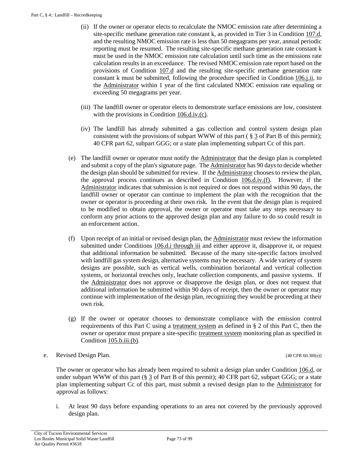- (ii) If the owner or operator elects to recalculate the NMOC emission rate after determining a site-specific methane generation rate constant k, as provided in Tier 3 in Condition 107.d, and the resulting NMOC emission rate is less than 50 megagrams per year, annual periodic reporting must be resumed. The resulting site-specific methane generation rate constant k must be used in the NMOC emission rate calculation until such time as the emissions rate calculation results in an exceedance. The revised NMOC emission rate report based on the provisions of [Condition 107.d](#page-80-0) and the resulting site-specific methane generation rate constant k must be submitted, following the procedure specified in [Condition](#page-75-0) 106.*j.ii*, to the [Administrator](#page-17-0) within 1 year of the first calculated NMOC emission rate equaling or exceeding 50 megagrams per year.
- (iii) The landfill owner or operator elects to demonstrate surface emissions are low, consistent with the provisions in Condition [106.d.iv.\(c\).](#page-71-0)
- (iv) The landfill has already submitted a gas collection and control system design plan consistent with the provisions of subpart WWW of this part ( $\S 3$  of Part B of this permit); 40 CFR part 62, subpart GGG; or a state plan implementing subpart Cc of this part.
- (e) The landfill owner or operator must notify the [Administrator](#page-17-0) that the design plan is completed and submit a copy of the plan's signature page. The [Administrator](#page-17-0) has 90 days to decide whether the design plan should be submitted for review. If th[e Administrator](#page-17-0) chooses to review the plan, the approval process continues as described in Condition  $106 \text{d.i.v.(f)}$ . However, if the [Administrator](#page-17-0) indicates that submission is not required or does not respond within 90 days, the landfill owner or operator can continue to implement the plan with the recognition that the owner or operator is proceeding at their own risk. In the event that the design plan is required to be modified to obtain approval, the owner or operator must take any steps necessary to conform any prior actions to the approved design plan and any failure to do so could result in an enforcement action.
- <span id="page-72-0"></span>(f) Upon receipt of an initial or revised design plan, th[e Administrator](#page-17-0) must review the information submitted under [Conditions 106.d.i through iii](#page-70-0) and either approve it, disapprove it, or request that additional information be submitted. Because of the many site-specific factors involved with landfill gas system design, alternative systems may be necessary. A wide variety of system designs are possible, such as vertical wells, combination horizontal and vertical collection systems, or horizontal trenches only, leachate collection components, and passive systems. If the [Administrator](#page-17-0) does not approve or disapprove the design plan, or does not request that additional information be submitted within 90 days of receipt, then the owner or operator may continue with implementation of the design plan, recognizing they would be proceeding at their own risk.
- (g) If the owner or operator chooses to demonstrate compliance with the emission control requirements of this Part C using a [treatment system](#page-51-0) as defined in § 2 of this Part C, then the owner or operator must prepare a site-specifi[c treatment system](#page-51-0) monitoring plan as specified in [Condition 105.b.iii.\(b\).](#page-66-0)

e. Revised Design Plan. [40 CFR 60.38f(e)]

The owner or operator who has already been required to submit a design plan under [Condition 106.d,](#page-70-1) or under subpart WWW of this part  $(\S$  3 of Part B of this permit); 40 CFR part 62, subpart GGG; or a state plan implementing subpart Cc of this part, must submit a revised design plan to the [Administrator](#page-17-0) for approval as follows:

i. At least 90 days before expanding operations to an area not covered by the previously approved design plan.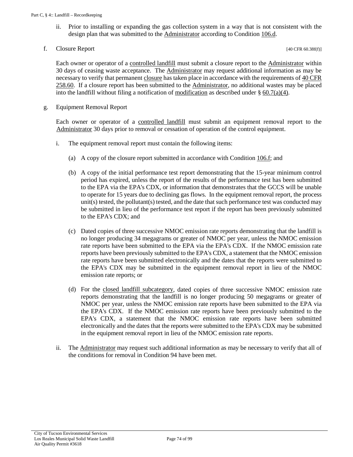- ii. Prior to installing or expanding the gas collection system in a way that is not consistent with the design plan that was submitted to the **Administrator** according to [Condition 106.d.](#page-70-1)
- <span id="page-73-0"></span>f. Closure Report  $[40 \text{ CFR } 60.38f(f)]$

Each owner or operator of a [controlled landfill](#page-48-0) must submit a closure report to the [Administrator](#page-17-0) within 30 days of ceasing waste acceptance. The [Administrator](#page-17-0) may request additional information as may be necessary to verify that permanen[t closure](#page-17-1) has taken place in accordance with the requirements of  $40 \text{ CFR}$ [258.60.](https://tinyurl.com/y4qjyovg) If a closure report has been submitted to the [Administrator,](#page-17-0) no additional wastes may be placed into the landfill without filing a notification o[f modification](#page-19-0) as described under § [60.7\(a\)\(4\).](https://tinyurl.com/40-CFR-60-7)

g. Equipment Removal Report

Each owner or operator of a [controlled landfill](#page-48-0) must submit an equipment removal report to the [Administrator](#page-17-0) 30 days prior to removal or cessation of operation of the control equipment.

- i. The equipment removal report must contain the following items:
	- (a) A copy of the closure report submitted in accordance with Condition  $106.f$ ; and
	- (b) A copy of the initial performance test report demonstrating that the 15-year minimum control period has expired, unless the report of the results of the performance test has been submitted to the EPA via the EPA's CDX, or information that demonstrates that the GCCS will be unable to operate for 15 years due to declining gas flows. In the equipment removal report, the process unit(s) tested, the pollutant(s) tested, and the date that such performance test was conducted may be submitted in lieu of the performance test report if the report has been previously submitted to the EPA's CDX; and
	- (c) Dated copies of three successive NMOC emission rate reports demonstrating that the landfill is no longer producing 34 megagrams or greater of NMOC per year, unless the NMOC emission rate reports have been submitted to the EPA via the EPA's CDX. If the NMOC emission rate reports have been previously submitted to the EPA's CDX, a statement that the NMOC emission rate reports have been submitted electronically and the dates that the reports were submitted to the EPA's CDX may be submitted in the equipment removal report in lieu of the NMOC emission rate reports; or
	- (d) For the [closed landfill subcategory,](#page-48-1) dated copies of three successive NMOC emission rate reports demonstrating that the landfill is no longer producing 50 megagrams or greater of NMOC per year, unless the NMOC emission rate reports have been submitted to the EPA via the EPA's CDX. If the NMOC emission rate reports have been previously submitted to the EPA's CDX, a statement that the NMOC emission rate reports have been submitted electronically and the dates that the reports were submitted to the EPA's CDX may be submitted in the equipment removal report in lieu of the NMOC emission rate reports.
- ii. Th[e Administrator](#page-17-0) may request such additional information as may be necessary to verify that all of the conditions for removal in Condition 94 have been met.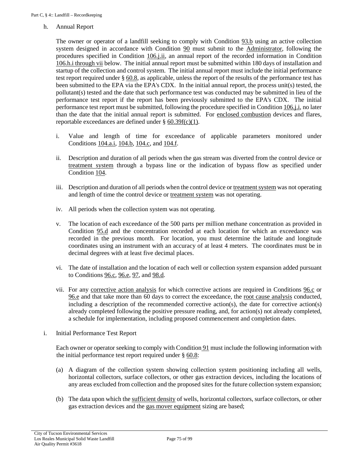#### h. Annual Report

The owner or operator of a landfill seeking to comply with [Condition 93.b](#page-55-0) using an active collection system designed in accordance with [Condition 90](#page-52-0) must submit to the [Administrator,](#page-17-0) following the procedures specified in [Condition](#page-75-0) 106.j.ii, an annual report of the recorded information in [Condition](#page-74-0) [106.h.i through vii](#page-74-0) below. The initial annual report must be submitted within 180 days of installation and startup of the collection and control system. The initial annual report must include the initial performance test report required under § [60.8,](https://tinyurl.com/40-cfr-60-8-incl) as applicable, unless the report of the results of the performance test has been submitted to the EPA via the EPA's CDX. In the initial annual report, the process unit(s) tested, the pollutant(s) tested and the date that such performance test was conducted may be submitted in lieu of the performance test report if the report has been previously submitted to the EPA's CDX. The initial performance test report must be submitted, following the procedure specified in [Condition 106.j.i,](#page-75-1) no later than the date that the initial annual report is submitted. For [enclosed combustion](#page-49-0) devices and flares, reportable exceedances are defined under § [60.39f\(c\)\(1\).](https://tinyurl.com/40-CFR-60-39f-a)

- <span id="page-74-0"></span>i. Value and length of time for exceedance of applicable parameters monitored under [Conditions](#page-63-0) 104.a.i, [104.b,](#page-63-1) [104.c,](#page-64-0) and [104.f.](#page-64-1)
- ii. Description and duration of all periods when the gas stream was diverted from the control device or [treatment system](#page-51-0) through a bypass line or the indication of bypass flow as specified under [Condition](#page-63-2) 104.
- <span id="page-74-1"></span>iii. Description and duration of all periods when the control device o[r treatment system](#page-51-0) was not operating and length of time the control device or [treatment system](#page-51-0) was not operating.
- iv. All periods when the collection system was not operating.
- v. The location of each exceedance of the 500 parts per million methane concentration as provided in [Condition 95.d](#page-56-0) and the concentration recorded at each location for which an exceedance was recorded in the previous month. For location, you must determine the latitude and longitude coordinates using an instrument with an accuracy of at least 4 meters. The coordinates must be in decimal degrees with at least five decimal places.
- vi. The date of installation and the location of each well or collection system expansion added pursuant to [Conditions 96.c,](#page-58-0) [96.e,](#page-58-1) [97,](#page-59-0) and [98.d.](#page-59-1)
- vii. For any [corrective action analysis](#page-49-1) for which corrective actions are required in [Conditions 96.c](#page-58-0) or [96.e](#page-58-1) and that take more than 60 days to correct the exceedance, the [root cause analysis](#page-51-1) conducted, including a description of the recommended corrective action(s), the date for corrective action(s) already completed following the positive pressure reading, and, for action(s) not already completed, a schedule for implementation, including proposed commencement and completion dates.
- i. Initial Performance Test Report

Each owner or operator seeking to comply wit[h Condition](#page-53-0) 91 must include the following information with the initial performance test report required under  $\S$  [60.8:](https://tinyurl.com/40-cfr-60-8-incl)

- (a) A diagram of the collection system showing collection system positioning including all wells, horizontal collectors, surface collectors, or other gas extraction devices, including the locations of any areas excluded from collection and the proposed sites for the future collection system expansion;
- (b) The data upon which th[e sufficient density](#page-51-2) of wells, horizontal collectors, surface collectors, or other gas extraction devices and the [gas mover equipment](#page-49-2) sizing are based;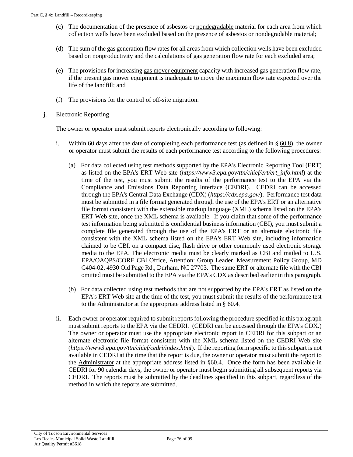- (c) The documentation of the presence of asbestos or [nondegradable](#page-50-0) material for each area from which collection wells have been excluded based on the presence of asbestos o[r nondegradable](#page-50-0) material;
- (d) The sum of the gas generation flow rates for all areas from which collection wells have been excluded based on nonproductivity and the calculations of gas generation flow rate for each excluded area;
- (e) The provisions for increasing [gas mover equipment](#page-49-2) capacity with increased gas generation flow rate, if the present [gas mover equipment](#page-49-2) is inadequate to move the maximum flow rate expected over the life of the landfill; and
- (f) The provisions for the control of off-site migration.
- j. Electronic Reporting

The owner or operator must submit reports electronically according to following:

- <span id="page-75-1"></span>i. Within 60 days after the date of completing each performance test (as defined in § [60.8\)](https://tinyurl.com/40-cfr-60-8-incl), the owner or operator must submit the results of each performance test according to the following procedures:
	- (a) For data collected using test methods supported by the EPA's Electronic Reporting Tool (ERT) as listed on the EPA's ERT Web site (*https://www3.epa.gov/ttn/chief/ert/ert\_info.html*) at the time of the test, you must submit the results of the performance test to the EPA via the Compliance and Emissions Data Reporting Interface (CEDRI). CEDRI can be accessed through the EPA's Central Data Exchange (CDX) (*https://cdx.epa.gov/*). Performance test data must be submitted in a file format generated through the use of the EPA's ERT or an alternative file format consistent with the extensible markup language (XML) schema listed on the EPA's ERT Web site, once the XML schema is available. If you claim that some of the performance test information being submitted is confidential business information (CBI), you must submit a complete file generated through the use of the EPA's ERT or an alternate electronic file consistent with the XML schema listed on the EPA's ERT Web site, including information claimed to be CBI, on a compact disc, flash drive or other commonly used electronic storage media to the EPA. The electronic media must be clearly marked as CBI and mailed to U.S. EPA/OAQPS/CORE CBI Office, Attention: Group Leader, Measurement Policy Group, MD C404-02, 4930 Old Page Rd., Durham, NC 27703. The same ERT or alternate file with the CBI omitted must be submitted to the EPA via the EPA's CDX as described earlier in this paragraph.
	- (b) For data collected using test methods that are not supported by the EPA's ERT as listed on the EPA's ERT Web site at the time of the test, you must submit the results of the performance test to the [Administrator](#page-17-0) at the appropriate address listed in § [60.4.](https://tinyurl.com/40-CFR-60-4)
- <span id="page-75-0"></span>ii. Each owner or operator required to submit reports following the procedure specified in this paragraph must submit reports to the EPA via the CEDRI. (CEDRI can be accessed through the EPA's CDX.) The owner or operator must use the appropriate electronic report in CEDRI for this subpart or an alternate electronic file format consistent with the XML schema listed on the CEDRI Web site (*https://www3.epa.gov/ttn/chief/cedri/index.html*). If the reporting form specific to this subpart is not available in CEDRI at the time that the report is due, the owner or operator must submit the report to the [Administrator](#page-17-0) at the appropriate address listed in §60.4. Once the form has been available in CEDRI for 90 calendar days, the owner or operator must begin submitting all subsequent reports via CEDRI. The reports must be submitted by the deadlines specified in this subpart, regardless of the method in which the reports are submitted.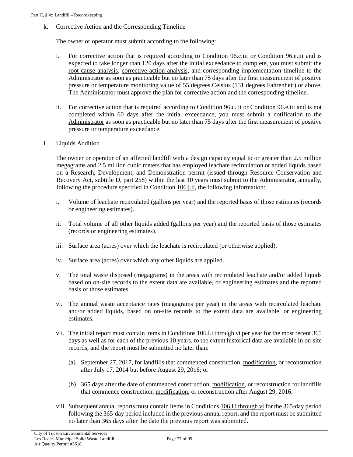<span id="page-76-2"></span><span id="page-76-1"></span>k. Corrective Action and the Corresponding Timeline

The owner or operator must submit according to the following:

- i. For corrective action that is required according to [Condition 96.c.iii](#page-58-2) or [Condition 96.e.iii](#page-58-2) and is expected to take longer than 120 days after the initial exceedance to complete, you must submit the [root cause analysis,](#page-51-1) [corrective action analysis,](#page-49-1) and corresponding implementation timeline to the [Administrator](#page-17-0) as soon as practicable but no later than 75 days after the first measurement of positive pressure or temperature monitoring value of 55 degrees Celsius (131 degrees Fahrenheit) or above. Th[e Administrator](#page-17-0) must approve the plan for corrective action and the corresponding timeline.
- ii. For corrective action that is required according to [Condition 96.c.iii](#page-58-2) or [Condition 96.e.iii](#page-58-2) and is not completed within 60 days after the initial exceedance, you must submit a notification to the [Administrator](#page-48-2) as soon as practicable but no later than 75 days after the first measurement of positive pressure or temperature exceedance.
- l. Liquids Addition

The owner or operator of an affected landfill with a <u>design capacity</u> equal to or greater than 2.5 million megagrams and 2.5 million cubic meters that has employed leachate recirculation or added liquids based on a Research, Development, and Demonstration permit (issued through Resource Conservation and Recovery Act, subtitle D, part 258) within the last 10 years must submit to the [Administrator,](#page-17-0) annually, following the procedure specified in [Condition](#page-75-0) 106.j.ii, the following information:

- <span id="page-76-0"></span>i. Volume of leachate recirculated (gallons per year) and the reported basis of those estimates (records or engineering estimates).
- ii. Total volume of all other liquids added (gallons per year) and the reported basis of those estimates (records or engineering estimates).
- iii. Surface area (acres) over which the leachate is recirculated (or otherwise applied).
- iv. Surface area (acres) over which any other liquids are applied.
- v. The total waste disposed (megagrams) in the areas with recirculated leachate and/or added liquids based on on-site records to the extent data are available, or engineering estimates and the reported basis of those estimates.
- vi. The annual waste acceptance rates (megagrams per year) in the areas with recirculated leachate and/or added liquids, based on on-site records to the extent data are available, or engineering estimates.
- vii. The initial report must contain items in Conditions [106.l.i through vi](#page-76-0) per year for the most recent 365 days as well as for each of the previous 10 years, to the extent historical data are available in on-site records, and the report must be submitted no later than:
	- (a) September 27, 2017, for landfills that commenced construction, [modification,](#page-19-0) or reconstruction after July 17, 2014 but before August 29, 2016; or
	- (b) 365 days after the date of commenced construction, [modification,](#page-19-0) or reconstruction for landfills that commence construction, [modification,](#page-19-0) or reconstruction after August 29, 2016.
- viii. Subsequent annual reports must contain items in [Conditions 106.l.i through vi](#page-76-0) for the 365-day period following the 365-day period included in the previous annual report, and the report must be submitted no later than 365 days after the date the previous report was submitted.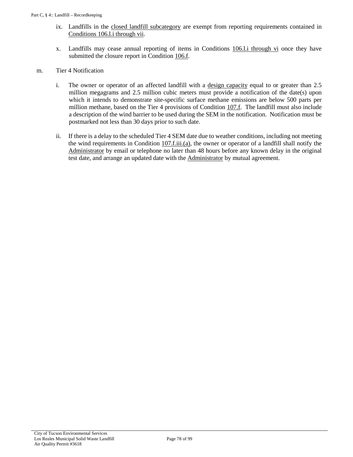- ix. Landfills in the [closed landfill subcategory](#page-48-1) are exempt from reporting requirements contained in [Conditions 106.l.i through vii.](#page-76-0)
- x. Landfills may cease annual reporting of items in [Conditions 106.l.i through vi](#page-76-0) once they have submitted the closure report i[n Condition 106.f.](#page-73-0)
- m. Tier 4 Notification
	- i. The owner or operator of an affected landfill with a [design capacity](#page-49-3) equal to or greater than 2.5 million megagrams and 2.5 million cubic meters must provide a notification of the date(s) upon which it intends to demonstrate site-specific surface methane emissions are below 500 parts per million methane, based on the Tier 4 provisions of Condition  $107.f$ . The landfill must also include a description of the wind barrier to be used during the SEM in the notification. Notification must be postmarked not less than 30 days prior to such date.
	- ii. If there is a delay to the scheduled Tier 4 SEM date due to weather conditions, including not meeting the wind requirements in [Condition 107.f.iii.\(a\),](#page-81-1) the owner or operator of a landfill shall notify the [Administrator](#page-17-0) by email or telephone no later than 48 hours before any known delay in the original test date, and arrange an updated date with the [Administrator](#page-17-0) by mutual agreement.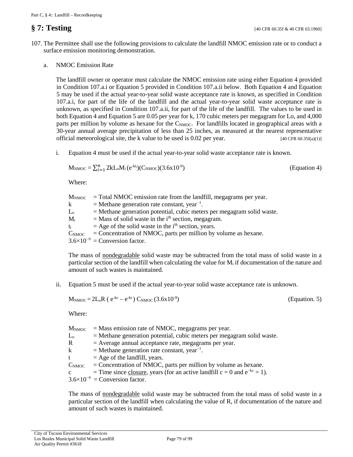- 107. The Permittee shall use the following provisions to calculate the landfill NMOC emission rate or to conduct a surface emission monitoring demonstration.
	- a. NMOC Emission Rate

<span id="page-78-0"></span>The landfill owner or operator must calculate the NMOC emission rate using either Equation 4 provided in Condition 107.a.i or Equation 5 provided in Condition 107.a.ii below. Both Equation 4 and Equation 5 may be used if the actual year-to-year solid waste acceptance rate is known, as specified in Condition 107.a.i, for part of the life of the landfill and the actual year-to-year solid waste acceptance rate is unknown, as specified in Condition 107.a.ii, for part of the life of the landfill. The values to be used in both Equation 4 and Equation 5 are 0.05 per year for k, 170 cubic meters per megagram for Lo, and 4,000 parts per million by volume as hexane for the C<sub>NMOC</sub>. For landfills located in geographical areas with a 30-year annual average precipitation of less than 25 inches, as measured at the nearest representative official meteorological site, the k value to be used is 0.02 per year.  $[40 \text{ CFR } 60.35\text{f(a)}(1)]$ 

<span id="page-78-1"></span>i. Equation 4 must be used if the actual year-to-year solid waste acceptance rate is known.

$$
M_{\text{NMOC}} = \sum_{i=1}^{n} 2kL_oM_i(e^{-kt_i})(C_{\text{NMOC}})(3.6x10^{-9})
$$
 (Equation 4)

Where:

| $M_{NMOC}$    | $=$ Total NMOC emission rate from the landfill, megagrams per year.      |
|---------------|--------------------------------------------------------------------------|
| $\mathbf{k}$  | $=$ Methane generation rate constant, year <sup>-1</sup> .               |
| $L_{o}$       | $=$ Methane generation potential, cubic meters per megagram solid waste. |
| $M_i$         | $=$ Mass of solid waste in the i <sup>th</sup> section, megagram.        |
| $t_i$         | $=$ Age of the solid waste in the i <sup>th</sup> section, years.        |
| $C_{\rm NMC}$ | $=$ Concentration of NMOC, parts per million by volume as hexane.        |
|               | $3.6\times10^{-9}$ = Conversion factor.                                  |

The mass of [nondegradable](#page-50-0) solid waste may be subtracted from the total mass of solid waste in a particular section of the landfill when calculating the value for  $M_i$  if documentation of the nature and amount of such wastes is maintained.

ii. Equation 5 must be used if the actual year-to-year solid waste acceptance rate is unknown.

$$
M_{\text{NMOC}} = 2L_0R (e^{-kc} - e^{-kt}) C_{\text{NMOC}} (3.6 \times 10^{-9})
$$

) (Equation. 5)

Where:

| $\rm M_{\rm NMC}$ | $=$ Mass emission rate of NMOC, megagrams per year.                               |
|-------------------|-----------------------------------------------------------------------------------|
| $\rm L_{o}$       | $=$ Methane generation potential, cubic meters per megagram solid waste.          |
| R                 | $=$ Average annual acceptance rate, megagrams per year.                           |
| k                 | $=$ Methane generation rate constant, year <sup>-1</sup> .                        |
| t                 | $=$ Age of the landfill, years.                                                   |
|                   | $C_{\text{NMOC}}$ = Concentration of NMOC, parts per million by volume as hexane. |
| $\mathbf{c}$      | = Time since closure, years (for an active landfill $c = 0$ and $e^{-kc} = 1$ ).  |
|                   | $3.6\times10^{-9}$ = Conversion factor.                                           |
|                   |                                                                                   |

The mass of [nondegradable](#page-50-0) solid waste may be subtracted from the total mass of solid waste in a particular section of the landfill when calculating the value of R, if documentation of the nature and amount of such wastes is maintained.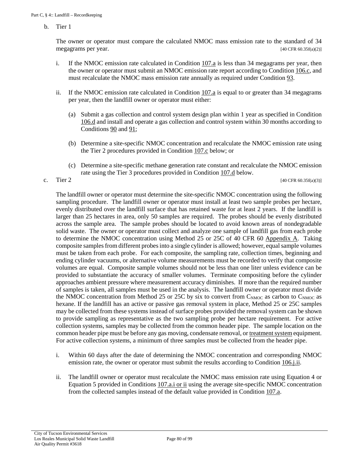b. Tier 1

The owner or operator must compare the calculated NMOC mass emission rate to the standard of 34 megagrams per year.  $[40 \text{ CFR } 60.35f(a)(2)]$ 

- i. If the NMOC emission rate calculated in Condition  $107a$  is less than 34 megagrams per year, then the owner or operator must submit an NMOC emission rate report according to [Condition 106.c,](#page-69-0) and must recalculate the NMOC mass emission rate annually as required under [Condition 93.](#page-54-0)
- ii. If the NMOC emission rate calculated in [Condition 107.a](#page-78-0) is equal to or greater than 34 megagrams per year, then the landfill owner or operator must either:
	- (a) Submit a gas collection and control system design plan within 1 year as specified in [Condition](#page-70-1) [106.d](#page-70-1) and install and operate a gas collection and control system within 30 months according to [Conditions 90](#page-52-0) and [91;](#page-53-0)
	- (b) Determine a site-specific NMOC concentration and recalculate the NMOC emission rate using the Tier 2 procedures provided in [Condition 107.c](#page-79-0) below; or
	- (c) Determine a site-specific methane generation rate constant and recalculate the NMOC emission rate using the Tier 3 procedures provided in [Condition 107.d](#page-80-0) below.

<span id="page-79-0"></span>c. Tier 2 [40 CFR 60.35f(a)(3)]

The landfill owner or operator must determine the site-specific NMOC concentration using the following sampling procedure. The landfill owner or operator must install at least two sample probes per hectare, evenly distributed over the landfill surface that has retained waste for at least 2 years. If the landfill is larger than 25 hectares in area, only 50 samples are required. The probes should be evenly distributed across the sample area. The sample probes should be located to avoid known areas of nondegradable solid waste. The owner or operator must collect and analyze one sample of landfill gas from each probe to determine the NMOC concentration using Method 25 or 25C of [40 CFR 60 Appendix A.](https://tinyurl.com/40-CFR-60-APPENDICES) Taking composite samples from different probes into a single cylinder is allowed; however, equal sample volumes must be taken from each probe. For each composite, the sampling rate, collection times, beginning and ending cylinder vacuums, or alternative volume measurements must be recorded to verify that composite volumes are equal. Composite sample volumes should not be less than one liter unless evidence can be provided to substantiate the accuracy of smaller volumes. Terminate compositing before the cylinder approaches ambient pressure where measurement accuracy diminishes. If more than the required number of samples is taken, all samples must be used in the analysis. The landfill owner or operator must divide the NMOC concentration from Method 25 or 25C by six to convert from  $C_{\text{NMOC}}$  as carbon to  $C_{\text{NMOC}}$  as hexane. If the landfill has an active or passive gas removal system in place, Method 25 or 25C samples may be collected from these systems instead of surface probes provided the removal system can be shown to provide sampling as representative as the two sampling probe per hectare requirement. For active collection systems, samples may be collected from the common header pipe. The sample location on the common header pipe must be before any gas moving, condensate removal, o[r treatment system](#page-51-0) equipment. For active collection systems, a minimum of three samples must be collected from the header pipe.

- i. Within 60 days after the date of determining the NMOC concentration and corresponding NMOC emission rate, the owner or operator must submit the results according to [Condition](#page-75-0) 106.j.ii.
- ii. The landfill owner or operator must recalculate the NMOC mass emission rate using Equation 4 or Equation 5 provided in [Conditions 107.a.i or ii](#page-78-1) using the average site-specific NMOC concentration from the collected samples instead of the default value provided in [Condition 107.a.](#page-78-0)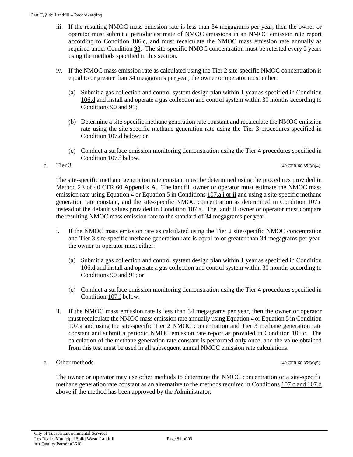- iii. If the resulting NMOC mass emission rate is less than 34 megagrams per year, then the owner or operator must submit a periodic estimate of NMOC emissions in an NMOC emission rate report according to [Condition 106.c,](#page-69-0) and must recalculate the NMOC mass emission rate annually as required under [Condition 93.](#page-54-0) The site-specific NMOC concentration must be retested every 5 years using the methods specified in this section.
- <span id="page-80-1"></span>iv. If the NMOC mass emission rate as calculated using the Tier 2 site-specific NMOC concentration is equal to or greater than 34 megagrams per year, the owner or operator must either:
	- (a) Submit a gas collection and control system design plan within 1 year as specified in [Condition](#page-70-1) [106.d](#page-70-1) and install and operate a gas collection and control system within 30 months according to [Conditions 90](#page-52-0) and [91;](#page-53-0)
	- (b) Determine a site-specific methane generation rate constant and recalculate the NMOC emission rate using the site-specific methane generation rate using the Tier 3 procedures specified in [Condition 107.d](#page-80-0) below; or
	- (c) Conduct a surface emission monitoring demonstration using the Tier 4 procedures specified in [Condition 107.f](#page-81-0) below.

<span id="page-80-0"></span>d. Tier 3 [40 CFR 60.35f(a)(4)]

The site-specific methane generation rate constant must be determined using the procedures provided in Method 2E of [40 CFR 60 Appendix A.](https://tinyurl.com/40-CFR-60-APPENDICES) The landfill owner or operator must estimate the NMOC mass emission rate using Equation 4 or Equation 5 in [Conditions 107.a.i or ii](#page-78-1) and using a site-specific methane generation rate constant, and the site-specific NMOC concentration as determined in [Condition 107.c](#page-79-0) instead of the default values provided in [Condition 107.a.](#page-78-0) The landfill owner or operator must compare the resulting NMOC mass emission rate to the standard of 34 megagrams per year.

- i. If the NMOC mass emission rate as calculated using the Tier 2 site-specific NMOC concentration and Tier 3 site-specific methane generation rate is equal to or greater than 34 megagrams per year, the owner or operator must either:
	- (a) Submit a gas collection and control system design plan within 1 year as specified in [Condition](#page-70-1) [106.d](#page-70-1) and install and operate a gas collection and control system within 30 months according to [Conditions 90](#page-52-0) and [91;](#page-53-0) or
	- (c) Conduct a surface emission monitoring demonstration using the Tier 4 procedures specified in [Condition 107.f](#page-81-0) below.
- ii. If the NMOC mass emission rate is less than 34 megagrams per year, then the owner or operator must recalculate the NMOC mass emission rate annually using Equation 4 or Equation 5 in [Condition](#page-78-0)  [107.a](#page-78-0) and using the site-specific Tier 2 NMOC concentration and Tier 3 methane generation rate constant and submit a periodic NMOC emission rate report as provided in [Condition 106.c.](#page-69-0) The calculation of the methane generation rate constant is performed only once, and the value obtained from this test must be used in all subsequent annual NMOC emission rate calculations.

#### e. Other methods  $[40 \text{ CFR } 60.35f(a)(5)]$

The owner or operator may use other methods to determine the NMOC concentration or a site-specific methane generation rate constant as an alternative to the methods required in [Conditions 107.c and 107.d](#page-79-0) above if the method has been approved by the [Administrator.](#page-17-0)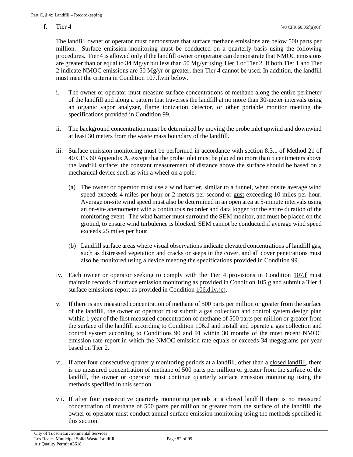<span id="page-81-2"></span><span id="page-81-0"></span>

The landfill owner or operator must demonstrate that surface methane emissions are below 500 parts per million. Surface emission monitoring must be conducted on a quarterly basis using the following procedures. Tier 4 is allowed only if the landfill owner or operator can demonstrate that NMOC emissions are greater than or equal to 34 Mg/yr but less than 50 Mg/yr using Tier 1 or Tier 2. If both Tier 1 and Tier 2 indicate NMOC emissions are 50 Mg/yr or greater, then Tier 4 cannot be used. In addition, the landfill must meet the criteria in [Condition 107.f.viii](#page-82-0) below.

- i. The owner or operator must measure surface concentrations of methane along the entire perimeter of the landfill and along a pattern that traverses the landfill at no more than 30-meter intervals using an organic vapor analyzer, flame ionization detector, or other portable monitor meeting the specifications provided in [Condition 99.](#page-60-0)
- ii. The background concentration must be determined by moving the probe inlet upwind and downwind at least 30 meters from the waste mass boundary of the landfill.
- <span id="page-81-1"></span>iii. Surface emission monitoring must be performed in accordance with section 8.3.1 of Method 21 of [40 CFR 60 Appendix A,](https://tinyurl.com/40-CFR-60-APPENDICES) except that the probe inlet must be placed no more than 5 centimeters above the landfill surface; the constant measurement of distance above the surface should be based on a mechanical device such as with a wheel on a pole.
	- (a) The owner or operator must use a wind barrier, similar to a funnel, when onsite average wind speed exceeds 4 miles per hour or 2 meters per second or [gust](#page-49-4) exceeding 10 miles per hour. Average on-site wind speed must also be determined in an open area at 5-minute intervals using an on-site anemometer with a continuous recorder and data logger for the entire duration of the monitoring event. The wind barrier must surround the SEM monitor, and must be placed on the ground, to ensure wind turbulence is blocked. SEM cannot be conducted if average wind speed exceeds 25 miles per hour.
	- (b) Landfill surface areas where visual observations indicate elevated concentrations of landfill gas, such as distressed vegetation and cracks or seeps in the cover, and all cover penetrations must also be monitored using a device meeting the specifications provided in [Condition 99.](#page-60-0)
- iv. Each owner or operator seeking to comply with the Tier 4 provisions in [Condition 107.f](#page-81-0) must maintain records of surface emission monitoring as provided in [Condition 105.g](#page-67-0) and submit a Tier 4 surface emissions report as provided in [Condition 106.d.iv.\(c\).](#page-71-0)
- v. If there is any measured concentration of methane of 500 parts per million or greater from the surface of the landfill, the owner or operator must submit a gas collection and control system design plan within 1 year of the first measured concentration of methane of 500 parts per million or greater from the surface of the landfill according to [Condition 106.d](#page-70-1) and install and operate a gas collection and control system according to Conditions  $90$  and  $91$  within 30 months of the most recent NMOC emission rate report in which the NMOC emission rate equals or exceeds 34 megagrams per year based on Tier 2.
- vi. If after four consecutive quarterly monitoring periods at a landfill, other than a [closed landfill,](#page-48-3) there is no measured concentration of methane of 500 parts per million or greater from the surface of the landfill, the owner or operator must continue quarterly surface emission monitoring using the methods specified in this section.
- vii. If after four consecutive quarterly monitoring periods at a [closed landfill](#page-48-3) there is no measured concentration of methane of 500 parts per million or greater from the surface of the landfill, the owner or operator must conduct annual surface emission monitoring using the methods specified in this section.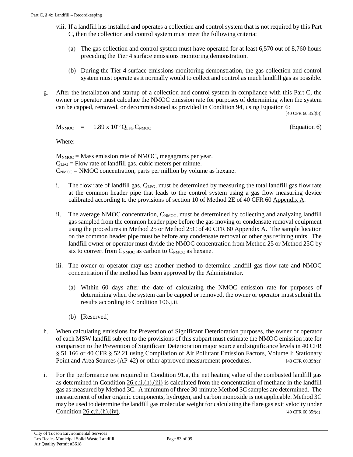- <span id="page-82-0"></span>viii. If a landfill has installed and operates a collection and control system that is not required by this Part C, then the collection and control system must meet the following criteria:
	- (a) The gas collection and control system must have operated for at least 6,570 out of 8,760 hours preceding the Tier 4 surface emissions monitoring demonstration.
	- (b) During the Tier 4 surface emissions monitoring demonstration, the gas collection and control system must operate as it normally would to collect and control as much landfill gas as possible.
- <span id="page-82-1"></span>g. After the installation and startup of a collection and control system in compliance with this Part C, the owner or operator must calculate the NMOC emission rate for purposes of determining when the system can be capped, removed, or decommissioned as provided i[n Condition 94,](#page-55-1) using Equation 6:

[40 CFR 60.35f(b)]

 $M_{\text{NMOC}} = 1.89 \times 10^{-3} Q_{\text{LFG}} C_{\text{NMOC}}$  (Equation 6)

Where:

 $M_{\text{NMOC}}$  = Mass emission rate of NMOC, megagrams per year.  $Q<sub>LFG</sub>$  = Flow rate of landfill gas, cubic meters per minute.  $C_{\text{NMOC}} = \text{NMOC}$  concentration, parts per million by volume as hexane.

- i. The flow rate of landfill gas,  $Q<sub>LFG</sub>$ , must be determined by measuring the total landfill gas flow rate at the common header pipe that leads to the control system using a gas flow measuring device calibrated according to the provisions of section 10 of Method 2E of [40 CFR 60 Appendix A.](https://tinyurl.com/40-CFR-60-APPENDICES)
- ii. The average NMOC concentration,  $C_{\text{NMOC}}$ , must be determined by collecting and analyzing landfill gas sampled from the common header pipe before the gas moving or condensate removal equipment using the procedures in Method 25 or Method 25C of [40 CFR 60 Appendix A.](https://tinyurl.com/40-CFR-60-APPENDICES) The sample location on the common header pipe must be before any condensate removal or other gas refining units. The landfill owner or operator must divide the NMOC concentration from Method 25 or Method 25C by six to convert from  $C_{\text{NMOC}}$  as carbon to  $C_{\text{NMOC}}$  as hexane.
- iii. The owner or operator may use another method to determine landfill gas flow rate and NMOC concentration if the method has been approved by the [Administrator.](#page-17-0)
	- (a) Within 60 days after the date of calculating the NMOC emission rate for purposes of determining when the system can be capped or removed, the owner or operator must submit the results according to [Condition 106.j.ii.](#page-75-0)
	- (b) [Reserved]
- h. When calculating emissions for Prevention of Significant Deterioration purposes, the owner or operator of each MSW landfill subject to the provisions of this subpart must estimate the NMOC emission rate for comparison to the Prevention of Significant Deterioration major source and significance levels in [40 CFR](https://tinyurl.com/50-CFR-51-166)  § [51.166](https://tinyurl.com/50-CFR-51-166) or [40 CFR §](https://tinyurl.com/40-CFR-52-21) 52.21 using Compilation of Air Pollutant Emission Factors, Volume I: Stationary Point and Area Sources (AP-42) or other approved measurement procedures. [40 CFR 60.35f(c)]
- <span id="page-82-2"></span>i. For the performance test required in [Condition 91.a,](#page-53-1) the net heating value of the combusted landfill gas as determined in [Condition 26.c.ii.\(h\).\(iii\)](#page-23-0) is calculated from the concentration of methane in the landfill gas as measured by Method 3C. A minimum of three 30-minute Method 3C samples are determined. The measurement of other organic components, hydrogen, and carbon monoxide is not applicable. Method 3C may be used to determine the landfill gas molecular weight for calculating the <u>flare</u> gas exit velocity under Condition  $26.\text{ci.}(h).$  (iv). [40 CFR 60.35f(d)]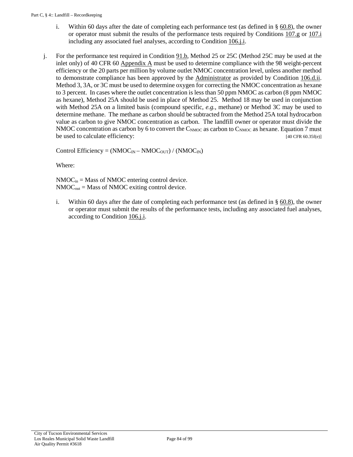- i. Within 60 days after the date of completing each performance test (as defined in § [60.8\)](https://tinyurl.com/40-cfr-60-8-incl), the owner or operator must submit the results of the performance tests required by [Conditions 107.g](#page-82-1) or [107.i](#page-82-2) including any associated fuel analyses, according t[o Condition 106.j.i.](#page-75-1)
- j. For the performance test required i[n Condition 91.b,](#page-53-2) Method 25 or 25C (Method 25C may be used at the inlet only) of [40 CFR 60 Appendix A](https://tinyurl.com/40-CFR-60-APPENDICES) must be used to determine compliance with the 98 weight-percent efficiency or the 20 parts per million by volume outlet NMOC concentration level, unless another method to demonstrate compliance has been approved by the [Administrator](#page-17-0) as provided by [Condition 106.d.ii.](#page-70-2)  Method 3, 3A, or 3C must be used to determine oxygen for correcting the NMOC concentration as hexane to 3 percent. In cases where the outlet concentration is less than 50 ppm NMOC as carbon (8 ppm NMOC as hexane), Method 25A should be used in place of Method 25. Method 18 may be used in conjunction with Method 25A on a limited basis (compound specific, *e.g.*, methane) or Method 3C may be used to determine methane. The methane as carbon should be subtracted from the Method 25A total hydrocarbon value as carbon to give NMOC concentration as carbon. The landfill owner or operator must divide the NMOC concentration as carbon by 6 to convert the  $C_{NMOC}$  as carbon to  $C_{NMOC}$  as hexane. Equation 7 must be used to calculate efficiency: [40 CFR 60.35f(e)]

Control Efficiency =  $(NMOC<sub>IN</sub> - NMOC<sub>OUT</sub>) / (NMOC<sub>IN</sub>)$ 

Where:

 $NMOC<sub>in</sub> = Mass of NMOC entering control device.$  $NMOC<sub>out</sub> = Mass of NMOC exiting control device.$ 

i. Within 60 days after the date of completing each performance test (as defined in § [60.8\)](https://tinyurl.com/40-cfr-60-8-incl), the owner or operator must submit the results of the performance tests, including any associated fuel analyses, according to [Condition 106.j.i.](#page-75-1)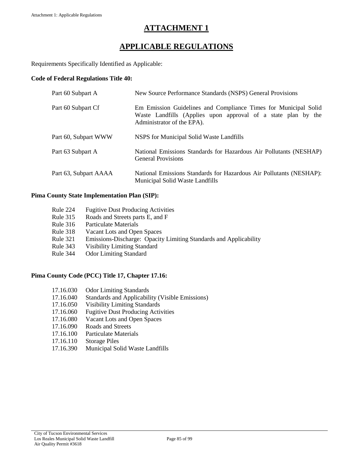# **APPLICABLE REGULATIONS**

Requirements Specifically Identified as Applicable:

### **Code of Federal Regulations Title 40:**

| Part 60 Subpart A     | New Source Performance Standards (NSPS) General Provisions                                                                                                     |
|-----------------------|----------------------------------------------------------------------------------------------------------------------------------------------------------------|
| Part 60 Subpart Cf    | Em Emission Guidelines and Compliance Times for Municipal Solid<br>Waste Landfills (Applies upon approval of a state plan by the<br>Administrator of the EPA). |
| Part 60, Subpart WWW  | NSPS for Municipal Solid Waste Landfills                                                                                                                       |
| Part 63 Subpart A     | National Emissions Standards for Hazardous Air Pollutants (NESHAP)<br><b>General Provisions</b>                                                                |
| Part 63, Subpart AAAA | National Emissions Standards for Hazardous Air Pollutants (NESHAP):<br>Municipal Solid Waste Landfills                                                         |

### **Pima County State Implementation Plan (SIP):**

- Rule 224 Fugitive Dust Producing Activities
- Rule 315 Roads and Streets parts E, and F
- Rule 316 Particulate Materials
- Rule 318 Vacant Lots and Open Spaces
- Rule 321 Emissions-Discharge: Opacity Limiting Standards and Applicability
- Rule 343 Visibility Limiting Standard
- Rule 344 Odor Limiting Standard

### **Pima County Code (PCC) Title 17, Chapter 17.16:**

- 17.16.030 Odor Limiting Standards
- 17.16.040 Standards and Applicability (Visible Emissions)
- 17.16.050 Visibility Limiting Standards
- 17.16.060 Fugitive Dust Producing Activities
- 17.16.080 Vacant Lots and Open Spaces
- 17.16.090 Roads and Streets
- 17.16.100 Particulate Materials
- 17.16.110 Storage Piles
- 17.16.390 Municipal Solid Waste Landfills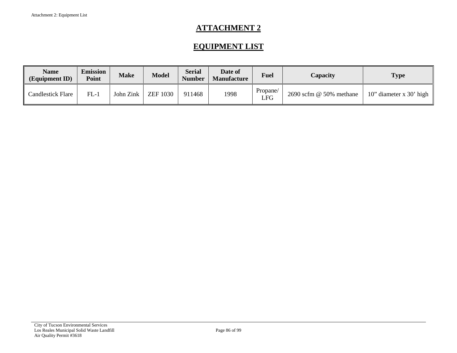# **EQUIPMENT LIST**

| Name<br>(Equipment ID) | <b>Emission</b><br>Point | <b>Make</b> | <b>Model</b>    | Serial<br><b>Number</b> | Date of<br><b>Manufacture</b> | <b>Fuel</b>     | Capacity                    | <b>Type</b>               |
|------------------------|--------------------------|-------------|-----------------|-------------------------|-------------------------------|-----------------|-----------------------------|---------------------------|
| Candlestick Flare      | $FL-1$                   | John Zink   | <b>ZEF 1030</b> | 911468                  | 1998                          | Propane/<br>LFG | $2690$ scfm $@$ 50% methane | 10" diameter x $30'$ high |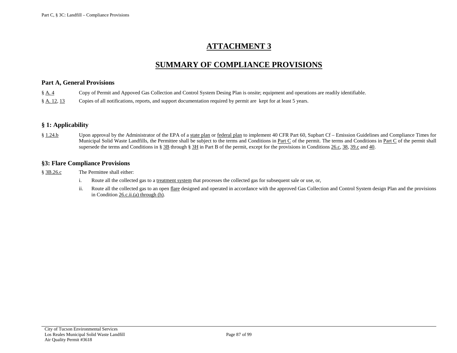### **SUMMARY OF COMPLIANCE PROVISIONS**

#### **Part A, General Provisions**

| $\S$ A. 4 |  | Copy of Permit and Appoved Gas Collection and Control System Desing Plan is onsite; equipment and operations are readily identifiable. |
|-----------|--|----------------------------------------------------------------------------------------------------------------------------------------|
|           |  |                                                                                                                                        |

[§ A. 12,](#page-11-0) [13](#page-11-1) Copies of all notifications, reports, and support documentation required by permit are kept for at least 5 years.

### **§ 1: Applicability**

[§ 1.24.b](#page-16-0) Upon approval by the Administrator of the EPA of [a state plan](#page-18-0) o[r federal plan](#page-18-1) to implement 40 CFR Part 60, Supbart Cf – Emission Guidelines and Compliance Times for Municipal Solid Waste Landfills, the Permittee shall be subject to the terms and Conditions in [Part C](#page-46-0) of the permit. The terms and Conditions in [Part C](#page-46-0) of the permit shall supersede the terms and Conditions i[n § 3B](#page-21-1) through [§ 3H](#page-36-0) in Part B of the permit, except for the provisions in [Conditions 26.c,](#page-21-2) [38,](#page-31-0) [39.c](#page-32-0) an[d 40.](#page-33-0)

#### **§3: Flare Compliance Provisions**

[§ 3B.26.c](#page-21-2) The Permittee shall either:

- i. Route all the collected gas to a [treatment system](#page-51-3) that processes the collected gas for subsequent sale or use, or,
- ii. Route all the collected gas to an ope[n flare](#page-18-2) designed and operated in accordance with the approved Gas Collection and Control System design Plan and the provisions in Condition [26.c.ii.\(a\) through \(h\).](#page-22-0)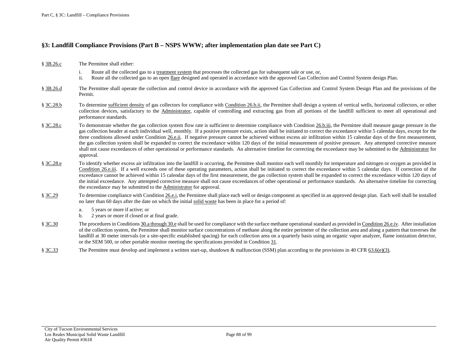#### **§3: Landfill Compliance Provisions (Part B – NSPS WWW; after implementation plan date see Part C)**

- [§ 3B.26.c](#page-21-2) The Permittee shall either:
	- i. Route all the collected gas to a [treatment system](#page-51-3) that processes the collected gas for subsequent sale or use, or,
	- ii. Route all the collected gas to an ope[n flare](#page-18-2) designed and operated in accordance with the approved Gas Collection and Control System design Plan.
- [§ 3B.26.d](#page-23-2) The Permittee shall operate the collection and control device in accordance with the approved Gas Collection and Control System Design Plan and the provisions of the Permit.
- [§ 3C.28.b](#page-26-0) To determine [sufficient density](#page-20-0) of gas collectors for compliance with [Condition 26.b.ii,](#page-21-3) the Permittee shall design a system of vertical wells, horizontal collectors, or other collection devices, satisfactory to the [Administrator,](#page-17-2) capable of controlling and extracting gas from all portions of the landfill sufficient to meet all operational and performance standards.
- [§ 3C.28.c](#page-26-0) To demonstrate whether the gas collection system flow rate is sufficient to determine compliance with [Condition 26.b.iii,](#page-21-4) the Permittee shall measure gauge pressure in the gas collection header at each individual well, monthly. If a positive pressure exists, action shall be initiated to correct the exceedance within 5 calendar days, except for the three conditions allowed unde[r Condition 26.e.ii.](#page-24-0) If negative pressure cannot be achieved without excess air infiltration within 15 calendar days of the first measurement, the gas collection system shall be expanded to correct the exceedance within 120 days of the initial measurement of positive pressure. Any attempted corrective measure shall not cause exceedances of other operational or performance standards. An alternative timeline for correcting the exceedance may be submitted to the [Administrator](#page-17-2) for approval.
- [§ 3C.28.e](#page-26-1) To identify whether excess air infiltration into the landfill is occurring, the Permittee shall monitor each well monthly for temperature and nitrogen or oxygen as provided in [Condition 26.e.iii.](#page-24-1) If a well exceeds one of these operating parameters, action shall be initiated to correct the exceedance within 5 calendar days. If correction of the exceedance cannot be achieved within 15 calendar days of the first measurement, the gas collection system shall be expanded to correct the exceedance within 120 days of the initial exceedance. Any attempted corrective measure shall not cause exceedances of other operational or performance standards. An alternative timeline for correcting the exceedance may be submitted to th[e Administrator](#page-17-2) for approval.
- [§ 3C.29](#page-26-2) To determine compliance wit[h Condition 26.e.i,](#page-24-2) the Permittee shall place each well or design component as specified in an approved design plan. Each well shall be installed no later than 60 days after the date on which the initia[l solid waste](#page-19-1) has been in place for a period of:
	- a. 5 years or more if active; or
	- b. 2 years or more if closed or at final grade.
- [§ 3C.30](#page-26-3) The procedures i[n Conditions 30.a through 30.e](#page-26-4) shall be used for compliance with the surface methane operational standard as provided i[n Condition 26.e.iv.](#page-24-3) After installation of the collection system, the Permittee shall monitor surface concentrations of methane along the entire perimeter of the collection area and along a pattern that traverses the landfill at 30 meter intervals (or a site-specific established spacing) for each collection area on a quarterly basis using an organic vapor analyzer, flame ionization detector, or the SEM 500, or other portable monitor meeting the specifications provided in [Condition 31.](#page-27-0)
- [§ 3C.33](#page-28-0) The Permittee must develop and implement a written start-up, shutdown & malfunction (SSM) plan according to the provisions i[n 40 CFR 63.6\(e\)\(3\).](https://tinyurl.com/40-CFR-63-6)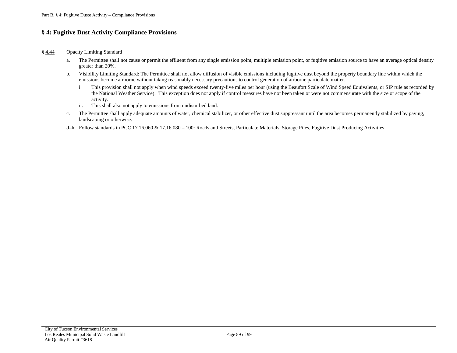#### **§ 4: Fugitive Dust Activity Compliance Provisions**

#### [§ 4.44](#page-40-0) Opacity Limiting Standard

- a. The Permittee shall not cause or permit the effluent from any single emission point, multiple emission point, or fugitive emission source to have an average optical density greater than 20%.
- b. Visibility Limiting Standard: The Permittee shall not allow diffusion of visible emissions including fugitive dust beyond the property boundary line within which the emissions become airborne without taking reasonably necessary precautions to control generation of airborne particulate matter.
	- i. This provision shall not apply when wind speeds exceed twenty-five miles per hour (using the Beaufort Scale of Wind Speed Equivalents, or SIP rule as recorded by the National Weather Service). This exception does not apply if control measures have not been taken or were not commensurate with the size or scope of the activity.
	- ii. This shall also not apply to emissions from undisturbed land.
- c. The Permittee shall apply adequate amounts of water, chemical stabilizer, or other effective dust suppressant until the area becomes permanently stabilized by paving, landscaping or otherwise.
- d–h. Follow standards in PCC 17.16.060 & 17.16.080 100: Roads and Streets, Particulate Materials, Storage Piles, Fugitive Dust Producing Activities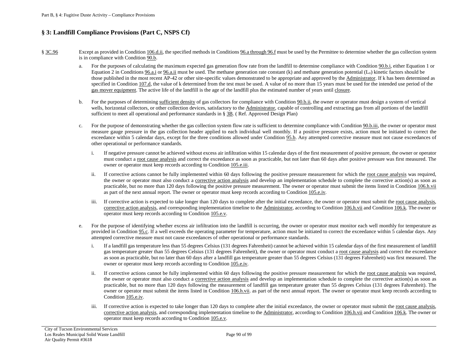#### **§ 3: Landfill Compliance Provisions (Part C, NSPS Cf)**

- [§ 3C.96](#page-57-0) Except as provided i[n Condition 106.d.ii,](#page-70-3) the specified methods in [Conditions 96.a through 96.f](#page-57-1) must be used by the Permittee to determine whether the gas collection system is in compliance wit[h Condition 90.b.](#page-52-1)
	- a. For the purposes of calculating the maximum expected gas generation flow rate from the landfill to determine compliance with [Condition 90.b.i,](#page-52-2) either Equation 1 or Equation 2 in [Conditions 96.a.i](#page-57-2) or [96.a.ii](#page-57-3) must be used. The methane generation rate constant  $(k)$  and methane generation potential  $(L_0)$  kinetic factors should be those published in the most recent AP-42 or other site-specific values demonstrated to be appropriate and approved by the [Administrator.](#page-17-2) If k has been determined as specified i[n Condition](#page-80-1) 107.d, the value of k determined from the test must be used. A value of no more than 15 years must be used for the intended use period of the [gas mover equipment.](#page-49-6) The active life of the landfill is the age of the landfill plus the estimated number of years until [closure.](#page-17-3)
	- b. For the purposes of determining [sufficient density](#page-51-4) of gas collectors for compliance wit[h Condition 90.b.ii,](#page-52-3) the owner or operator must design a system of vertical wells, horizontal collectors, or other collection devices, satisfactory to the [Administrator,](#page-48-4) capable of controlling and extracting gas from all portions of the landfill sufficient to meet all operational and performance standards in § [3B.](#page-55-2) ( Ref. Approved Design Plan)
	- c. For the purpose of demonstrating whether the gas collection system flow rate is sufficient to determine compliance with [Condition 90.b.iii,](#page-52-4) the owner or operator must measure gauge pressure in the gas collection header applied to each individual well monthly. If a positive pressure exists, action must be initiated to correct the exceedance within 5 calendar days, except for the three conditions allowed unde[r Condition 95.b.](#page-56-1) Any attempted corrective measure must not cause exceedances of other operational or performance standards.
		- i. If negative pressure cannot be achieved without excess air infiltration within 15 calendar days of the first measurement of positive pressure, the owner or operator must conduct [a root cause analysis](#page-51-5) and correct the exceedance as soon as practicable, but not later than 60 days after positive pressure was first measured. The owner or operator must keep records according t[o Condition 105.e.iii.](#page-67-1)
		- ii. If corrective actions cannot be fully implemented within 60 days following the positive pressure measurement for which the [root cause analysis](#page-51-5) was required, the owner or operator must also conduct a [corrective action analysis](#page-49-7) and develop an implementation schedule to complete the corrective action(s) as soon as practicable, but no more than 120 days following the positive pressure measurement. The owner or operator must submit the items listed i[n Condition 106.h.vii](#page-74-1) as part of the next annual report. The owner or operator must keep records according t[o Condition 105.e.iv.](#page-67-2)
		- iii. If corrective action is expected to take longer than 120 days to complete after the initial exceedance, the owner or operator must submit th[e root cause analysis,](#page-51-5)  [corrective action analysis,](#page-49-7) and corresponding implementation timeline to th[e Administrator,](#page-48-4) according to [Condition 106.h.vii](#page-74-1) an[d Condition 106.k.](#page-76-1) The owner or operator must keep records according to [Condition 105.e.v.](#page-67-3)
	- e. For the purpose of identifying whether excess air infiltration into the landfill is occurring, the owner or operator must monitor each well monthly for temperature as provided in [Condition 95.c.](#page-56-2) If a well exceeds the operating parameter for temperature, action must be initiated to correct the exceedance within 5 calendar days. Any attempted corrective measure must not cause exceedances of other operational or performance standards.
		- i. If a landfill gas temperature less than 55 degrees Celsius (131 degrees Fahrenheit) cannot be achieved within 15 calendar days of the first measurement of landfill gas temperature greater than 55 degrees Celsius (131 degrees Fahrenheit), the owner or operator must conduct [a root cause analysis](#page-51-5) and correct the exceedance as soon as practicable, but no later than 60 days after a landfill gas temperature greater than 55 degrees Celsius (131 degrees Fahrenheit) was first measured. The owner or operator must keep records according t[o Condition 105.e.iv.](#page-67-2)
		- ii. If corrective actions cannot be fully implemented within 60 days following the positive pressure measurement for which the [root cause analysis](#page-51-5) was required, the owner or operator must also conduct a [corrective action analysis](#page-49-7) and develop an implementation schedule to complete the corrective action(s) as soon as practicable, but no more than 120 days following the measurement of landfill gas temperature greater than 55 degrees Celsius (131 degrees Fahrenheit). The owner or operator must submit the items listed in [Condition 106.h.vii.](#page-74-1) as part of the next annual report. The owner or operator must keep records according to [Condition 105.e.iv.](#page-67-2)
		- iii. If corrective action is expected to take longer than 120 days to complete after the initial exceedance, the owner or operator must submit th[e root cause analysis,](#page-51-5)  [corrective action analysis,](#page-49-7) and corresponding implementation timeline to th[e Administrator,](#page-17-2) according to [Condition 106.h.vii](#page-74-1) an[d Condition 106.k.](#page-76-1) The owner or operator must keep records according to [Condition 105.e.v.](#page-67-3)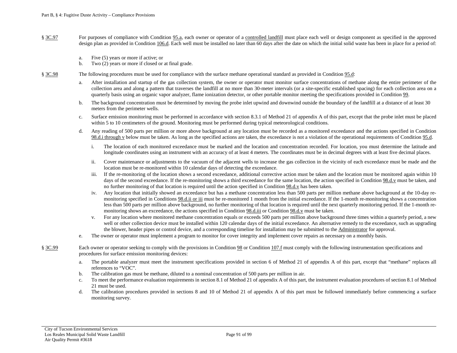- [§ 3C.97](#page-59-2) For purposes of compliance with [Condition 95.a,](#page-55-3) each owner or operator of a [controlled landfill](#page-48-5) must place each well or design component as specified in the approved design plan as provided i[n Condition 106.d.](#page-70-4) Each well must be installed no later than 60 days after the date on which the initial solid waste has been in place for a period of:
	- a. Five (5) years or more if active; or
	- b. Two (2) years or more if closed or at final grade.
- [§ 3C.98](#page-59-3) The following procedures must be used for compliance with the surface methane operational standard as provided in [Condition 95.d:](#page-56-3)
	- a. After installation and startup of the gas collection system, the owner or operator must monitor surface concentrations of methane along the entire perimeter of the collection area and along a pattern that traverses the landfill at no more than 30-meter intervals (or a site-specific established spacing) for each collection area on a quarterly basis using an organic vapor analyzer, flame ionization detector, or other portable monitor meeting the specifications provided in [Condition 99.](#page-60-1)
	- b. The background concentration must be determined by moving the probe inlet upwind and downwind outside the boundary of the landfill at a distance of at least 30 meters from the perimeter wells.
	- c. Surface emission monitoring must be performed in accordance with section 8.3.1 of Method 21 of appendix A of this part, except that the probe inlet must be placed within 5 to 10 centimeters of the ground. Monitoring must be performed during typical meteorological conditions.
	- d. Any reading of 500 parts per million or more above background at any location must be recorded as a monitored exceedance and the actions specified in [Condition](#page-59-4)  [98.d.i through v](#page-59-4) below must be taken. As long as the specified actions are taken, the exceedance is not a violation of the operational requirements of [Condition 95.d.](#page-56-3)
		- i. The location of each monitored exceedance must be marked and the location and concentration recorded. For location, you must determine the latitude and longitude coordinates using an instrument with an accuracy of at least 4 meters. The coordinates must be in decimal degrees with at least five decimal places.
		- ii. Cover maintenance or adjustments to the vacuum of the adjacent wells to increase the gas collection in the vicinity of each exceedance must be made and the location must be re-monitored within 10 calendar days of detecting the exceedance.
		- iii. If the re-monitoring of the location shows a second exceedance, additional corrective action must be taken and the location must be monitored again within 10 days of the second exceedance. If the re-monitoring shows a third exceedance for the same location, the action specified in Condition 98.d.y must be taken, and no further monitoring of that location is required until the action specified i[n Condition 98.d.v](#page-60-2) has been taken.
		- iv. Any location that initially showed an exceedance but has a methane concentration less than 500 parts per million methane above background at the 10-day remonitoring specified i[n Conditions 98.d.ii or iii](#page-59-5) must be re-monitored 1 month from the initial exceedance. If the 1-month re-monitoring shows a concentration less than 500 parts per million above background, no further monitoring of that location is required until the next quarterly monitoring period. If the 1-month remonitoring shows an exceedance, the actions specified i[n Condition 98.d.iii](#page-59-6) o[r Condition 98.d.v](#page-60-2) must be taken.
		- v. For any location where monitored methane concentration equals or exceeds 500 parts per million above background three times within a quarterly period, a new well or other collection device must be installed within 120 calendar days of the initial exceedance. An alternative remedy to the exceedance, such as upgrading the blower, header pipes or control device, and a corresponding timeline for installation may be submitted to th[e Administrator](#page-17-2) for approval.
	- e. The owner or operator must implement a program to monitor for cover integrity and implement cover repairs as necessary on a monthly basis.
- [§ 3C.99](#page-60-1) Each owner or operator seeking to comply with the provisions i[n Condition 98](#page-59-3) o[r Condition 107.f](#page-81-2) must comply with the following instrumentation specifications and procedures for surface emission monitoring devices:
	- a. The portable analyzer must meet the instrument specifications provided in section 6 of Method 21 of appendix A of this part, except that "methane" replaces all references to "VOC".
	- b. The calibration gas must be methane, diluted to a nominal concentration of 500 parts per million in air.
	- c. To meet the performance evaluation requirements in section 8.1 of Method 21 of appendix A of this part, the instrument evaluation procedures of section 8.1 of Method 21 must be used.
	- d. The calibration procedures provided in sections 8 and 10 of Method 21 of appendix A of this part must be followed immediately before commencing a surface monitoring survey.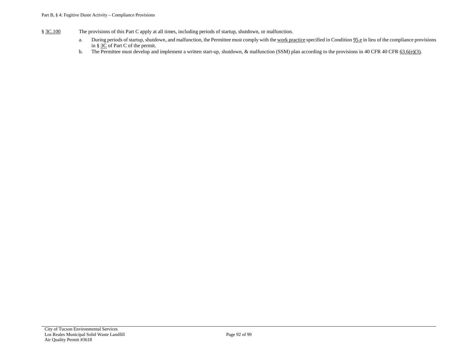- [§ 3C.100](#page-60-3) The provisions of this Part C apply at all times, including periods of startup, shutdown, or malfunction.
	- a. During periods of startup, shutdown, and malfunction, the Permittee must comply with th[e work practice](#page-51-6) specified i[n Condition](#page-56-4) 95.e in lieu of the compliance provisions i[n § 3C](#page-56-5) of Part C of the permit.
	- b. The Permittee must develop and implement a written start-up, shutdown, & malfunction (SSM) plan according to the provisions in 40 CFR [40 CFR 63.6\(e\)\(3\).](https://tinyurl.com/40-CFR-63-6)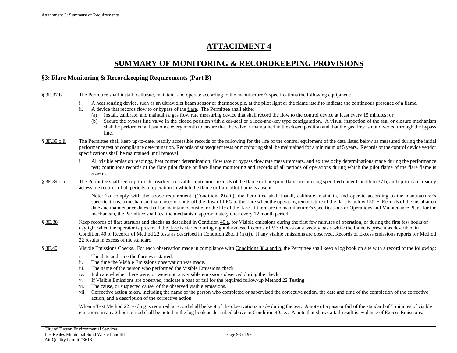### **SUMMARY OF MONITORING & RECORDKEEPING PROVISIONS**

#### **§3: Flare Monitoring & Recordkeeping Requirements (Part B)**

- [§ 3E.37.b](#page-30-0) The Permittee shall install, calibrate, maintain, and operate according to the manufacturer's specifications the following equipment:
	- i. A heat sensing device, such as an ultraviolet beam sensor or thermocouple, at the pilot light or the flame itself to indicate the continuous presence of a flame.
	- ii. A device that records flow to or bypass of the [flare.](#page-18-2) The Permittee shall either:
		- (a) Install, calibrate, and maintain a gas flow rate measuring device that shall record the flow to the control device at least every 15 minutes; or
		- (b) Secure the bypass line valve in the closed position with a car-seal or a lock-and-key type configuration. A visual inspection of the seal or closure mechanism shall be performed at least once every month to ensure that the valve is maintained in the closed position and that the gas flow is not diverted through the bypass line.
- [§ 3F.39.b.ii](#page-31-1) The Permittee shall keep up-to-date, readily accessible records of the following for the life of the control equipment of the data listed below as measured during the initial performance test or compliance determination. Records of subsequent tests or monitoring shall be maintained for a minimum of 5 years. Records of the control device vendor specifications shall be maintained until removal.
	- i. All visible emission readings, heat content determination, flow rate or bypass flow rate measurements, and exit velocity determinations made during the performance test; continuous records of the [flare](#page-18-2) pilot flame or flare flame monitoring and records of all periods of operations during which the pilot flame of the flare flame is absent.
- [§ 3F.39.c.ii](#page-32-1) The Permittee shall keep up-to-date, readily accessible continuous records of the flame o[r flare](#page-18-2) pilot flame monitoring specified under [Condition 37.b,](#page-30-0) and up-to-date, readily accessible records of all periods of operation in which the flame or [flare](#page-18-2) pilot flame is absent.

Note: To comply with the above requirement, [\(Condition 39.c.ii\)](#page-32-1), the Permittee shall install, calibrate, maintain, and operate according to the manufacturer's specifications, a mechanism that closes or shuts off the flow of LFG to th[e flare](#page-18-2) when the operating temperature of the flare is below 150 F. Records of the installation date and maintenance dates shall be maintained onsite for the life of th[e flare.](#page-18-2) If there are no manufacturer's specifications or Operations and Maintenance Plans for the mechanism, the Permittee shall test the mechanism approximately once every 12 month period.

- [§ 3E.38](#page-31-0) Keep records of flare startups and checks as described in [Condition 40.a,](#page-33-1) for Visible emissions during the first few minutes of operation, or during the first few hours of daylight when the operator is present if th[e flare](#page-18-2) is started during night darkness. Records of VE checks on a weekly basis while the flame is present as described in [Condition 40.b.](#page-33-2) Records of Method 22 tests as described i[n Condition 26.c.ii.\(h\).\(i\).](#page-23-3) If any visible emissions are observed. Records of Excess emissions reports for Method 22 results in excess of the standard.
- [§ 3F.40](#page-33-0) Visible Emissions Checks. For each observation made in compliance with [Conditions 38.a.and b,](#page-31-2) the Permittee shall keep a log book on site with a record of the following:
	- i. The date and time th[e flare](#page-18-2) was started.
	- ii. The time the Visible Emissions observation was made.
	- iii. The name of the person who performed the Visible Emissions check
	- iv. Indicate whether there were, or were not, any visible emissions observed during the check.
	- v. If Visible Emissions are observed, indicate a pass or fail for the required follow-up Method 22 Testing.
	- vi. The cause, or suspected cause, of the observed visible emissions.
	- vii. Corrective action taken, including the name of the person who completed or supervised the corrective action, the date and time of the completion of the corrective action, and a description of the corrective action

When a Test Method 22 reading is required, a record shall be kept of the observations made during the test. A note of a pass or fail of the standard of 5 minutes of visible emissions in any 2 hour period shall be noted in the log book as described above in [Condition 40.a.v.](#page-33-3) A note that shows a fail result is evidence of Excess Emissions.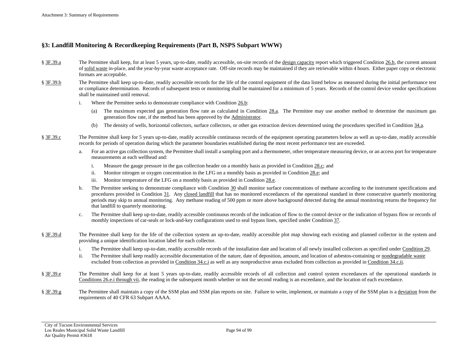#### **§3: Landfill Monitoring & Recordkeeping Requirements (Part B, NSPS Subpart WWW)**

- [§ 3F.39.a](#page-31-3) The Permittee shall keep, for at least 5 years, up-to-date, readily accessible, on-site records of the design [capacity](#page-18-3) report which triggere[d Condition 26.b,](#page-21-5) the current amount o[f solid waste](#page-19-1) in-place, and the year-by-year waste acceptance rate. Off-site records may be maintained if they are retrievable within 4 hours. Either paper copy or electronic formats are acceptable.
- [§ 3F.39.b](#page-31-4) The Permittee shall keep up-to-date, readily accessible records for the life of the control equipment of the data listed below as measured during the initial performance test or compliance determination. Records of subsequent tests or monitoring shall be maintained for a minimum of 5 years. Records of the control device vendor specifications shall be maintained until removal.
	- i. Where the Permittee seeks to demonstrate compliance with [Condition 26.b:](#page-21-5)
		- (a) The maximum expected gas generation flow rate as calculated in [Condition 28.a.](#page-25-0) The Permittee may use another method to determine the maximum gas generation flow rate, if the method has been approved by the [Administrator.](#page-17-2)
		- (b) The density of wells, horizontal collectors, surface collectors, or other gas extraction devices determined using the procedures specified i[n Condition 34.a.](#page-28-1)
- [§ 3F.39.c](#page-32-0) The Permittee shall keep for 5 years up-to-date, readily accessible continuous records of the equipment operating parameters below as well as up-to-date, readily accessible records for periods of operation during which the parameter boundaries established during the most recent performance test are exceeded.
	- a. For an active gas collection system, the Permittee shall install a sampling port and a thermometer, other temperature measuring device, or an access port for temperature measurements at each wellhead and:
		- i. Measure the gauge pressure in the gas collection header on a monthly basis as provided i[n Condition](#page-26-0) 28.c; and
		- ii. Monitor nitrogen or oxygen concentration in the LFG on a monthly basis as provided i[n Condition](#page-26-1) 28.e; and
		- iii. Monitor temperature of the LFG on a monthly basis as provided i[n Condition](#page-26-1) 28.e.
	- b. The Permittee seeking to demonstrate compliance with [Condition 30](#page-26-3) shall monitor surface concentrations of methane according to the instrument specifications and procedures provided in [Condition 31.](#page-27-0) Any [closed landfill](#page-17-4) that has no monitored exceedances of the operational standard in three consecutive quarterly monitoring periods may skip to annual monitoring. Any methane reading of 500 ppm or more above background detected during the annual monitoring returns the frequency for that landfill to quarterly monitoring.
	- c. The Permittee shall keep up-to-date, readily accessible continuous records of the indication of flow to the control device or the indication of bypass flow or records of monthly inspections of car-seals or lock-and-key configurations used to seal bypass lines, specified unde[r Condition 37.](#page-30-1)
- [§ 3F.39.d](#page-32-0) The Permittee shall keep for the life of the collection system an up-to-date, readily accessible plot map showing each existing and planned collector in the system and providing a unique identification location label for each collector.
	- i. The Permittee shall keep up-to-date, readily accessible records of the installation date and location of all newly installed collectors as specified unde[r Condition 29.](#page-26-2)
	- ii. The Permittee shall keep readily accessible documentation of the nature, date of deposition, amount, and location of asbestos-containing o[r nondegradable waste](#page-19-2) excluded from collection as provided in [Condition 34.c.i](#page-28-2) as well as any nonproductive areas excluded from collection as provided i[n Condition 34.c.ii.](#page-28-3)
- [§ 3F.39.e](#page-32-2) The Permittee shall keep for at least 5 years up-to-date, readily accessible records of all collection and control system exceedances of the operational standards in [Conditions](#page-24-2) 26.e.i through vii, the reading in the subsequent month whether or not the second reading is an exceedance, and the location of each exceedance.
- [§ 3F.39.g](#page-32-3) The Permittee shall maintain a copy of the SSM plan and SSM plan reports on site. Failure to write, implement, or maintain a copy of the SSM plan is a [deviation](#page-18-4) from the requirements of 40 CFR 63 Subpart AAAA.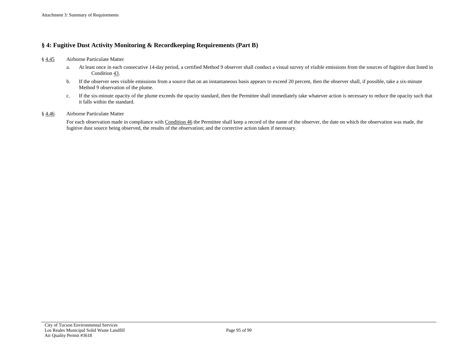### **§ 4: Fugitive Dust Activity Monitoring & Recordkeeping Requirements (Part B)**

- [§ 4.45](#page-42-0) Airborne Particulate Matter
	- a. At least once in each consecutive 14-day period, a certified Method 9 observer shall conduct a visual survey of visible emissions from the sources of fugitive dust listed in [Condition 43.](#page-40-1)
	- b. If the observer sees visible emissions from a source that on an instantaneous basis appears to exceed 20 percent, then the observer shall, if possible, take a six-minute Method 9 observation of the plume.
	- c. If the six-minute opacity of the plume exceeds the opacity standard, then the Permittee shall immediately take whatever action is necessary to reduce the opacity such that it falls within the standard.

#### [§ 4.46](#page-42-0) Airborne Particulate Matter

For each observation made in compliance with [Condition 46](#page-42-0) the Permittee shall keep a record of the name of the observer, the date on which the observation was made, the fugitive dust source being observed, the results of the observation; and the corrective action taken if necessary.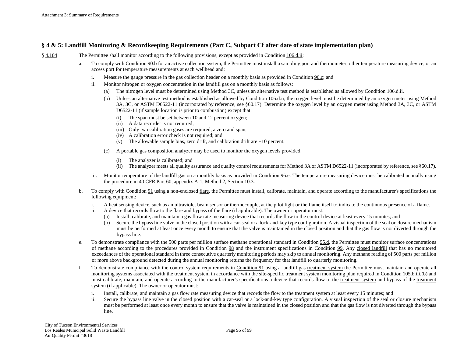#### **§ 4 & 5: Landfill Monitoring & Recordkeeping Requirements (Part C, Subpart Cf after date of state implementation plan)**

- [§ 4.104](#page-63-3) The Permittee shall monitor according to the following provisions, except as provided i[n Condition 106.d.ii:](#page-70-3)
	- a. To comply with [Condition 90.b](#page-52-1) for an active collection system, the Permittee must install a sampling port and thermometer, other temperature measuring device, or an access port for temperature measurements at each wellhead and:
		- i. Measure the gauge pressure in the gas collection header on a monthly basis as provided i[n Condition](#page-58-3) 96.c; and
		- ii. Monitor nitrogen or oxygen concentration in the landfill gas on a monthly basis as follows:
			- (a) The nitrogen level must be determined using Method 3C, unless an alternative test method is established as allowed by [Condition 106.d.ii.](#page-70-3)
			- (b) Unless an alternative test method is established as allowed b[y Condition 106.d.ii,](#page-70-3) the oxygen level must be determined by an oxygen meter using Method 3A, 3C, or ASTM D6522-11 (incorporated by reference, see §60.17). Determine the oxygen level by an oxygen meter using Method 3A, 3C, or ASTM D6522-11 (if sample location is prior to combustion) except that:
				- (i) The span must be set between 10 and 12 percent oxygen;
				- (ii) A data recorder is not required;
				- (iii) Only two calibration gases are required, a zero and span;
				- (iv) A calibration error check is not required; and
				- (v) The allowable sample bias, zero drift, and calibration drift are  $\pm 10$  percent.
			- (c) A portable gas composition analyzer may be used to monitor the oxygen levels provided:
				- (i) The analyzer is calibrated; and
				- (ii) The analyzer meets all quality assurance and quality control requirements for Method 3A or ASTM D6522-11 (incorporated by reference, see §60.17).
		- iii. Monitor temperature of the landfill gas on a monthly basis as provided in [Condition 96.e.](#page-58-4) The temperature measuring device must be calibrated annually using the procedure in 40 CFR Part 60, appendix A-1, Method 2, Section 10.3.
	- b. To comply with [Condition 91](#page-53-3) using a non-enclose[d flare,](#page-49-8) the Permittee must install, calibrate, maintain, and operate according to the manufacturer's specifications the following equipment:
		- i. A heat sensing device, such as an ultraviolet beam sensor or thermocouple, at the pilot light or the flame itself to indicate the continuous presence of a flame.
		- ii. A device that records flow to th[e flare](#page-49-8) and bypass of the [flare](#page-49-8) (if applicable). The owner or operator must:
			- (a) Install, calibrate, and maintain a gas flow rate measuring device that records the flow to the control device at least every 15 minutes; and
			- (b) Secure the bypass line valve in the closed position with a car-seal or a lock-and-key type configuration. A visual inspection of the seal or closure mechanism must be performed at least once every month to ensure that the valve is maintained in the closed position and that the gas flow is not diverted through the bypass line.
	- e. To demonstrate compliance with the 500 parts per million surface methane operational standard in [Condition 95.d,](#page-56-3) the Permittee must monitor surface concentrations of methane according to the procedures provided in [Condition 98](#page-59-3) and the instrument specifications in [Condition 99.](#page-60-1) Any [closed landfill](#page-48-6) that has no monitored exceedances of the operational standard in three consecutive quarterly monitoring periods may skip to annual monitoring. Any methane reading of 500 parts per million or more above background detected during the annual monitoring returns the frequency for that landfill to quarterly monitoring.
	- f. To demonstrate compliance with the control system requirements i[n Condition 91](#page-53-3) using a landfill gas [treatment system](#page-51-3) the Permittee must maintain and operate all monitoring systems associated with the [treatment system](#page-51-3) in accordance with the site-specific [treatment system](#page-51-3) monitoring plan required in [Condition 105.b.iii.\(b\)](#page-66-1) and must calibrate, maintain, and operate according to the manufacturer's specifications a device that records flow to the [treatment system](#page-51-3) and bypass of the [treatment](#page-51-3)  [system](#page-51-3) (if applicable). The owner or operator must:
		- i. Install, calibrate, and maintain a gas flow rate measuring device that records the flow to the [treatment system](#page-51-3) at least every 15 minutes; and
		- ii. Secure the bypass line valve in the closed position with a car-seal or a lock-and-key type configuration. A visual inspection of the seal or closure mechanism must be performed at least once every month to ensure that the valve is maintained in the closed position and that the gas flow is not diverted through the bypass line.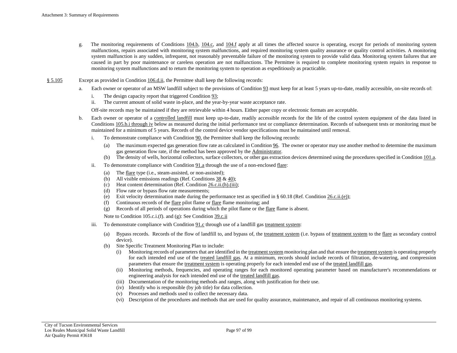- g. The monitoring requirements of [Conditions 104.b,](#page-63-4) [104.c,](#page-64-2) and [104.f](#page-64-3) apply at all times the affected source is operating, except for periods of monitoring system malfunctions, repairs associated with monitoring system malfunctions, and required monitoring system quality assurance or quality control activities. A monitoring system malfunction is any sudden, infrequent, not reasonably preventable failure of the monitoring system to provide valid data. Monitoring system failures that are caused in part by poor maintenance or careless operation are not malfunctions. The Permittee is required to complete monitoring system repairs in response to monitoring system malfunctions and to return the monitoring system to operation as expeditiously as practicable.
- [§ 5.105](#page-65-0) Except as provided i[n Condition 106.d.ii,](#page-70-3) the Permittee shall keep the following records:
	- a. Each owner or operator of an MSW landfill subject to the provisions o[f Condition 93](#page-54-1) must keep for at least 5 years up-to-date, readily accessible, on-site records of:
		- i. The design capacity report that triggere[d Condition 93;](#page-54-1)
		- ii. The current amount of solid waste in-place, and the year-by-year waste acceptance rate.

Off-site records may be maintained if they are retrievable within 4 hours. Either paper copy or electronic formats are acceptable.

- b. Each owner or operator of a [controlled landfill](#page-48-5) must keep up-to-date, readily accessible records for the life of the control system equipment of the data listed in [Conditions 105.b.i through iv](#page-65-1) below as measured during the initial performance test or compliance determination. Records of subsequent tests or monitoring must be maintained for a minimum of 5 years. Records of the control device vendor specifications must be maintained until removal.
	- i. To demonstrate compliance with Condition  $90$ , the Permittee shall keep the following records:
		- (a) The maximum expected gas generation flow rate as calculated i[n Condition 96.](#page-57-0) The owner or operator may use another method to determine the maximum gas generation flow rate, if the method has been approved by the [Administrator.](#page-17-2)
		- (b) The density of wells, horizontal collectors, surface collectors, or other gas extraction devices determined using the procedures specified i[n Condition 101.a.](#page-60-4)
	- ii. To demonstrate compliance wit[h Condition 91.a](#page-53-4) through the use of a non-enclose[d flare:](#page-49-8)
		- (a) The [flare](#page-49-8) type (i.e., steam-assisted, or non-assisted);
		- (b) All visible emissions readings (Ref. Conditions  $38 \& 40$ );
		- (c) Heat content determination (Ref[. Condition 26.c.ii.\(h\).\(iii\);](#page-23-4)
		- (d) Flow rate or bypass flow rate measurements;
		- (e) Exit velocity determination made during the performance test as specified in § 60.18 (Ref. [Condition](#page-22-1)  $26.\text{c.ii.}(e)$ );
		- (f) Continuous records of the <u>flare</u> pilot flame or <u>flare</u> flame monitoring; and
		- (g) Records of all periods of operations during which the pilot flame or th[e flare](#page-49-8) flame is absent.

Note to Condition 105.c.i.(f). and (g): Se[e Condition 39.c.ii](#page-32-1)

- iii. To demonstrate compliance with Condition  $91.c$  through use of a landfill gas treatment system:
	- (a) Bypass records. Records of the flow of landfill to, and bypass of, th[e treatment system](#page-51-3) (i.e. bypass of [treatment system](#page-51-3) to the [flare](#page-49-8) as secondary control device).
	- (b) Site Specific Treatment Monitoring Plan to include:
		- (i) Monitoring records of parameters that are identified in th[e treatment system](#page-51-3) monitoring plan and that ensure the treatment system is operating properly for each intended end use of the [treated landfill gas.](#page-51-7) At a minimum, records should include records of filtration, de-watering, and compression parameters that ensure th[e treatment system](#page-51-3) is operating properly for each intended end use of th[e treated landfill gas.](#page-51-7)
		- (ii) Monitoring methods, frequencies, and operating ranges for each monitored operating parameter based on manufacturer's recommendations or engineering analysis for each intended end use of th[e treated landfill gas.](#page-51-7)
		- (iii) Documentation of the monitoring methods and ranges, along with justification for their use.
		- (iv) Identify who is responsible (by job title) for data collection.
		- (v) Processes and methods used to collect the necessary data.
		- (vi) Description of the procedures and methods that are used for quality assurance, maintenance, and repair of all continuous monitoring systems.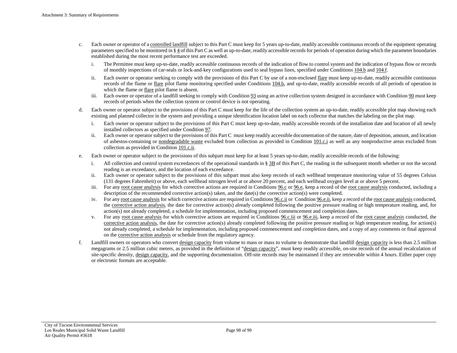- c. Each owner or operator of [a controlled landfill](#page-48-5) subject to this Part C must keep for 5 years up-to-date, readily accessible continuous records of the equipment operating parameters specified to be monitored i[n § 4](#page-63-5) of this Part C as well as up-to-date, readily accessible records for periods of operation during which the parameter boundaries established during the most recent performance test are exceeded.
	- i. The Permittee must keep up-to-date, readily accessible continuous records of the indication of flow to control system and the indication of bypass flow or records of monthly inspections of car-seals or lock-and-key configurations used to seal bypass lines, specified under [Conditions 104.b](#page-63-4) an[d 104.f.](#page-64-3)
	- ii. Each owner or operator seeking to comply with the provisions of this Part C by use of a non-enclose[d flare](#page-49-8) must keep up-to-date, readily accessible continuous records of the flame or <u>flare</u> pilot flame monitoring specified under [Conditions 104.b,](#page-63-4) and up-to-date, readily accessible records of all periods of operation in which the flame or [flare](#page-49-8) pilot flame is absent.
	- iii. Each owner or operator of a landfill seeking to comply wit[h Condition 93](#page-54-1) using an active collection system designed in accordance wit[h Condition 90](#page-52-5) must keep records of periods when the collection system or control device is not operating.
- d. Each owner or operator subject to the provisions of this Part C must keep for the life of the collection system an up-to-date, readily accessible plot map showing each existing and planned collector in the system and providing a unique identification location label on each collector that matches the labeling on the plot map.
	- i. Each owner or operator subject to the provisions of this Part C must keep up-to-date, readily accessible records of the installation date and location of all newly installed collectors as specified under [Condition 97.](#page-59-2)
	- ii. Each owner or operator subject to the provisions of this Part C must keep readily accessible documentation of the nature, date of deposition, amount, and location of asbestos-containing or [nondegradable waste](#page-50-1) excluded from collection as provided in [Condition 101.c.i](#page-61-0) as well as any nonproductive areas excluded from collection as provided in [Condition 101.c.ii.](#page-61-1)
- e. Each owner or operator subject to the provisions of this subpart must keep for at least 5 years up-to-date, readily accessible records of the following:
	- i. All collection and control system exceedances of the operational standards i[n § 3B](#page-55-2) of this Part C, the reading in the subsequent month whether or not the second reading is an exceedance, and the location of each exceedance.
	- ii. Each owner or operator subject to the provisions of this subpart must also keep records of each wellhead temperature monitoring value of 55 degrees Celsius (131 degrees Fahrenheit) or above, each wellhead nitrogen level at or above 20 percent, and each wellhead oxygen level at or above 5 percent.
	- iii. For an[y root cause analysis](#page-51-5) for which corrective actions are required i[n Conditions 96.c](#page-58-3) or [96.e,](#page-58-4) keep a record of th[e root cause analysis](#page-51-5) conducted, including a description of the recommended corrective action(s) taken, and the date(s) the corrective action(s) were completed.
	- iv. For any <u>root cause analysis</u> for which corrective actions are required in Conditions  $96.c.i.i$  or Condition  $96.e.i.i$ , keep a record of the <u>root cause analysis</u> conducted, th[e corrective action analysis,](#page-49-7) the date for corrective action(s) already completed following the positive pressure reading or high temperature reading, and, for action(s) not already completed, a schedule for implementation, including proposed commencement and completion dates.
	- v. For any [root cause analysis](#page-51-5) for which corrective actions are required in [Conditions 96.c.iii](#page-58-7) o[r 96.e.iii,](#page-58-8) keep a record of the [root cause analysis](#page-51-5) conducted, the [corrective action analysis,](#page-49-7) the date for corrective action(s) already completed following the positive pressure reading or high temperature reading, for action(s) not already completed, a schedule for implementation, including proposed commencement and completion dates, and a copy of any comments or final approval on th[e corrective action analysis](#page-49-7) or schedule from the regulatory agency.
- f. Landfill owners or operators who convert [design capacity](#page-49-9) from volume to mass or mass to volume to demonstrate that landfil[l design capacity](#page-49-9) is less than 2.5 million megagrams or 2.5 million cubic meters, as provided in the definition of ["design capacity"](#page-49-9), must keep readily accessible, on-site records of the annual recalculation of site-specific density, [design capacity,](#page-49-9) and the supporting documentation. Off-site records may be maintained if they are retrievable within 4 hours. Either paper copy or electronic formats are acceptable.